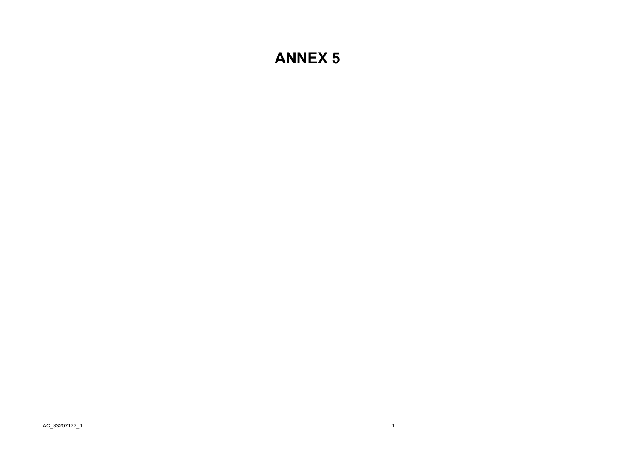## **ANNEX 5**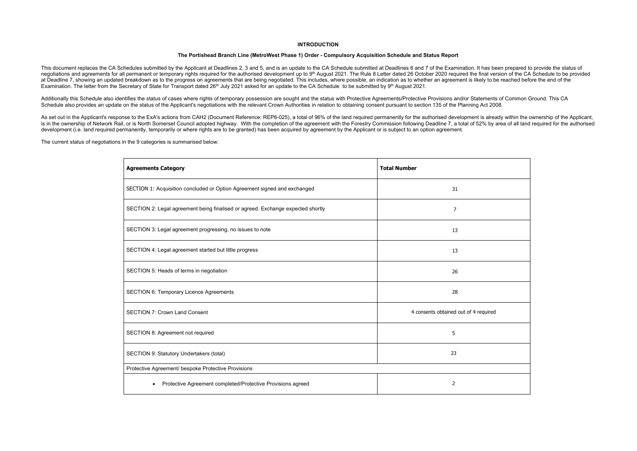## **INTRODUCTION**

## **The Portishead Branch Line (MetroWest Phase 1) Order - Compulsory Acquisition Schedule and Status Report**

This document replaces the CA Schedules submitted by the Applicant at Deadlines 2, 3 and 5, and is an update to the CA Schedule submitted at Deadlines 6 and 7 of the Examination. It has been prepared to provide the status negotiations and agreements for all permanent or temporary rights required for the authorised development up to 9th August 2021. The Rule 8 Letter dated 26 October 2020 required the final version of the CA Schedule to be p at Deadline 7, showing an updated breakdown as to the progress on agreements that are being negotiated. This includes, where possible, an indication as to whether an agreement is likely to be reached before the end of the Examination. The letter from the Secretary of State for Transport dated 26<sup>th</sup> July 2021 asked for an update to the CA Schedule to be submitted by 9<sup>th</sup> August 2021.

Additionally this Schedule also identifies the status of cases where rights of temporary possession are sought and the status with Protective Agreements/Protective Provisions and/or Statements of Common Ground. This CA Schedule also provides an update on the status of the Applicant's negotiations with the relevant Crown Authorities in relation to obtaining consent pursuant to section 135 of the Planning Act 2008.

As set out in the Applicant's response to the ExA's actions from CAH2 (Document Reference: REP6-025), a total of 96% of the land required permanently for the authorised development is already within the ownership of the Ap is in the ownership of Network Rail, or is North Somerset Council adopted highway. With the completion of the agreement with the Forestry Commission following Deadline 7, a total of 52% by area of all land required for the development (i.e. land required permanently, temporarily or where rights are to be granted) has been acquired by agreement by the Applicant or is subject to an option agreement.

The current status of negotiations in the 9 categories is summarised below:

| <b>Agreements Category</b>                                                      | <b>Total Number</b>                   |
|---------------------------------------------------------------------------------|---------------------------------------|
| SECTION 1: Acquisition concluded or Option Agreement signed and exchanged       | 31                                    |
| SECTION 2: Legal agreement being finalised or agreed. Exchange expected shortly | 7                                     |
| SECTION 3: Legal agreement progressing, no issues to note                       | 13                                    |
| SECTION 4: Legal agreement started but little progress                          | 13                                    |
| SECTION 5: Heads of terms in negotiation                                        | 26                                    |
| <b>SECTION 6: Temporary Licence Agreements</b>                                  | 28                                    |
| <b>SECTION 7: Crown Land Consent</b>                                            | 4 consents obtained out of 4 required |
| SECTION 8: Agreement not required                                               | 5                                     |
| SECTION 9: Statutory Undertakers (total)                                        | 23                                    |
| Protective Agreement/ bespoke Protective Provisions                             |                                       |
| Protective Agreement completed/Protective Provisions agreed                     | 2                                     |

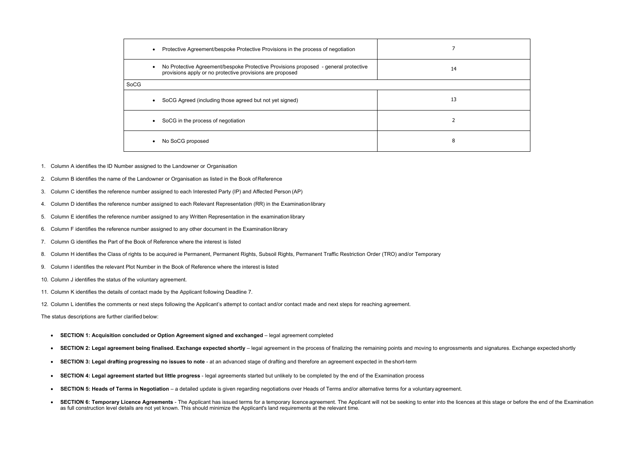| Protective Agreement/bespoke Protective Provisions in the process of negotiation<br>$\bullet$                                                                 |    |
|---------------------------------------------------------------------------------------------------------------------------------------------------------------|----|
| No Protective Agreement/bespoke Protective Provisions proposed - general protective<br>$\bullet$<br>provisions apply or no protective provisions are proposed | 14 |
| SoCG                                                                                                                                                          |    |
| SoCG Agreed (including those agreed but not yet signed)<br>$\bullet$                                                                                          | 13 |
| SoCG in the process of negotiation<br>$\bullet$                                                                                                               |    |
| No SoCG proposed<br>$\bullet$                                                                                                                                 | 8  |

- 1. Column A identifies the ID Number assigned to the Landowner or Organisation
- 2. Column B identifies the name of the Landowner or Organisation as listed in the Book of Reference
- 3. Column C identifies the reference number assigned to each Interested Party (IP) and Affected Person (AP)
- 4. Column D identifies the reference number assigned to each Relevant Representation (RR) in the Examination library
- 5. Column E identifies the reference number assigned to any Written Representation in the examination library
- 6. Column F identifies the reference number assigned to any other document in the Examination library
- 7. Column G identifies the Part of the Book of Reference where the interest is listed
- 8. Column H identifies the Class of rights to be acquired ie Permanent, Permanent Rights, Subsoil Rights, Permanent Traffic Restriction Order (TRO) and/or Temporary
- 9. Column I identifies the relevant Plot Number in the Book of Reference where the interest is listed
- 10. Column J identifies the status of the voluntary agreement.
- 11. Column K identifies the details of contact made by the Applicant following Deadline 7.
- 12. Column L identifies the comments or next steps following the Applicant's attempt to contact and/or contact made and next steps for reaching agreement.

The status descriptions are further clarified below:

- **SECTION 1: Acquisition concluded or Option Agreement signed and exchanged**  legal agreement completed
- •**SECTION 2: Legal agreement being finalised. Exchange expected shortly** – legal agreement in the process of finalizing the remaining points and moving to engrossments and signatures. Exchange expected shortly
- •**SECTION 3: Legal drafting progressing no issues to note** - at an advanced stage of drafting and therefore an agreement expected in the short-term
- **SECTION 4: Legal agreement started but little progress**  legal agreements started but unlikely to be completed by the end of the Examination process
- •**SECTION 5: Heads of Terms in Negotiation** - a detailed update is given regarding negotiations over Heads of Terms and/or alternative terms for a voluntary agreement.
- •SECTION 6: Temporary Licence Agreements - The Applicant has issued terms for a temporary licence agreement. The Applicant will not be seeking to enter into the licences at this stage or before the end of the Examination as full construction level details are not yet known. This should minimize the Applicant's land requirements at the relevant time.

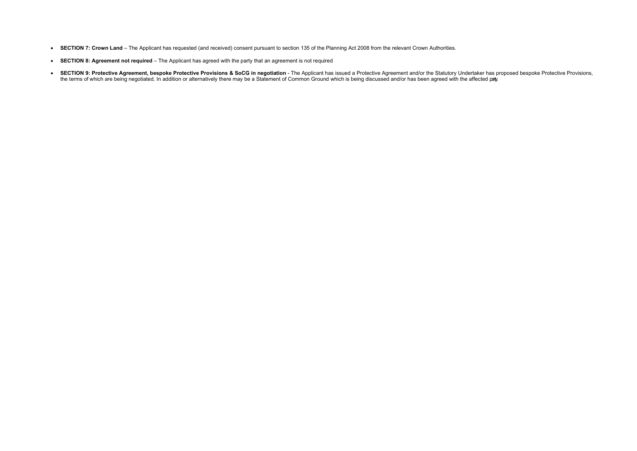- **SECTION 7: Crown Land** The Applicant has requested (and received) consent pursuant to section 135 of the Planning Act 2008 from the relevant Crown Authorities.
- **SECTION 8: Agreement not required** The Applicant has agreed with the party that an agreement is not required
- **SECTION 9: Protective Agreement, bespoke Protective Provisions & SoCG in negotiation -** The Applicant has issued a Protective Agreement and/or the Statutory Undertaker has proposed bespoke Protective Provisions, the terms of which are being negotiated. In addition or alternatively there may be a Statement of Common Ground which is being discussed and/or has been agreed with the affected pay.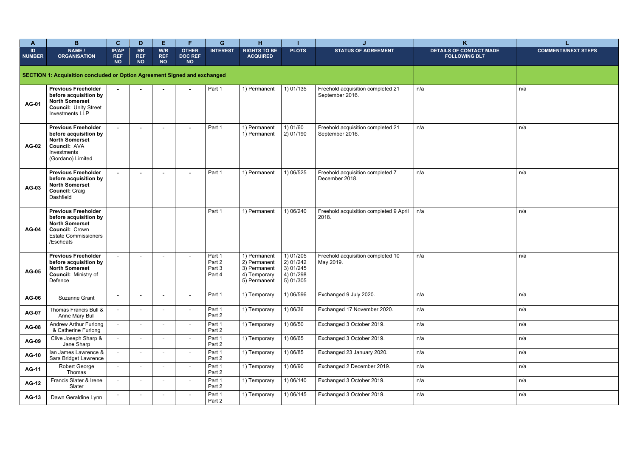| A                   | B                                                                                                                                                 | $\mathbf{C}$                     | D                                    | E.                             | F.                                          | G                                    | H.                                                                           |                                                                 |                                                      | $\mathsf{K}$                                           |                            |
|---------------------|---------------------------------------------------------------------------------------------------------------------------------------------------|----------------------------------|--------------------------------------|--------------------------------|---------------------------------------------|--------------------------------------|------------------------------------------------------------------------------|-----------------------------------------------------------------|------------------------------------------------------|--------------------------------------------------------|----------------------------|
| ID<br><b>NUMBER</b> | NAME /<br><b>ORGANISATION</b>                                                                                                                     | IP/AP<br><b>REF</b><br><b>NO</b> | <b>RR</b><br><b>REF</b><br><b>NO</b> | W/R<br><b>REF</b><br><b>NO</b> | <b>OTHER</b><br><b>DOC REF</b><br><b>NO</b> | <b>INTEREST</b>                      | <b>RIGHTS TO BE</b><br><b>ACQUIRED</b>                                       | <b>PLOTS</b>                                                    | <b>STATUS OF AGREEMENT</b>                           | <b>DETAILS OF CONTACT MADE</b><br><b>FOLLOWING DL7</b> | <b>COMMENTS/NEXT STEPS</b> |
|                     | SECTION 1: Acquisition concluded or Option Agreement Signed and exchanged                                                                         |                                  |                                      |                                |                                             |                                      |                                                                              |                                                                 |                                                      |                                                        |                            |
| <b>AG-01</b>        | <b>Previous Freeholder</b><br>before acquisition by<br><b>North Somerset</b><br><b>Council: Unity Street</b><br><b>Investments LLP</b>            |                                  |                                      |                                |                                             | Part 1                               | 1) Permanent                                                                 | 1) 01/135                                                       | Freehold acquisition completed 21<br>September 2016. | n/a                                                    | n/a                        |
| <b>AG-02</b>        | <b>Previous Freeholder</b><br>before acquisition by<br><b>North Somerset</b><br><b>Council: AVA</b><br>Investments<br>(Gordano) Limited           |                                  |                                      | $\blacksquare$                 | $\blacksquare$                              | Part 1                               | 1) Permanent<br>1) Permanent                                                 | 1) 01/60<br>2) 01/190                                           | Freehold acquisition completed 21<br>September 2016. | n/a                                                    | n/a                        |
| AG-03               | <b>Previous Freeholder</b><br>before acquisition by<br><b>North Somerset</b><br><b>Council: Craig</b><br>Dashfield                                | $\sim$                           |                                      |                                | $\overline{\phantom{0}}$                    | Part 1                               | 1) Permanent                                                                 | 1) 06/525                                                       | Freehold acquisition completed 7<br>December 2018.   | n/a                                                    | n/a                        |
| <b>AG-04</b>        | <b>Previous Freeholder</b><br>before acquisition by<br><b>North Somerset</b><br><b>Council: Crown</b><br><b>Estate Commissioners</b><br>/Escheats |                                  |                                      |                                |                                             | Part 1                               | 1) Permanent                                                                 | 1) 06/240                                                       | Freehold acquisition completed 9 April<br>2018.      | n/a                                                    | n/a                        |
| <b>AG-05</b>        | <b>Previous Freeholder</b><br>before acquisition by<br><b>North Somerset</b><br><b>Council: Ministry of</b><br>Defence                            |                                  |                                      | ٠                              | $\blacksquare$                              | Part 1<br>Part 2<br>Part 3<br>Part 4 | 1) Permanent<br>2) Permanent<br>3) Permanent<br>4) Temporary<br>5) Permanent | 1) 01/205<br>2) 01/242<br>3) 01/245<br>4) 01/298<br>$5)$ 01/305 | Freehold acquisition completed 10<br>May 2019.       | n/a                                                    | n/a                        |
| <b>AG-06</b>        | Suzanne Grant                                                                                                                                     | $\sim$                           |                                      | $\sim$                         | $\blacksquare$                              | Part 1                               | 1) Temporary                                                                 | 1) 06/596                                                       | Exchanged 9 July 2020.                               | n/a                                                    | n/a                        |
| <b>AG-07</b>        | Thomas Francis Bull &<br>Anne Mary Bull                                                                                                           | $\sim$                           | $\sim$                               | $\sim$                         | $\blacksquare$                              | Part 1<br>Part 2                     | 1) Temporary                                                                 | 1) 06/36                                                        | Exchanged 17 November 2020.                          | n/a                                                    | n/a                        |
| <b>AG-08</b>        | <b>Andrew Arthur Furlong</b><br>& Catherine Furlong                                                                                               | $\sim$                           |                                      | $\sim$                         | $\sim$                                      | Part 1<br>Part 2                     | 1) Temporary                                                                 | 1) 06/50                                                        | Exchanged 3 October 2019.                            | n/a                                                    | n/a                        |
| <b>AG-09</b>        | Clive Joseph Sharp &<br>Jane Sharp                                                                                                                | $\blacksquare$                   |                                      | $\blacksquare$                 | $\blacksquare$                              | Part 1<br>Part 2                     | 1) Temporary                                                                 | 1) 06/65                                                        | Exchanged 3 October 2019.                            | n/a                                                    | n/a                        |
| <b>AG-10</b>        | lan James Lawrence &<br>Sara Bridget Lawrence                                                                                                     | $\sim$                           |                                      | $\overline{\phantom{a}}$       | $\blacksquare$                              | Part 1<br>Part 2                     | 1) Temporary                                                                 | 1) 06/85                                                        | Exchanged 23 January 2020.                           | n/a                                                    | n/a                        |
| <b>AG-11</b>        | Robert George<br>Thomas                                                                                                                           | $\blacksquare$                   |                                      | $\sim$                         | $\blacksquare$                              | Part 1<br>Part 2                     | 1) Temporary                                                                 | 1) 06/90                                                        | Exchanged 2 December 2019.                           | n/a                                                    | n/a                        |
| <b>AG-12</b>        | Francis Slater & Irene<br>Slater                                                                                                                  | $\sim$                           |                                      | $\sim$                         | $\blacksquare$                              | Part 1<br>Part 2                     | 1) Temporary                                                                 | 1) 06/140                                                       | Exchanged 3 October 2019.                            | n/a                                                    | n/a                        |
| <b>AG-13</b>        | Dawn Geraldine Lynn                                                                                                                               | ۰                                |                                      | $\overline{\phantom{a}}$       | $\blacksquare$                              | Part 1<br>Part 2                     | 1) Temporary                                                                 | 1) 06/145                                                       | Exchanged 3 October 2019.                            | n/a                                                    | n/a                        |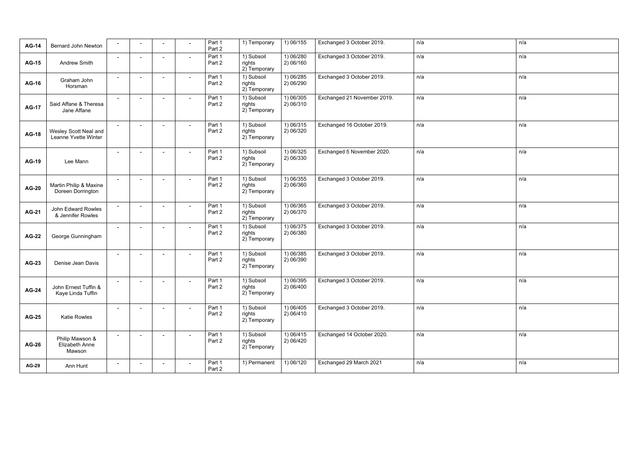| <b>AG-14</b> | <b>Bernard John Newton</b>                    | $\sim$ |                          |        |                          | Part 1<br>Part 2 | 1) Temporary                         | 1) 06/155              | Exchanged 3 October 2019.   | n/a | n/a |
|--------------|-----------------------------------------------|--------|--------------------------|--------|--------------------------|------------------|--------------------------------------|------------------------|-----------------------------|-----|-----|
| <b>AG-15</b> | Andrew Smith                                  | $\sim$ |                          |        |                          | Part 1<br>Part 2 | 1) Subsoil<br>rights<br>2) Temporary | 1) 06/280<br>2) 06/160 | Exchanged 3 October 2019.   | n/a | n/a |
| <b>AG-16</b> | Graham John<br>Horsman                        | $\sim$ |                          |        |                          | Part 1<br>Part 2 | 1) Subsoil<br>rights<br>2) Temporary | 1) 06/285<br>2) 06/290 | Exchanged 3 October 2019.   | n/a | n/a |
| <b>AG-17</b> | Said Affane & Theresa<br>Jane Affane          | $\sim$ |                          |        |                          | Part 1<br>Part 2 | 1) Subsoil<br>rights<br>2) Temporary | 1) 06/305<br>2) 06/310 | Exchanged 21 November 2019. | n/a | n/a |
| <b>AG-18</b> | Wesley Scott Neal and<br>Leanne Yvette Winter | $\sim$ | $\overline{\phantom{a}}$ |        | $\overline{\phantom{a}}$ | Part 1<br>Part 2 | 1) Subsoil<br>rights<br>2) Temporary | 1) 06/315<br>2) 06/320 | Exchanged 16 October 2019.  | n/a | n/a |
| <b>AG-19</b> | Lee Mann                                      |        |                          |        |                          | Part 1<br>Part 2 | 1) Subsoil<br>rights<br>2) Temporary | 1) 06/325<br>2) 06/330 | Exchanged 5 November 2020.  | n/a | n/a |
| <b>AG-20</b> | Martin Philip & Maxine<br>Doreen Dorrington   | $\sim$ |                          |        | $\sim$                   | Part 1<br>Part 2 | 1) Subsoil<br>rights<br>2) Temporary | 1) 06/355<br>2) 06/360 | Exchanged 3 October 2019.   | n/a | n/a |
| <b>AG-21</b> | John Edward Rowles<br>& Jennifer Rowles       | $\sim$ |                          | $\sim$ | $\overline{\phantom{a}}$ | Part 1<br>Part 2 | 1) Subsoil<br>rights<br>2) Temporary | 1) 06/365<br>2) 06/370 | Exchanged 3 October 2019.   | n/a | n/a |
| <b>AG-22</b> | George Gunningham                             | $\sim$ | $\blacksquare$           | $\sim$ | $\sim$                   | Part 1<br>Part 2 | 1) Subsoil<br>rights<br>2) Temporary | 1) 06/375<br>2) 06/380 | Exchanged 3 October 2019.   | n/a | n/a |
| <b>AG-23</b> | Denise Jean Davis                             | $\sim$ |                          | $\sim$ | $\sim$                   | Part 1<br>Part 2 | 1) Subsoil<br>rights<br>2) Temporary | 1) 06/385<br>2) 06/390 | Exchanged 3 October 2019.   | n/a | n/a |
| <b>AG-24</b> | John Ernest Tuffin &<br>Kaye Linda Tuffin     |        |                          |        |                          | Part 1<br>Part 2 | 1) Subsoil<br>rights<br>2) Temporary | 1) 06/395<br>2) 06/400 | Exchanged 3 October 2019.   | n/a | n/a |
| <b>AG-25</b> | <b>Katie Rowles</b>                           | $\sim$ | $\blacksquare$           |        | $\sim$                   | Part 1<br>Part 2 | 1) Subsoil<br>rights<br>2) Temporary | 1) 06/405<br>2)06/410  | Exchanged 3 October 2019.   | n/a | n/a |
| <b>AG-26</b> | Philip Mawson &<br>Elizabeth Anne<br>Mawson   | $\sim$ |                          |        | $\sim$                   | Part 1<br>Part 2 | 1) Subsoil<br>rights<br>2) Temporary | 1) 06/415<br>2)06/420  | Exchanged 14 October 2020.  | n/a | n/a |
| <b>AG-29</b> | Ann Hunt                                      | $\sim$ |                          | $\sim$ | $\sim$                   | Part 1<br>Part 2 | 1) Permanent                         | 1) 06/120              | Exchanged 29 March 2021     | n/a | n/a |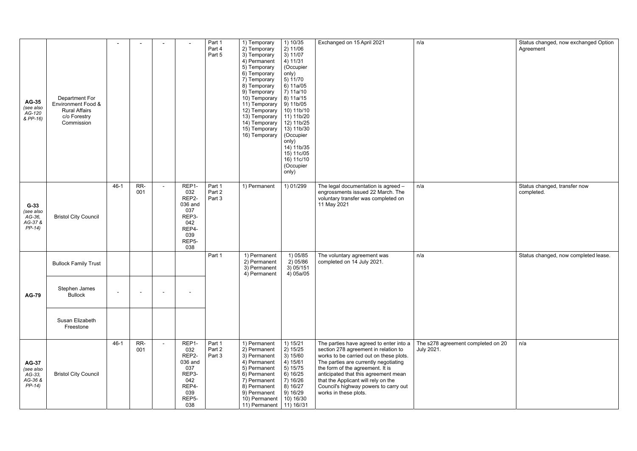| <b>AG-35</b><br>(see also<br>AG-120<br>& PP-16)            | Department For<br>Environment Food &<br><b>Rural Affairs</b><br>c/o Forestry<br>Commission |        |                |                |                                                                                                      | Part 1<br>Part 4<br>Part 5 | 1) Temporary<br>2) Temporary<br>3) Temporary<br>4) Permanent<br>5) Temporary<br>6) Temporary<br>7) Temporary<br>8) Temporary<br>9) Temporary<br>10) Temporary<br>11) Temporary<br>12) Temporary<br>13) Temporary<br>14) Temporary<br>15) Temporary<br>16) Temporary | 1) 10/35<br>2) 11/06<br>3) 11/07<br>4) 11/31<br>(Occupier<br>only)<br>5)11/70<br>6) 11a/05<br>7) 11a/10<br>8) 11a/15<br>9) 11b/05<br>10) 11b/10<br>11) 11b/20<br>12) 11b/25<br>13) 11b/30<br>(Occupier<br>only)<br>14) 11b/35<br>15) 11c/05<br>16) 11c/10<br>(Occupier<br>only) | Exchanged on 15 April 2021                                                                                                                                                                                                                                                                                                                               | n/a                                              | Status changed, now exchanged Option<br>Agreement |
|------------------------------------------------------------|--------------------------------------------------------------------------------------------|--------|----------------|----------------|------------------------------------------------------------------------------------------------------|----------------------------|---------------------------------------------------------------------------------------------------------------------------------------------------------------------------------------------------------------------------------------------------------------------|---------------------------------------------------------------------------------------------------------------------------------------------------------------------------------------------------------------------------------------------------------------------------------|----------------------------------------------------------------------------------------------------------------------------------------------------------------------------------------------------------------------------------------------------------------------------------------------------------------------------------------------------------|--------------------------------------------------|---------------------------------------------------|
| $G-33$<br>(see also<br>$AG-36$<br>AG-37 &<br>$PP-14$       | <b>Bristol City Council</b>                                                                | $46-1$ | RR-<br>001     | $\overline{a}$ | REP1-<br>032<br>REP2-<br>036 and<br>037<br>REP3-<br>042<br>REP4-<br>039<br>REP5-<br>038              | Part 1<br>Part 2<br>Part 3 | 1) Permanent                                                                                                                                                                                                                                                        | 1) 01/299                                                                                                                                                                                                                                                                       | The legal documentation is agreed -<br>engrossments issued 22 March. The<br>voluntary transfer was completed on<br>11 May 2021                                                                                                                                                                                                                           | n/a                                              | Status changed, transfer now<br>completed.        |
|                                                            | <b>Bullock Family Trust</b>                                                                |        |                |                |                                                                                                      | Part 1                     | 1) Permanent<br>2) Permanent<br>3) Permanent<br>4) Permanent                                                                                                                                                                                                        | 1) 05/85<br>2) 05/86<br>3) 05/151<br>4) 05a/05                                                                                                                                                                                                                                  | The voluntary agreement was<br>completed on 14 July 2021.                                                                                                                                                                                                                                                                                                | n/a                                              | Status changed, now completed lease.              |
| <b>AG-79</b>                                               | Stephen James<br><b>Bullock</b>                                                            | $\sim$ | $\blacksquare$ | $\sim$         | $\overline{\phantom{0}}$                                                                             |                            |                                                                                                                                                                                                                                                                     |                                                                                                                                                                                                                                                                                 |                                                                                                                                                                                                                                                                                                                                                          |                                                  |                                                   |
|                                                            | Susan Elizabeth<br>Freestone                                                               |        |                |                |                                                                                                      |                            |                                                                                                                                                                                                                                                                     |                                                                                                                                                                                                                                                                                 |                                                                                                                                                                                                                                                                                                                                                          |                                                  |                                                   |
| <b>AG-37</b><br>(see also<br>$AG-33,$<br>AG-36 &<br>PP-14) | <b>Bristol City Council</b>                                                                | $46-1$ | RR-<br>001     | $\sim$         | REP1-<br>032<br>REP2-<br>036 and<br>037<br>REP3-<br>042<br>REP4-<br>039<br>REP <sub>5</sub> -<br>038 | Part 1<br>Part 2<br>Part 3 | 1) Permanent<br>2) Permanent<br>3) Permanent<br>4) Permanent<br>5) Permanent<br>6) Permanent<br>7) Permanent<br>8) Permanent<br>9) Permanent<br>10) Permanent<br>11) Permanent                                                                                      | 1) 15/21<br>2) 15/25<br>3) 15/60<br>4) 15/61<br>5) 15/75<br>6)16/25<br>7)16/26<br>8)16/27<br>9)16/29<br>10) 16/30<br>11) 16/31                                                                                                                                                  | The parties have agreed to enter into a<br>section 278 agreement in relation to<br>works to be carried out on these plots.<br>The parties are currently negotiating<br>the form of the agreement. It is<br>anticipated that this agreement mean<br>that the Applicant will rely on the<br>Council's highway powers to carry out<br>works in these plots. | The s278 agreement completed on 20<br>July 2021. | n/a                                               |

| n/a                                              | Status changed, now exchanged Option<br>Agreement |
|--------------------------------------------------|---------------------------------------------------|
| n/a                                              | Status changed, transfer now<br>completed.        |
|                                                  |                                                   |
| n/a                                              | Status changed, now completed lease.              |
| The s278 agreement completed on 20<br>July 2021. | n/a                                               |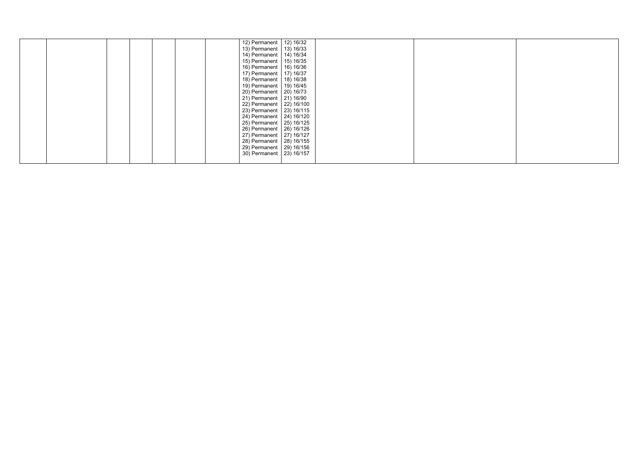|  |  |  | 12) Permanent   12) 16/32  |  |  |  |
|--|--|--|----------------------------|--|--|--|
|  |  |  | 13) Permanent   13) 16/33  |  |  |  |
|  |  |  | 14) Permanent   14) 16/34  |  |  |  |
|  |  |  | 15) Permanent   15) 16/35  |  |  |  |
|  |  |  | 16) Permanent   16) 16/36  |  |  |  |
|  |  |  | 17) Permanent   17) 16/37  |  |  |  |
|  |  |  | 18) Permanent   18) 16/38  |  |  |  |
|  |  |  | 19) Permanent   19) 16/45  |  |  |  |
|  |  |  | 20) Permanent   20) 16/73  |  |  |  |
|  |  |  | 21) Permanent   21) 16/90  |  |  |  |
|  |  |  | 22) Permanent   22) 16/100 |  |  |  |
|  |  |  | 23) Permanent   23) 16/115 |  |  |  |
|  |  |  | 24) Permanent   24) 16/120 |  |  |  |
|  |  |  | 25) Permanent   25) 16/125 |  |  |  |
|  |  |  | 26) Permanent   26) 16/126 |  |  |  |
|  |  |  | 27) Permanent   27) 16/127 |  |  |  |
|  |  |  | 28) Permanent   28) 16/155 |  |  |  |
|  |  |  | 29) Permanent   29) 16/156 |  |  |  |
|  |  |  | 30) Permanent   23) 16/157 |  |  |  |
|  |  |  |                            |  |  |  |
|  |  |  |                            |  |  |  |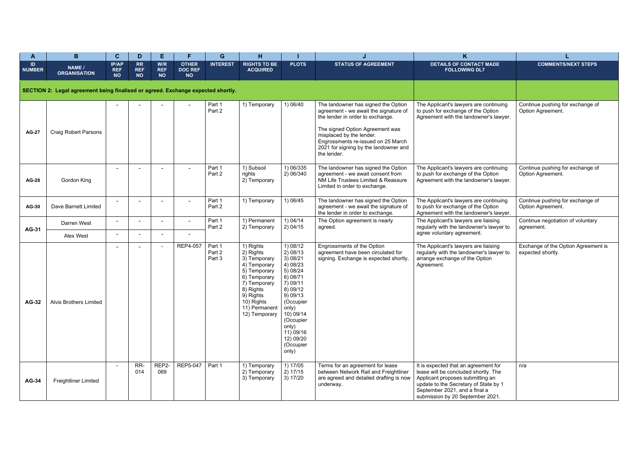| Α                   | B.                                                                               | $\mathbf{C}$                            | D                                    | E.                             | Е                                           | G                          | H.                                                                                                                                                                               |                                                                                                                                                                                                                   |                                                                                                                                                                                                                                                                               | K                                                                                                                                                                                                                              |                                                          |
|---------------------|----------------------------------------------------------------------------------|-----------------------------------------|--------------------------------------|--------------------------------|---------------------------------------------|----------------------------|----------------------------------------------------------------------------------------------------------------------------------------------------------------------------------|-------------------------------------------------------------------------------------------------------------------------------------------------------------------------------------------------------------------|-------------------------------------------------------------------------------------------------------------------------------------------------------------------------------------------------------------------------------------------------------------------------------|--------------------------------------------------------------------------------------------------------------------------------------------------------------------------------------------------------------------------------|----------------------------------------------------------|
| ID<br><b>NUMBER</b> | NAME /<br><b>ORGANISATION</b>                                                    | <b>IP/AP</b><br><b>REF</b><br><b>NO</b> | <b>RR</b><br><b>REF</b><br><b>NO</b> | W/R<br><b>REF</b><br><b>NO</b> | <b>OTHER</b><br><b>DOC REF</b><br><b>NO</b> | <b>INTEREST</b>            | <b>RIGHTS TO BE</b><br><b>ACQUIRED</b>                                                                                                                                           | <b>PLOTS</b>                                                                                                                                                                                                      | <b>STATUS OF AGREEMENT</b>                                                                                                                                                                                                                                                    | <b>DETAILS OF CONTACT MADE</b><br><b>FOLLOWING DL7</b>                                                                                                                                                                         | <b>COMMENTS/NEXT STEPS</b>                               |
|                     | SECTION 2: Legal agreement being finalised or agreed. Exchange expected shortly. |                                         |                                      |                                |                                             |                            |                                                                                                                                                                                  |                                                                                                                                                                                                                   |                                                                                                                                                                                                                                                                               |                                                                                                                                                                                                                                |                                                          |
| <b>AG-27</b>        | <b>Craig Robert Parsons</b>                                                      |                                         |                                      |                                |                                             | Part 1<br>Part 2           | 1) Temporary                                                                                                                                                                     | 1) 06/40                                                                                                                                                                                                          | The landowner has signed the Option<br>agreement - we await the signature of<br>the lender in order to exchange.<br>The signed Option Agreement was<br>misplaced by the lender.<br>Engrossments re-issued on 25 March<br>2021 for signing by the landowner and<br>the lender. | The Applicant's lawyers are continuing<br>to push for exchange of the Option<br>Agreement with the landowner's lawyer.                                                                                                         | Continue pushing for exchange of<br>Option Agreement.    |
| <b>AG-28</b>        | Gordon King                                                                      |                                         |                                      |                                | $\sim$                                      | Part 1<br>Part 2           | 1) Subsoil<br>rights<br>2) Temporary                                                                                                                                             | 1) 06/335<br>2) 06/340                                                                                                                                                                                            | The landowner has signed the Option<br>agreement - we await consent from<br>NM Life Trustees Limited & Reassure<br>Limited in order to exchange.                                                                                                                              | The Applicant's lawyers are continuing<br>to push for exchange of the Option<br>Agreement with the landowner's lawyer.                                                                                                         | Continue pushing for exchange of<br>Option Agreement.    |
| <b>AG-30</b>        | Dave Barnett Limited                                                             |                                         |                                      |                                | $\blacksquare$                              | Part 1<br>Part 2           | 1) Temporary                                                                                                                                                                     | 1) 06/45                                                                                                                                                                                                          | The landowner has signed the Option<br>agreement - we await the signature of<br>the lender in order to exchange.                                                                                                                                                              | The Applicant's lawyers are continuing<br>to push for exchange of the Option<br>Agreement with the landowner's lawyer.                                                                                                         | Continue pushing for exchange of<br>Option Agreement.    |
|                     | Darren West                                                                      |                                         | ۰                                    |                                | $\blacksquare$                              | Part 1<br>Part 2           | 1) Permanent<br>2) Temporary                                                                                                                                                     | 1) 04/14<br>2) 04/15                                                                                                                                                                                              | The Option agreement is nearly<br>agreed.                                                                                                                                                                                                                                     | The Applicant's lawyers are liaising<br>regularly with the landowner's lawyer to                                                                                                                                               | Continue negotiation of voluntary<br>agreement.          |
| <b>AG-31</b>        | Alex West                                                                        | $\sim$                                  | ۰                                    |                                | $\sim$                                      |                            |                                                                                                                                                                                  |                                                                                                                                                                                                                   |                                                                                                                                                                                                                                                                               | agree voluntary agreement.                                                                                                                                                                                                     |                                                          |
| <b>AG-32</b>        | Alvis Brothers Limited                                                           |                                         |                                      |                                | REP4-057                                    | Part 1<br>Part 2<br>Part 3 | 1) Rights<br>2) Rights<br>3) Temporary<br>4) Temporary<br>5) Temporary<br>6) Temporary<br>7) Temporary<br>8) Rights<br>9) Rights<br>10) Rights<br>11) Permanent<br>12) Temporary | 1) 08/12<br>2) 08/13<br>3) 08/21<br>4) 08/23<br>5) 08/24<br>6) 08/71<br>7) 09/11<br>8) 09/12<br>9) 09/13<br>(Occupier<br>only)<br>10) 09/14<br>(Occupier<br>only)<br>11) 09/16<br>12) 09/20<br>(Occupier<br>only) | Engrossments of the Option<br>agreement have been circulated for<br>signing. Exchange is expected shortly.                                                                                                                                                                    | The Applicant's lawyers are liaising<br>regularly with the landowner's lawyer to<br>arrange exchange of the Option<br>Agreement.                                                                                               | Exchange of the Option Agreement is<br>expected shortly. |
| <b>AG-34</b>        | <b>Freightliner Limited</b>                                                      |                                         | RR-<br>014                           | REP2-<br>069                   | REP5-047                                    | Part 1                     | 1) Temporary<br>2) Temporary<br>3) Temporary                                                                                                                                     | 1) 17/05<br>2) 17/15<br>3) 17/20                                                                                                                                                                                  | Terms for an agreement for lease<br>between Network Rail and Freightliner<br>are agreed and detailed drafting is now<br>underway.                                                                                                                                             | It is expected that an agreement for<br>lease will be concluded shortly. The<br>Applicant proposes submitting an<br>update to the Secretary of State by 1<br>September 2021, and a final a<br>submission by 20 September 2021. | n/a                                                      |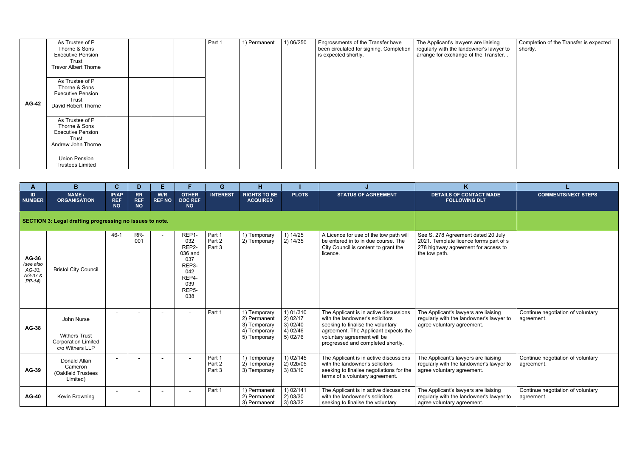|              | As Trustee of P<br>Thorne & Sons<br><b>Executive Pension</b><br>Trust<br><b>Trevor Albert Thorne</b> | Part 1 | 1) Permanent | 1) 06/250 | Engrossments of the Transfer have<br>been circulated for signing. Completion<br>is expected shortly. | The Applicant's lawyers are liaising<br>regularly with the landowner's lawyer to<br>arrange for exchange of the Transfer. . | Completion of the Transfer is expected<br>shortly. |
|--------------|------------------------------------------------------------------------------------------------------|--------|--------------|-----------|------------------------------------------------------------------------------------------------------|-----------------------------------------------------------------------------------------------------------------------------|----------------------------------------------------|
| <b>AG-42</b> | As Trustee of P<br>Thorne & Sons<br><b>Executive Pension</b><br>Trust<br>David Robert Thorne         |        |              |           |                                                                                                      |                                                                                                                             |                                                    |
|              | As Trustee of P<br>Thorne & Sons<br><b>Executive Pension</b><br>Trust<br>Andrew John Thorne          |        |              |           |                                                                                                      |                                                                                                                             |                                                    |
|              | <b>Union Pension</b><br><b>Trustees Limited</b>                                                      |        |              |           |                                                                                                      |                                                                                                                             |                                                    |

| A                                                    | B                                                                     | $\mathbf{C}$                            | D                                    | Е.                   |                                                                                                                 | G                          | н                                                            |                                              |                                                                                                                                                          | $\mathsf{K}$                                                                                                                         |                                                 |
|------------------------------------------------------|-----------------------------------------------------------------------|-----------------------------------------|--------------------------------------|----------------------|-----------------------------------------------------------------------------------------------------------------|----------------------------|--------------------------------------------------------------|----------------------------------------------|----------------------------------------------------------------------------------------------------------------------------------------------------------|--------------------------------------------------------------------------------------------------------------------------------------|-------------------------------------------------|
| ID.<br><b>NUMBER</b>                                 | NAME /<br><b>ORGANISATION</b>                                         | <b>IP/AP</b><br><b>REF</b><br><b>NO</b> | <b>RR</b><br><b>REF</b><br><b>NO</b> | W/R<br><b>REF NO</b> | <b>OTHER</b><br><b>DOC REF</b><br><b>NO</b>                                                                     | <b>INTEREST</b>            | <b>RIGHTS TO BE</b><br><b>ACQUIRED</b>                       | <b>PLOTS</b>                                 | <b>STATUS OF AGREEMENT</b>                                                                                                                               | <b>DETAILS OF CONTACT MADE</b><br><b>FOLLOWING DL7</b>                                                                               | <b>COMMENTS/NEXT STEPS</b>                      |
|                                                      | SECTION 3: Legal drafting progressing no issues to note.              |                                         |                                      |                      |                                                                                                                 |                            |                                                              |                                              |                                                                                                                                                          |                                                                                                                                      |                                                 |
| AG-36<br>(see also<br>$AG-33,$<br>AG-37 &<br>$PP-14$ | <b>Bristol City Council</b>                                           | $46 - 1$                                | RR-<br>001                           |                      | REP1-<br>032<br>REP <sub>2</sub> -<br>036 and<br>037<br>REP3-<br>042<br>REP4-<br>039<br>REP <sub>5</sub><br>038 | Part 1<br>Part 2<br>Part 3 | 1) Temporary<br>2) Temporary                                 | 1) 14/25<br>2) 14/35                         | A Licence for use of the tow path will<br>be entered in to in due course. The<br>City Council is content to grant the<br>licence.                        | See S. 278 Agreement dated 20 July<br>2021. Template licence forms part of s<br>278 highway agreement for access to<br>the tow path. |                                                 |
| <b>AG-38</b>                                         | John Nurse                                                            |                                         |                                      |                      | $\blacksquare$                                                                                                  | Part 1                     | 1) Temporary<br>2) Permanent<br>3) Temporary<br>4) Temporary | 1) 01/310<br>2) 02/17<br>3) 02/40<br>4)02/46 | The Applicant is in active discussions<br>with the landowner's solicitors<br>seeking to finalise the voluntary<br>agreement. The Applicant expects the   | The Applicant's lawyers are liaising<br>regularly with the landowner's lawyer to<br>agree voluntary agreement.                       | Continue negotiation of voluntary<br>agreement. |
|                                                      | <b>Withers Trust</b><br><b>Corporation Limited</b><br>c/o Withers LLP |                                         |                                      |                      |                                                                                                                 |                            | 5) Temporary                                                 | 5) 02/76                                     | voluntary agreement will be<br>progressed and completed shortly.                                                                                         |                                                                                                                                      |                                                 |
| <b>AG-39</b>                                         | Donald Allan<br>Cameron<br>(Oakfield Trustees<br>Limited)             |                                         |                                      |                      |                                                                                                                 | Part 1<br>Part 2<br>Part 3 | 1) Temporary<br>2) Temporary<br>3) Temporary                 | 1) 02/145<br>$2)$ 02b/05<br>3) 03/10         | The Applicant is in active discussions<br>with the landowner's solicitors<br>seeking to finalise negotiations for the<br>terms of a voluntary agreement. | The Applicant's lawyers are liaising<br>regularly with the landowner's lawyer to<br>agree voluntary agreement.                       | Continue negotiation of voluntary<br>agreement. |
| <b>AG-40</b>                                         | Kevin Browning                                                        |                                         |                                      |                      |                                                                                                                 | Part 1                     | 1) Permanent<br>2) Permanent<br>3) Permanent                 | 1) 02/141<br>2) 03/30<br>3) 03/32            | The Applicant is in active discussions<br>with the landowner's solicitors<br>seeking to finalise the voluntary                                           | The Applicant's lawyers are liaising<br>regularly with the landowner's lawyer to<br>agree voluntary agreement.                       | Continue negotiation of voluntary<br>agreement. |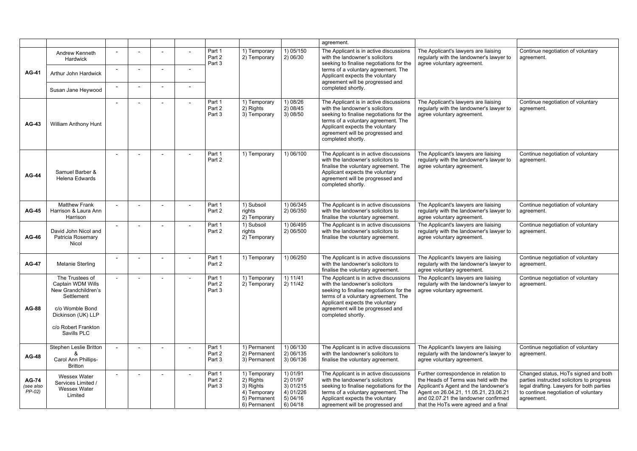|                                       |                                                                                                                                                          |        |                |        |                            |                                                                                        |                                                                        | agreement.                                                                                                                                                                                                                                                |                                                                                                                                                                                                                                                  |                                                                                                                                                                                     |
|---------------------------------------|----------------------------------------------------------------------------------------------------------------------------------------------------------|--------|----------------|--------|----------------------------|----------------------------------------------------------------------------------------|------------------------------------------------------------------------|-----------------------------------------------------------------------------------------------------------------------------------------------------------------------------------------------------------------------------------------------------------|--------------------------------------------------------------------------------------------------------------------------------------------------------------------------------------------------------------------------------------------------|-------------------------------------------------------------------------------------------------------------------------------------------------------------------------------------|
|                                       | Andrew Kenneth<br>Hardwick                                                                                                                               |        |                |        | Part 1<br>Part 2<br>Part 3 | 1) Temporary<br>2) Temporary                                                           | 1) 05/150<br>2) 06/30                                                  | The Applicant is in active discussions<br>with the landowner's solicitors<br>seeking to finalise negotiations for the                                                                                                                                     | The Applicant's lawyers are liaising<br>regularly with the landowner's lawyer to<br>agree voluntary agreement.                                                                                                                                   | Continue negotiation of voluntary<br>agreement.                                                                                                                                     |
| <b>AG-41</b>                          | Arthur John Hardwick                                                                                                                                     |        |                |        |                            |                                                                                        |                                                                        | terms of a voluntary agreement. The<br>Applicant expects the voluntary<br>agreement will be progressed and                                                                                                                                                |                                                                                                                                                                                                                                                  |                                                                                                                                                                                     |
|                                       | Susan Jane Heywood                                                                                                                                       |        | $\blacksquare$ |        |                            |                                                                                        |                                                                        | completed shortly.                                                                                                                                                                                                                                        |                                                                                                                                                                                                                                                  |                                                                                                                                                                                     |
| <b>AG-43</b>                          | <b>William Anthony Hunt</b>                                                                                                                              |        | ۰.             |        | Part 1<br>Part 2<br>Part 3 | 1) Temporary<br>2) Rights<br>3) Temporary                                              | 1) 08/26<br>2)08/45<br>3) 08/50                                        | The Applicant is in active discussions<br>with the landowner's solicitors<br>seeking to finalise negotiations for the<br>terms of a voluntary agreement. The<br>Applicant expects the voluntary<br>agreement will be progressed and<br>completed shortly. | The Applicant's lawyers are liaising<br>regularly with the landowner's lawyer to<br>agree voluntary agreement.                                                                                                                                   | Continue negotiation of voluntary<br>agreement.                                                                                                                                     |
| <b>AG-44</b>                          | Samuel Barber &<br><b>Helena Edwards</b>                                                                                                                 |        |                |        | Part 1<br>Part 2           | 1) Temporary                                                                           | 1) 06/100                                                              | The Applicant is in active discussions<br>with the landowner's solicitors to<br>finalise the voluntary agreement. The<br>Applicant expects the voluntary<br>agreement will be progressed and<br>completed shortly.                                        | The Applicant's lawyers are liaising<br>regularly with the landowner's lawyer to<br>agree voluntary agreement.                                                                                                                                   | Continue negotiation of voluntary<br>agreement.                                                                                                                                     |
| <b>AG-45</b>                          | <b>Matthew Frank</b><br>Harrison & Laura Ann<br>Harrison                                                                                                 |        |                |        | Part 1<br>Part 2           | 1) Subsoil<br>rights<br>2) Temporary                                                   | 1) 06/345<br>2) 06/350                                                 | The Applicant is in active discussions<br>with the landowner's solicitors to<br>finalise the voluntary agreement.                                                                                                                                         | The Applicant's lawyers are liaising<br>regularly with the landowner's lawyer to<br>agree voluntary agreement.                                                                                                                                   | Continue negotiation of voluntary<br>agreement.                                                                                                                                     |
| <b>AG-46</b>                          | David John Nicol and<br>Patricia Rosemary<br>Nicol                                                                                                       | $\sim$ |                |        | Part 1<br>Part 2           | 1) Subsoil<br>rights<br>2) Temporary                                                   | 1) 06/495<br>2) 06/500                                                 | The Applicant is in active discussions<br>with the landowner's solicitors to<br>finalise the voluntary agreement.                                                                                                                                         | The Applicant's lawyers are liaising<br>regularly with the landowner's lawyer to<br>agree voluntary agreement.                                                                                                                                   | Continue negotiation of voluntary<br>agreement.                                                                                                                                     |
| <b>AG-47</b>                          | Melanie Sterling                                                                                                                                         | $\sim$ | $\blacksquare$ |        | Part 1<br>Part 2           | 1) Temporary                                                                           | 1) 06/250                                                              | The Applicant is in active discussions<br>with the landowner's solicitors to<br>finalise the voluntary agreement.                                                                                                                                         | The Applicant's lawyers are liaising<br>regularly with the landowner's lawyer to<br>agree voluntary agreement.                                                                                                                                   | Continue negotiation of voluntary<br>agreement.                                                                                                                                     |
| <b>AG-88</b>                          | The Trustees of<br>Captain WDM Wills<br>New Grandchildren's<br>Settlement<br>c/o Womble Bond<br>Dickinson (UK) LLP<br>c/o Robert Frankton<br>Savills PLC |        |                |        | Part 1<br>Part 2<br>Part 3 | 1) Temporary<br>2) Temporary                                                           | 1) 11/41<br>2) 11/42                                                   | The Applicant is in active discussions<br>with the landowner's solicitors<br>seeking to finalise negotiations for the<br>terms of a voluntary agreement. The<br>Applicant expects the voluntary<br>agreement will be progressed and<br>completed shortly. | The Applicant's lawyers are liaising<br>regularly with the landowner's lawyer to<br>agree voluntary agreement.                                                                                                                                   | Continue negotiation of voluntary<br>agreement.                                                                                                                                     |
| <b>AG-48</b>                          | Stephen Leslie Britton<br>Carol Ann Phillips-<br><b>Britton</b>                                                                                          | $\sim$ |                |        | Part 1<br>Part 2<br>Part 3 | 1) Permanent<br>2) Permanent<br>3) Permanent                                           | 1) 06/130<br>2) 06/135<br>3) 06/136                                    | The Applicant is in active discussions<br>with the landowner's solicitors to<br>finalise the voluntary agreement.                                                                                                                                         | The Applicant's lawyers are liaising<br>regularly with the landowner's lawyer to<br>agree voluntary agreement.                                                                                                                                   | Continue negotiation of voluntary<br>agreement.                                                                                                                                     |
| <b>AG-74</b><br>(see also<br>$PP-02)$ | Wessex Water<br>Services Limited /<br>Wessex Water<br>Limited                                                                                            |        |                | $\sim$ | Part 1<br>Part 2<br>Part 3 | 1) Temporary<br>2) Rights<br>3) Rights<br>4) Temporary<br>5) Permanent<br>6) Permanent | 1) 01/91<br>2) 01/97<br>3) 01/215<br>4) 01/226<br>5) 04/16<br>6) 04/18 | The Applicant is in active discussions<br>with the landowner's solicitors<br>seeking to finalise negotiations for the<br>terms of a voluntary agreement. The<br>Applicant expects the voluntary<br>agreement will be progressed and                       | Further correspondence in relation to<br>the Heads of Terms was held with the<br>Applicant's Agent and the landowner's<br>Agent on 26.04.21, 11.05.21, 23.06.21<br>and 02.07.21 the landowner confirmed<br>that the HoTs were agreed and a final | Changed status, HoTs signed and both<br>parties instructed solicitors to progress<br>legal drafting. Lawyers for both parties<br>to continue negotiation of voluntary<br>agreement. |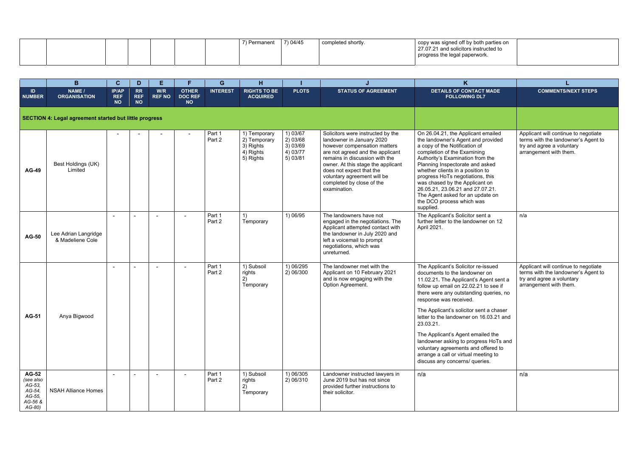| 7) 04/45<br>copy was signed off by both parties on<br>completed shortly.<br>27.07.21 and solicitors instructed to<br>progress the legal paperwork. |  |
|----------------------------------------------------------------------------------------------------------------------------------------------------|--|
|----------------------------------------------------------------------------------------------------------------------------------------------------|--|

|                                                                              | B                                                             | $\mathbf{C}$                            | D                                    | E.                   |                                             | G                | н                                                                   |                                                         |                                                                                                                                                                                                                                                                                                                    | K                                                                                                                                                                                                                                                                                                                                                                                                                                                                                                                             |                                                                                                                                    |
|------------------------------------------------------------------------------|---------------------------------------------------------------|-----------------------------------------|--------------------------------------|----------------------|---------------------------------------------|------------------|---------------------------------------------------------------------|---------------------------------------------------------|--------------------------------------------------------------------------------------------------------------------------------------------------------------------------------------------------------------------------------------------------------------------------------------------------------------------|-------------------------------------------------------------------------------------------------------------------------------------------------------------------------------------------------------------------------------------------------------------------------------------------------------------------------------------------------------------------------------------------------------------------------------------------------------------------------------------------------------------------------------|------------------------------------------------------------------------------------------------------------------------------------|
| ID.<br><b>NUMBER</b>                                                         | NAME /<br><b>ORGANISATION</b>                                 | <b>IP/AP</b><br><b>REF</b><br><b>NO</b> | <b>RR</b><br><b>REF</b><br><b>NO</b> | W/R<br><b>REF NO</b> | <b>OTHER</b><br><b>DOC REF</b><br><b>NO</b> | <b>INTEREST</b>  | <b>RIGHTS TO BE</b><br><b>ACQUIRED</b>                              | <b>PLOTS</b>                                            | <b>STATUS OF AGREEMENT</b>                                                                                                                                                                                                                                                                                         | <b>DETAILS OF CONTACT MADE</b><br><b>FOLLOWING DL7</b>                                                                                                                                                                                                                                                                                                                                                                                                                                                                        | <b>COMMENTS/NEXT STEPS</b>                                                                                                         |
|                                                                              | <b>SECTION 4: Legal agreement started but little progress</b> |                                         |                                      |                      |                                             |                  |                                                                     |                                                         |                                                                                                                                                                                                                                                                                                                    |                                                                                                                                                                                                                                                                                                                                                                                                                                                                                                                               |                                                                                                                                    |
| <b>AG-49</b>                                                                 | Best Holdings (UK)<br>Limited                                 |                                         |                                      |                      |                                             | Part 1<br>Part 2 | 1) Temporary<br>2) Temporary<br>3) Rights<br>4) Rights<br>5) Rights | 1) 03/67<br>2)03/68<br>3) 03/69<br>4) 03/77<br>5) 03/81 | Solicitors were instructed by the<br>landowner in January 2020<br>however compensation matters<br>are not agreed and the applicant<br>remains in discussion with the<br>owner. At this stage the applicant<br>does not expect that the<br>voluntary agreement will be<br>completed by close of the<br>examination. | On 26.04.21, the Applicant emailed<br>the landowner's Agent and provided<br>a copy of the Notification of<br>completion of the Examining<br>Authority's Examination from the<br>Planning Inspectorate and asked<br>whether clients in a position to<br>progress HoTs negotiations, this<br>was chased by the Applicant on<br>26.05.21, 23.06.21 and 27.07.21.<br>The Agent asked for an update on<br>the DCO process which was<br>supplied.                                                                                   | Applicant will continue to negotiate<br>terms with the landowner's Agent to<br>try and agree a voluntary<br>arrangement with them. |
| <b>AG-50</b>                                                                 | Lee Adrian Langridge<br>& Madeliene Cole                      | $\blacksquare$                          |                                      | $\blacksquare$       | $\overline{\phantom{a}}$                    | Part 1<br>Part 2 | 1)<br>Temporary                                                     | 1) 06/95                                                | The landowners have not<br>engaged in the negotiations. The<br>Applicant attempted contact with<br>the landowner in July 2020 and<br>left a voicemail to prompt<br>negotiations, which was<br>unreturned.                                                                                                          | The Applicant's Solicitor sent a<br>further letter to the landowner on 12<br>April 2021.                                                                                                                                                                                                                                                                                                                                                                                                                                      | n/a                                                                                                                                |
| <b>AG-51</b>                                                                 | Anya Bigwood                                                  |                                         |                                      |                      |                                             | Part 1<br>Part 2 | 1) Subsoil<br>rights<br>Temporary                                   | 1) 06/295<br>2) 06/300                                  | The landowner met with the<br>Applicant on 10 February 2021<br>and is now engaging with the<br>Option Agreement.                                                                                                                                                                                                   | The Applicant's Solicitor re-issued<br>documents to the landowner on<br>11.02.21. The Applicant's Agent sent a<br>follow up email on 22.02.21 to see if<br>there were any outstanding queries, no<br>response was received.<br>The Applicant's solicitor sent a chaser<br>letter to the landowner on 16.03.21 and<br>23.03.21.<br>The Applicant's Agent emailed the<br>landowner asking to progress HoTs and<br>voluntary agreements and offered to<br>arrange a call or virtual meeting to<br>discuss any concerns/ queries. | Applicant will continue to negotiate<br>terms with the landowner's Agent to<br>try and agree a voluntary<br>arrangement with them. |
| <b>AG-52</b><br>(see also<br>AG-53,<br>AG-54,<br>AG-55,<br>AG-56 &<br>AG-80) | <b>NSAH Alliance Homes</b>                                    | $\sim$                                  |                                      | $\sim$               | $\sim$                                      | Part 1<br>Part 2 | 1) Subsoil<br>rights<br>2)<br>Temporary                             | 1) 06/305<br>2) 06/310                                  | Landowner instructed lawyers in<br>June 2019 but has not since<br>provided further instructions to<br>their solicitor.                                                                                                                                                                                             | n/a                                                                                                                                                                                                                                                                                                                                                                                                                                                                                                                           | n/a                                                                                                                                |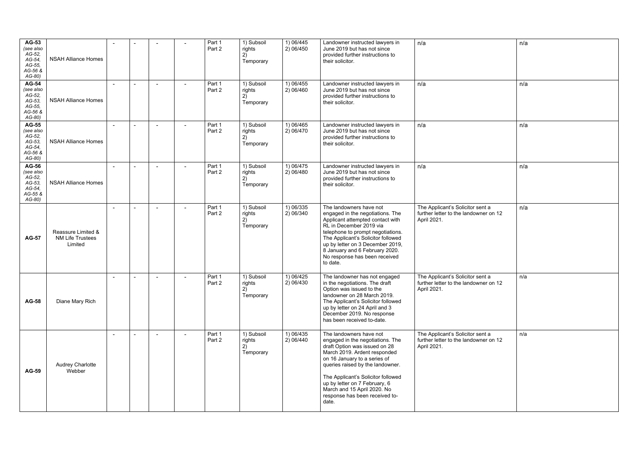| <b>AG-53</b><br>(see also<br>AG-52,<br>$AG-54$<br>AG-55,<br>AG-56 &<br>AG-80) | <b>NSAH Alliance Homes</b>                               |                          |  |                          | Part 1<br>Part 2 | 1) Subsoil<br>rights<br>2)<br>Temporary | 1) 06/445<br>2) 06/450 | Landowner instructed lawyers in<br>June 2019 but has not since<br>provided further instructions to<br>their solicitor.                                                                                                                                                                                                                            | n/a                                                                                      | n/a |
|-------------------------------------------------------------------------------|----------------------------------------------------------|--------------------------|--|--------------------------|------------------|-----------------------------------------|------------------------|---------------------------------------------------------------------------------------------------------------------------------------------------------------------------------------------------------------------------------------------------------------------------------------------------------------------------------------------------|------------------------------------------------------------------------------------------|-----|
| <b>AG-54</b><br>(see also<br>AG-52,<br>AG-53,<br>AG-55,<br>AG-56 &<br>AG-80)  | <b>NSAH Alliance Homes</b>                               | $\blacksquare$           |  | $\overline{\phantom{a}}$ | Part 1<br>Part 2 | 1) Subsoil<br>rights<br>2)<br>Temporary | 1) 06/455<br>2) 06/460 | Landowner instructed lawyers in<br>June 2019 but has not since<br>provided further instructions to<br>their solicitor.                                                                                                                                                                                                                            | n/a                                                                                      | n/a |
| <b>AG-55</b><br>(see also<br>AG-52,<br>$AG-53$<br>AG-54,<br>AG-56 &<br>AG-80) | <b>NSAH Alliance Homes</b>                               |                          |  |                          | Part 1<br>Part 2 | 1) Subsoil<br>rights<br>2)<br>Temporary | 1) 06/465<br>2) 06/470 | Landowner instructed lawyers in<br>June 2019 but has not since<br>provided further instructions to<br>their solicitor.                                                                                                                                                                                                                            | n/a                                                                                      | n/a |
| <b>AG-56</b><br>(see also<br>AG-52,<br>AG-53,<br>AG-54,<br>AG-55 &<br>$AG-80$ | <b>NSAH Alliance Homes</b>                               |                          |  |                          | Part 1<br>Part 2 | 1) Subsoil<br>rights<br>2)<br>Temporary | 1) 06/475<br>2) 06/480 | Landowner instructed lawyers in<br>June 2019 but has not since<br>provided further instructions to<br>their solicitor.                                                                                                                                                                                                                            | n/a                                                                                      | n/a |
| <b>AG-57</b>                                                                  | Reassure Limited &<br><b>NM Life Trustees</b><br>Limited | $\overline{\phantom{a}}$ |  |                          | Part 1<br>Part 2 | 1) Subsoil<br>rights<br>2)<br>Temporary | 1) 06/335<br>2) 06/340 | The landowners have not<br>engaged in the negotiations. The<br>Applicant attempted contact with<br>RL in December 2019 via<br>telephone to prompt negotiations.<br>The Applicant's Solicitor followed<br>up by letter on 3 December 2019,<br>8 January and 6 February 2020.<br>No response has been received<br>to date.                          | The Applicant's Solicitor sent a<br>further letter to the landowner on 12<br>April 2021. | n/a |
| <b>AG-58</b>                                                                  | Diane Mary Rich                                          |                          |  |                          | Part 1<br>Part 2 | 1) Subsoil<br>rights<br>2)<br>Temporary | 1) 06/425<br>2) 06/430 | The landowner has not engaged<br>in the negotiations. The draft<br>Option was issued to the<br>landowner on 28 March 2019.<br>The Applicant's Solicitor followed<br>up by letter on 24 April and 3<br>December 2019. No response<br>has been received to-date.                                                                                    | The Applicant's Solicitor sent a<br>further letter to the landowner on 12<br>April 2021. | n/a |
| <b>AG-59</b>                                                                  | <b>Audrey Charlotte</b><br>Webber                        |                          |  |                          | Part 1<br>Part 2 | 1) Subsoil<br>rights<br>2)<br>Temporary | 1) 06/435<br>2) 06/440 | The landowners have not<br>engaged in the negotiations. The<br>draft Option was issued on 28<br>March 2019. Ardent responded<br>on 16 January to a series of<br>queries raised by the landowner.<br>The Applicant's Solicitor followed<br>up by letter on 7 February, 6<br>March and 15 April 2020. No<br>response has been received to-<br>date. | The Applicant's Solicitor sent a<br>further letter to the landowner on 12<br>April 2021. | n/a |

|                      | n/a |
|----------------------|-----|
|                      | n/a |
|                      | n/a |
|                      | n/a |
| sent a<br>wner on 12 | n/a |
| sent a<br>wner on 12 | n/a |
| sent a<br>wner on 12 | n/a |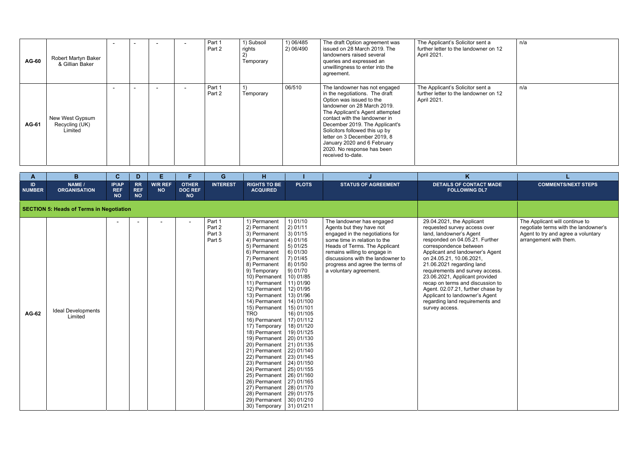| <b>AG-60</b> | Robert Martyn Baker<br>& Gillian Baker       |  |  | Part 1<br>Part 2 | 1) Subsoil<br>rights<br>$\epsilon$<br>Temporary | 1) 06/485<br>2) 06/490 | The draft Option agreement was<br>issued on 28 March 2019. The<br>landowners raised several<br>queries and expressed an<br>unwillingness to enter into the<br>agreement.                                                                                                                                                                                                             | The Applicant's Solicitor sent a<br>further letter to the landowner on 12<br>April 2021. |
|--------------|----------------------------------------------|--|--|------------------|-------------------------------------------------|------------------------|--------------------------------------------------------------------------------------------------------------------------------------------------------------------------------------------------------------------------------------------------------------------------------------------------------------------------------------------------------------------------------------|------------------------------------------------------------------------------------------|
| <b>AG-61</b> | New West Gypsum<br>Recycling (UK)<br>Limited |  |  | Part 1<br>Part 2 | Temporary                                       | 06/510                 | The landowner has not engaged<br>in the negotiations. The draft<br>Option was issued to the<br>landowner on 28 March 2019.<br>The Applicant's Agent attempted<br>contact with the landowner in<br>December 2019. The Applicant's<br>Solicitors followed this up by<br>letter on 3 December 2019, 8<br>January 2020 and 6 February<br>2020. No response has been<br>received to-date. | The Applicant's Solicitor sent a<br>further letter to the landowner on 12<br>April 2021. |

| nt a<br>er on 12 | n/a |
|------------------|-----|
| nt a<br>er on 12 | n/a |
|                  |     |

| $\mathbf{A}$        | B                                               | $\mathbf{C}$                     | D.                                   | E.                          | F                                           | G                                    | H                                                                                                                                                                                                                                                                                                                                                                                                                                                                                                                                                                                                                                                                     |                                                                                                                                                                                                                                                                          |                                                                                                                                                                                                                                                                                             | K                                                                                                                                                                                                                                                                                                                                                                                                                                                                                 |                                                                                                                                        |
|---------------------|-------------------------------------------------|----------------------------------|--------------------------------------|-----------------------------|---------------------------------------------|--------------------------------------|-----------------------------------------------------------------------------------------------------------------------------------------------------------------------------------------------------------------------------------------------------------------------------------------------------------------------------------------------------------------------------------------------------------------------------------------------------------------------------------------------------------------------------------------------------------------------------------------------------------------------------------------------------------------------|--------------------------------------------------------------------------------------------------------------------------------------------------------------------------------------------------------------------------------------------------------------------------|---------------------------------------------------------------------------------------------------------------------------------------------------------------------------------------------------------------------------------------------------------------------------------------------|-----------------------------------------------------------------------------------------------------------------------------------------------------------------------------------------------------------------------------------------------------------------------------------------------------------------------------------------------------------------------------------------------------------------------------------------------------------------------------------|----------------------------------------------------------------------------------------------------------------------------------------|
| ID<br><b>NUMBER</b> | NAME /<br><b>ORGANISATION</b>                   | IP/AP<br><b>REF</b><br><b>NO</b> | <b>RR</b><br><b>REF</b><br><b>NO</b> | <b>W/R REF</b><br><b>NO</b> | <b>OTHER</b><br><b>DOC REF</b><br><b>NO</b> | <b>INTEREST</b>                      | <b>RIGHTS TO BE</b><br><b>ACQUIRED</b>                                                                                                                                                                                                                                                                                                                                                                                                                                                                                                                                                                                                                                | <b>PLOTS</b>                                                                                                                                                                                                                                                             | <b>STATUS OF AGREEMENT</b>                                                                                                                                                                                                                                                                  | <b>DETAILS OF CONTACT MADE</b><br><b>FOLLOWING DL7</b>                                                                                                                                                                                                                                                                                                                                                                                                                            | <b>COMMENTS/NEXT STEPS</b>                                                                                                             |
|                     | <b>SECTION 5: Heads of Terms in Negotiation</b> |                                  |                                      |                             |                                             |                                      |                                                                                                                                                                                                                                                                                                                                                                                                                                                                                                                                                                                                                                                                       |                                                                                                                                                                                                                                                                          |                                                                                                                                                                                                                                                                                             |                                                                                                                                                                                                                                                                                                                                                                                                                                                                                   |                                                                                                                                        |
| <b>AG-62</b>        | <b>Ideal Developments</b><br>Limited            | $\sim$                           |                                      |                             | $\sim$                                      | Part 1<br>Part 2<br>Part 3<br>Part 5 | 1) Permanent<br>2) Permanent<br>3) Permanent<br>4) Permanent<br>5) Permanent<br>6) Permanent<br>7) Permanent<br>8) Permanent<br>9) Temporary<br>10) Permanent<br>11) Permanent<br>12) Permanent<br>13) Permanent<br>14) Permanent<br>15) Permanent<br><b>TRO</b><br>16) Permanent<br>17) Temporary<br>18) Permanent<br>19) Permanent   20) 01/130<br>20) Permanent   21) 01/135<br>21) Permanent   22) 01/140<br>22) Permanent   23) 01/145<br>23) Permanent   24) 01/150<br>24) Permanent   25) 01/155<br>25) Permanent   26) 01/160<br>26) Permanent   27) 01/165<br>27) Permanent   28) 01/170<br>28) Permanent  <br>29) Permanent  <br>30) Temporary   31) 01/211 | 1) 01/10<br>2) 01/11<br>3) 01/15<br>4)01/16<br>5)01/25<br>6)01/30<br>7)01/45<br>8) 01/50<br>9) 01/70<br>10) 01/85<br>11) 01/90<br>12) 01/95<br>13) 01/96<br>14) 01/100<br>15) 01/101<br>16) 01/105<br>17) 01/112<br>18) 01/120<br>19) 01/125<br>29) 01/175<br>30) 01/210 | The landowner has engaged<br>Agents but they have not<br>engaged in the negotiations for<br>some time in relation to the<br>Heads of Terms. The Applicant<br>remains willing to engage in<br>discussions with the landowner to<br>progress and agree the terms of<br>a voluntary agreement. | 29.04.2021, the Applicant<br>requested survey access over<br>land, landowner's Agent<br>responded on 04.05.21. Further<br>correspondence between<br>Applicant and landowner's Agent<br>on 24.05.21, 10.06.2021,<br>21.06.2021 regarding land<br>requirements and survey access.<br>23.06.2021, Applicant provided<br>recap on terms and discussion to<br>Agent. 02.07.21, further chase by<br>Applicant to landowner's Agent<br>regarding land requirements and<br>survey access. | The Applicant will continue to<br>negotiate terms with the landowner's<br>Agent to try and agree a voluntary<br>arrangement with them. |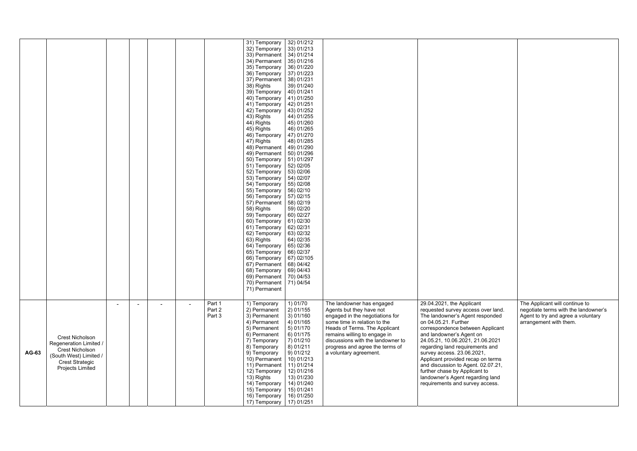|       |                                                                                                                                             |                |  |                |                            | 31) Temporary<br>32) Temporary<br>33) Permanent<br>34) Permanent<br>35) Temporary<br>36) Temporary<br>37) Permanent<br>38) Rights<br>39) Temporary<br>40) Temporary<br>41) Temporary<br>42) Temporary<br>43) Rights<br>44) Rights<br>45) Rights<br>46) Temporary<br>47) Rights<br>48) Permanent<br>49) Permanent<br>50) Temporary<br>51) Temporary<br>52) Temporary<br>53) Temporary<br>54) Temporary<br>55) Temporary<br>56) Temporary<br>57) Permanent<br>58) Rights<br>59) Temporary<br>60) Temporary<br>61) Temporary<br>62) Temporary<br>63) Rights<br>64) Temporary<br>65) Temporary<br>66) Temporary<br>67) Permanent   68) 04/42<br>68) Temporary<br>69) Permanent   70) 04/53<br>70) Permanent   71) 04/54 | 32) 01/212<br>33) 01/213<br>34) 01/214<br>35) 01/216<br>36) 01/220<br>37) 01/223<br>38) 01/231<br>39) 01/240<br>40) 01/241<br>41) 01/250<br>42) 01/251<br>43) 01/252<br>44) 01/255<br>45) 01/260<br>46) 01/265<br>47) 01/270<br>48) 01/285<br>49) 01/290<br>50) 01/296<br>51) 01/297<br>52) 02/05<br>53) 02/06<br>54) 02/07<br>55) 02/08<br>56)02/10<br>57) 02/15<br>58) 02/19<br>59) 02/20<br>60) 02/27<br>61) 02/30<br>62) 02/31<br>63) 02/32<br>64) 02/35<br>65) 02/36<br>66) 02/37<br>67) 02/105<br>69) 04/43 |                                                                                                                                                                                                                                                                                             |                                                                                                                                                                                                                                                                                                                                                                                                                                                                                    |                                                                                                                                        |
|-------|---------------------------------------------------------------------------------------------------------------------------------------------|----------------|--|----------------|----------------------------|---------------------------------------------------------------------------------------------------------------------------------------------------------------------------------------------------------------------------------------------------------------------------------------------------------------------------------------------------------------------------------------------------------------------------------------------------------------------------------------------------------------------------------------------------------------------------------------------------------------------------------------------------------------------------------------------------------------------|-------------------------------------------------------------------------------------------------------------------------------------------------------------------------------------------------------------------------------------------------------------------------------------------------------------------------------------------------------------------------------------------------------------------------------------------------------------------------------------------------------------------|---------------------------------------------------------------------------------------------------------------------------------------------------------------------------------------------------------------------------------------------------------------------------------------------|------------------------------------------------------------------------------------------------------------------------------------------------------------------------------------------------------------------------------------------------------------------------------------------------------------------------------------------------------------------------------------------------------------------------------------------------------------------------------------|----------------------------------------------------------------------------------------------------------------------------------------|
| AG-63 | Crest Nicholson<br>Regeneration Limited /<br><b>Crest Nicholson</b><br>(South West) Limited /<br><b>Crest Strategic</b><br>Projects Limited | $\blacksquare$ |  | $\blacksquare$ | Part 1<br>Part 2<br>Part 3 | 71) Permanent<br>1) Temporary<br>2) Permanent<br>3) Permanent<br>4) Permanent<br>5) Permanent<br>6) Permanent<br>7) Temporary<br>8) Temporary<br>9) Temporary<br>10) Permanent<br>11) Permanent<br>12) Temporary<br>13) Rights<br>14) Temporary<br>15) Temporary<br>16) Temporary<br>17) Temporary                                                                                                                                                                                                                                                                                                                                                                                                                  | 1) 01/70<br>2) 01/155<br>3) 01/160<br>4) 01/165<br>5)01/170<br>$6)$ 01/175<br>7) 01/210<br>8) 01/211<br>9) 01/212<br>10) 01/213<br>11) 01/214<br>12) 01/216<br>13) 01/230<br>14) 01/240<br>15) 01/241<br>16) 01/250<br>17) 01/251                                                                                                                                                                                                                                                                                 | The landowner has engaged<br>Agents but they have not<br>engaged in the negotiations for<br>some time in relation to the<br>Heads of Terms. The Applicant<br>remains willing to engage in<br>discussions with the landowner to<br>progress and agree the terms of<br>a voluntary agreement. | 29.04.2021, the Applicant<br>requested survey access over land.<br>The landowner's Agent responded<br>on 04.05.21. Further<br>correspondence between Applicant<br>and landowner's Agent on<br>24.05.21, 10.06.2021, 21.06.2021<br>regarding land requirements and<br>survey access. 23.06.2021,<br>Applicant provided recap on terms<br>and discussion to Agent. 02.07.21,<br>further chase by Applicant to<br>landowner's Agent regarding land<br>requirements and survey access. | The Applicant will continue to<br>negotiate terms with the landowner's<br>Agent to try and agree a voluntary<br>arrangement with them. |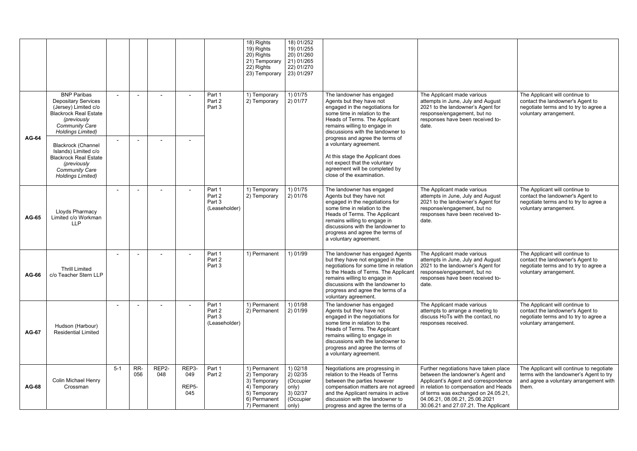|              |                                                                                                                                                                              |                  |            |              |                                           |                                             | 18) Rights<br>19) Rights<br>20) Rights<br>21) Temporary<br>22) Rights<br>23) Temporary                       | 18) 01/252<br>19) 01/255<br>20) 01/260<br>21) 01/265<br>22) 01/270<br>23) 01/297 |                                                                                                                                                                                                                                                                                             |                                                                                                                                                                                                                                                                              |                                                                                                                                        |
|--------------|------------------------------------------------------------------------------------------------------------------------------------------------------------------------------|------------------|------------|--------------|-------------------------------------------|---------------------------------------------|--------------------------------------------------------------------------------------------------------------|----------------------------------------------------------------------------------|---------------------------------------------------------------------------------------------------------------------------------------------------------------------------------------------------------------------------------------------------------------------------------------------|------------------------------------------------------------------------------------------------------------------------------------------------------------------------------------------------------------------------------------------------------------------------------|----------------------------------------------------------------------------------------------------------------------------------------|
| <b>AG-64</b> | <b>BNP Paribas</b><br><b>Depositary Services</b><br>(Jersey) Limited c/o<br><b>Blackrock Real Estate</b><br>(previously<br><b>Community Care</b><br><b>Holdings Limited)</b> | $\sim$<br>$\sim$ |            |              |                                           | Part 1<br>Part 2<br>Part 3                  | 1) Temporary<br>2) Temporary                                                                                 | 1) 01/75<br>2) 01/77                                                             | The landowner has engaged<br>Agents but they have not<br>engaged in the negotiations for<br>some time in relation to the<br>Heads of Terms. The Applicant<br>remains willing to engage in<br>discussions with the landowner to<br>progress and agree the terms of                           | The Applicant made various<br>attempts in June, July and August<br>2021 to the landowner's Agent for<br>response/engagement, but no<br>responses have been received to-<br>date.                                                                                             | The Applicant will continue to<br>contact the landowner's Agent to<br>negotiate terms and to try to agree a<br>voluntary arrangement.  |
|              | <b>Blackrock (Channel</b><br>Islands) Limited c/o<br><b>Blackrock Real Estate</b><br>(previously<br><b>Community Care</b><br><b>Holdings Limited)</b>                        |                  |            |              |                                           |                                             |                                                                                                              |                                                                                  | a voluntary agreement.<br>At this stage the Applicant does<br>not expect that the voluntary<br>agreement will be completed by<br>close of the examination.                                                                                                                                  |                                                                                                                                                                                                                                                                              |                                                                                                                                        |
| <b>AG-65</b> | Lloyds Pharmacy<br>Limited c/o Workman<br><b>LLP</b>                                                                                                                         |                  |            |              | $\sim$                                    | Part 1<br>Part 2<br>Part 3<br>(Leaseholder) | 1) Temporary<br>2) Temporary                                                                                 | 1) 01/75<br>2) 01/76                                                             | The landowner has engaged<br>Agents but they have not<br>engaged in the negotiations for<br>some time in relation to the<br>Heads of Terms. The Applicant<br>remains willing to engage in<br>discussions with the landowner to<br>progress and agree the terms of<br>a voluntary agreement. | The Applicant made various<br>attempts in June, July and August<br>2021 to the landowner's Agent for<br>response/engagement, but no<br>responses have been received to-<br>date.                                                                                             | The Applicant will continue to<br>contact the landowner's Agent to<br>negotiate terms and to try to agree a<br>voluntary arrangement.  |
| <b>AG-66</b> | <b>Thrill Limited</b><br>c/o Teacher Stern LLP                                                                                                                               |                  |            |              |                                           | Part 1<br>Part 2<br>Part 3                  | 1) Permanent                                                                                                 | 1) 01/99                                                                         | The landowner has engaged Agents<br>but they have not engaged in the<br>negotiations for some time in relation<br>to the Heads of Terms. The Applicant<br>remains willing to engage in<br>discussions with the landowner to<br>progress and agree the terms of a<br>voluntary agreement.    | The Applicant made various<br>attempts in June, July and August<br>2021 to the landowner's Agent for<br>response/engagement, but no<br>responses have been received to-<br>date.                                                                                             | The Applicant will continue to<br>contact the landowner's Agent to<br>negotiate terms and to try to agree a<br>voluntary arrangement.  |
| <b>AG-67</b> | Hudson (Harbour)<br><b>Residential Limited</b>                                                                                                                               | $\blacksquare$   |            |              | $\sim$                                    | Part 1<br>Part 2<br>Part 3<br>(Leaseholder) | 1) Permanent<br>2) Permanent                                                                                 | 1) 01/98<br>2) 01/99                                                             | The landowner has engaged<br>Agents but they have not<br>engaged in the negotiations for<br>some time in relation to the<br>Heads of Terms. The Applicant<br>remains willing to engage in<br>discussions with the landowner to<br>progress and agree the terms of<br>a voluntary agreement. | The Applicant made various<br>attempts to arrange a meeting to<br>discuss HoTs with the contact, no<br>responses received.                                                                                                                                                   | The Applicant will continue to<br>contact the landowner's Agent to<br>negotiate terms and to try to agree a<br>voluntary arrangement.  |
| <b>AG-68</b> | Colin Michael Henry<br>Crossman                                                                                                                                              | $5 - 1$          | RR-<br>056 | REP2-<br>048 | REP3-<br>049<br>REP <sub>5</sub> -<br>045 | Part 1<br>Part 2                            | 1) Permanent<br>2) Temporary<br>3) Temporary<br>4) Temporary<br>5) Temporary<br>6) Permanent<br>7) Permanent | $1)$ 02/18<br>2) 02/35<br>(Occupier<br>only)<br>3) 02/37<br>(Occupier<br>only)   | Negotiations are progressing in<br>relation to the Heads of Terms<br>between the parties however<br>compensation matters are not agreed<br>and the Applicant remains in active<br>discussion with the landowner to<br>progress and agree the terms of a                                     | Further negotiations have taken place<br>between the landowner's Agent and<br>Applicant's Agent and correspondence<br>in relation to compensation and Heads<br>of terms was exchanged on 24.05.21,<br>04.06.21, 08.06.21, 25.06.2021<br>30.06.21 and 27.07.21. The Applicant | The Applicant will continue to negotiate<br>terms with the landowner's Agent to try<br>and agree a voluntary arrangement with<br>them. |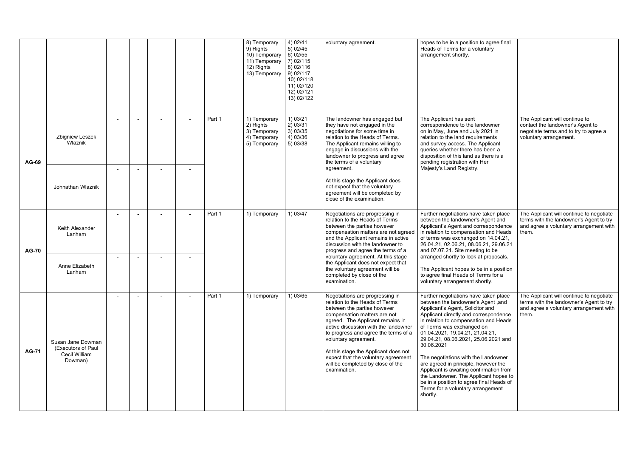|              |                                                                     |                          |  |        | 8) Temporary<br>9) Rights<br>10) Temporary<br>11) Temporary<br>12) Rights<br>13) Temporary | 4) 02/41<br>5) 02/45<br>$6)$ 02/55<br>7) 02/115<br>8) 02/116<br>9) 02/117<br>10) 02/118<br>11) 02/120<br>12) 02/121<br>13) 02/122 | voluntary agreement.                                                                                                                                                                                                                                                                                                                                                                                             | hopes to be in a position to agree final<br>Heads of Terms for a voluntary<br>arrangement shortly.                                                                                                                                                                                                                                                                                                                                                                                                                                                                                      |                                                                                                                                        |
|--------------|---------------------------------------------------------------------|--------------------------|--|--------|--------------------------------------------------------------------------------------------|-----------------------------------------------------------------------------------------------------------------------------------|------------------------------------------------------------------------------------------------------------------------------------------------------------------------------------------------------------------------------------------------------------------------------------------------------------------------------------------------------------------------------------------------------------------|-----------------------------------------------------------------------------------------------------------------------------------------------------------------------------------------------------------------------------------------------------------------------------------------------------------------------------------------------------------------------------------------------------------------------------------------------------------------------------------------------------------------------------------------------------------------------------------------|----------------------------------------------------------------------------------------------------------------------------------------|
| <b>AG-69</b> | Zbigniew Leszek<br>Wlaznik                                          |                          |  | Part 1 | 1) Temporary<br>2) Rights<br>3) Temporary<br>4) Temporary<br>5) Temporary                  | 1) 03/21<br>2) 03/31<br>3) 03/35<br>4) 03/36<br>5) 03/38                                                                          | The landowner has engaged but<br>they have not engaged in the<br>negotiations for some time in<br>relation to the Heads of Terms.<br>The Applicant remains willing to<br>engage in discussions with the<br>landowner to progress and agree<br>the terms of a voluntary                                                                                                                                           | The Applicant has sent<br>correspondence to the landowner<br>on in May, June and July 2021 in<br>relation to the land requirements<br>and survey access. The Applicant<br>queries whether there has been a<br>disposition of this land as there is a<br>pending registration with Her                                                                                                                                                                                                                                                                                                   | The Applicant will continue to<br>contact the landowner's Agent to<br>negotiate terms and to try to agree a<br>voluntary arrangement.  |
|              | Johnathan Wlaznik                                                   | $\sim$                   |  |        |                                                                                            |                                                                                                                                   | agreement.<br>At this stage the Applicant does<br>not expect that the voluntary<br>agreement will be completed by<br>close of the examination.                                                                                                                                                                                                                                                                   | Majesty's Land Registry.                                                                                                                                                                                                                                                                                                                                                                                                                                                                                                                                                                |                                                                                                                                        |
| <b>AG-70</b> | Keith Alexander<br>Lanham                                           | $\overline{\phantom{a}}$ |  | Part 1 | 1) Temporary                                                                               | 1) 03/47                                                                                                                          | Negotiations are progressing in<br>relation to the Heads of Terms<br>between the parties however<br>compensation matters are not agreed<br>and the Applicant remains in active<br>discussion with the landowner to<br>progress and agree the terms of a                                                                                                                                                          | Further negotiations have taken place<br>between the landowner's Agent and<br>Applicant's Agent and correspondence<br>in relation to compensation and Heads<br>of terms was exchanged on 14.04.21,<br>26.04.21, 02.06.21, 08.06.21, 29.06.21<br>and 07.07.21. Site meeting to be                                                                                                                                                                                                                                                                                                        | The Applicant will continue to negotiate<br>terms with the landowner's Agent to try<br>and agree a voluntary arrangement with<br>them. |
|              | Anne Elizabeth<br>Lanham                                            |                          |  |        |                                                                                            |                                                                                                                                   | voluntary agreement. At this stage<br>the Applicant does not expect that<br>the voluntary agreement will be<br>completed by close of the<br>examination.                                                                                                                                                                                                                                                         | arranged shortly to look at proposals.<br>The Applicant hopes to be in a position<br>to agree final Heads of Terms for a<br>voluntary arrangement shortly.                                                                                                                                                                                                                                                                                                                                                                                                                              |                                                                                                                                        |
| <b>AG-71</b> | Susan Jane Dowman<br>(Executors of Paul<br>Cecil William<br>Dowman) |                          |  | Part 1 | 1) Temporary                                                                               | 1) 03/65                                                                                                                          | Negotiations are progressing in<br>relation to the Heads of Terms<br>between the parties however<br>compensation matters are not<br>agreed. The Applicant remains in<br>active discussion with the landowner<br>to progress and agree the terms of a<br>voluntary agreement.<br>At this stage the Applicant does not<br>expect that the voluntary agreement<br>will be completed by close of the<br>examination. | Further negotiations have taken place<br>between the landowner's Agent, and<br>Applicant's Agent, Solicitor and<br>Applicant directly and correspondence<br>in relation to compensation and Heads<br>of Terms was exchanged on<br>01.04.2021, 19.04.21, 21.04.21,<br>29.04.21, 08.06.2021, 25.06.2021 and<br>30.06.2021<br>The negotiations with the Landowner<br>are agreed in principle, however the<br>Applicant is awaiting confirmation from<br>the Landowner. The Applicant hopes to<br>be in a position to agree final Heads of<br>Terms for a voluntary arrangement<br>shortly. | The Applicant will continue to negotiate<br>terms with the landowner's Agent to try<br>and agree a voluntary arrangement with<br>them. |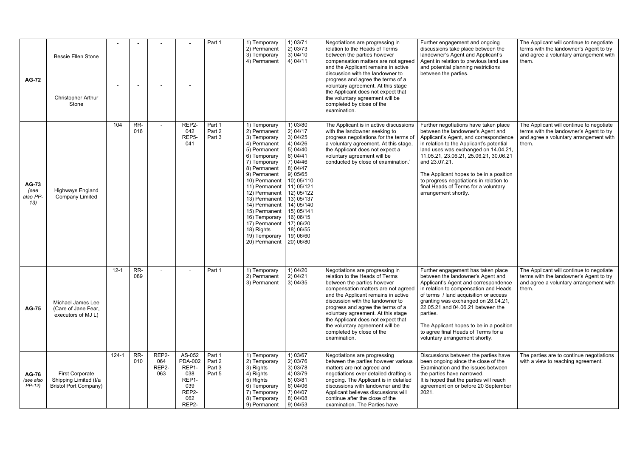| <b>AG-72</b>                            | <b>Bessie Ellen Stone</b>                                                       |           |            |                              |                                                                                   | Part 1                               | 1) Temporary<br>2) Permanent<br>3) Temporary<br>4) Permanent                                                                                                                                                                                                                                                                         | 1) 03/71<br>2) 03/73<br>3)04/10<br>4) 04/11                                                                                                                                                                                                               | Negotiations are progressing in<br>relation to the Heads of Terms<br>between the parties however<br>compensation matters are not agreed<br>and the Applicant remains in active<br>discussion with the landowner to<br>progress and agree the terms of a                                                                                                                                                             | Further engagement and ongoing<br>discussions take place between the<br>landowner's Agent and Applicant's<br>Agent in relation to previous land use<br>and potential planning restrictions<br>between the parties.                                                                                                                                                                                                       | The Applicant will continue to negotiate<br>terms with the landowner's Agent to try<br>and agree a voluntary arrangement with<br>them. |
|-----------------------------------------|---------------------------------------------------------------------------------|-----------|------------|------------------------------|-----------------------------------------------------------------------------------|--------------------------------------|--------------------------------------------------------------------------------------------------------------------------------------------------------------------------------------------------------------------------------------------------------------------------------------------------------------------------------------|-----------------------------------------------------------------------------------------------------------------------------------------------------------------------------------------------------------------------------------------------------------|---------------------------------------------------------------------------------------------------------------------------------------------------------------------------------------------------------------------------------------------------------------------------------------------------------------------------------------------------------------------------------------------------------------------|--------------------------------------------------------------------------------------------------------------------------------------------------------------------------------------------------------------------------------------------------------------------------------------------------------------------------------------------------------------------------------------------------------------------------|----------------------------------------------------------------------------------------------------------------------------------------|
|                                         | <b>Christopher Arthur</b><br>Stone                                              |           |            |                              |                                                                                   |                                      |                                                                                                                                                                                                                                                                                                                                      |                                                                                                                                                                                                                                                           | voluntary agreement. At this stage<br>the Applicant does not expect that<br>the voluntary agreement will be<br>completed by close of the<br>examination.                                                                                                                                                                                                                                                            |                                                                                                                                                                                                                                                                                                                                                                                                                          |                                                                                                                                        |
| <b>AG-73</b><br>(see<br>also PP-<br>13) | <b>Highways England</b><br><b>Company Limited</b>                               | 104       | RR-<br>016 |                              | REP2-<br>042<br>REP5-<br>041                                                      | Part 1<br>Part 2<br>Part 3           | 1) Temporary<br>2) Permanent<br>3) Temporary<br>4) Permanent<br>5) Permanent<br>6) Temporary<br>7) Temporary<br>8) Permanent<br>9) Permanent<br>10) Permanent<br>11) Permanent<br>12) Permanent<br>13) Permanent<br>14) Permanent<br>15) Permanent<br>16) Temporary<br>17) Permanent<br>18) Rights<br>19) Temporary<br>20) Permanent | 1) 03/80<br>2) 04/17<br>3)04/25<br>4)04/26<br>5)04/40<br>6) 04/41<br>7) 04/46<br>8)04/47<br>9) 05/65<br>10) 05/110<br>11) 05/121<br>12) 05/122<br>13) 05/137<br>14) 05/140<br>15) 05/141<br>16) 06/15<br>17) 06/20<br>18) 06/55<br>19) 06/60<br>20) 06/80 | The Applicant is in active discussions<br>with the landowner seeking to<br>progress negotiations for the terms of<br>a voluntary agreement. At this stage,<br>the Applicant does not expect a<br>voluntary agreement will be<br>conducted by close of examination.'                                                                                                                                                 | Further negotiations have taken place<br>between the landowner's Agent and<br>Applicant's Agent, and correspondence<br>in relation to the Applicant's potential<br>land uses was exchanged on 14.04.21,<br>11.05.21, 23.06.21, 25.06.21, 30.06.21<br>and 23.07.21.<br>The Applicant hopes to be in a position<br>to progress negotiations in relation to<br>final Heads of Terms for a voluntary<br>arrangement shortly. | The Applicant will continue to negotiate<br>terms with the landowner's Agent to try<br>and agree a voluntary arrangement with<br>them. |
| <b>AG-75</b>                            | Michael James Lee<br>(Care of Jane Fear,<br>executors of MJ L)                  | $12 - 1$  | RR-<br>089 |                              |                                                                                   | Part 1                               | 1) Temporary<br>2) Permanent<br>3) Permanent                                                                                                                                                                                                                                                                                         | 1) 04/20<br>2)04/21<br>3)04/35                                                                                                                                                                                                                            | Negotiations are progressing in<br>relation to the Heads of Terms<br>between the parties however<br>compensation matters are not agreed<br>and the Applicant remains in active<br>discussion with the landowner to<br>progress and agree the terms of a<br>voluntary agreement. At this stage<br>the Applicant does not expect that<br>the voluntary agreement will be<br>completed by close of the<br>examination. | Further engagement has taken place<br>between the landowner's Agent and<br>Applicant's Agent and correspondence<br>in relation to compensation and Heads<br>of terms / land acquisition or access<br>granting was exchanged on 28.04.21,<br>22.05.21 and 04.06.21 between the<br>parties.<br>The Applicant hopes to be in a position<br>to agree final Heads of Terms for a<br>voluntary arrangement shortly.            | The Applicant will continue to negotiate<br>terms with the landowner's Agent to try<br>and agree a voluntary arrangement with<br>them. |
| <b>AG-76</b><br>(see also<br>$PP-12$    | <b>First Corporate</b><br>Shipping Limited (t/a<br><b>Bristol Port Company)</b> | $124 - 1$ | RR-<br>010 | REP2-<br>064<br>REP2-<br>063 | AS-052<br><b>PDA-002</b><br>REP1-<br>038<br>REP1-<br>039<br>REP2-<br>062<br>REP2- | Part 1<br>Part 2<br>Part 3<br>Part 5 | 1) Temporary<br>2) Temporary<br>3) Rights<br>4) Rights<br>5) Rights<br>6) Temporary<br>7) Temporary<br>8) Temporary<br>9) Permanent                                                                                                                                                                                                  | 1) 03/67<br>2) 03/76<br>3) 03/78<br>4) 03/79<br>5) 03/81<br>6) 04/06<br>7) 04/07<br>8) 04/08<br>9) 04/53                                                                                                                                                  | Negotiations are progressing<br>between the parties however various<br>matters are not agreed and<br>negotiations over detailed drafting is<br>ongoing. The Applicant is in detailed<br>discussions with landowner and the<br>Applicant believes discussions will<br>continue after the close of the<br>examination. The Parties have                                                                               | Discussions between the parties have<br>been ongoing since the close of the<br>Examination and the issues between<br>the parties have narrowed.<br>It is hoped that the parties will reach<br>agreement on or before 20 September<br>2021.                                                                                                                                                                               | The parties are to continue negotiations<br>with a view to reaching agreement.                                                         |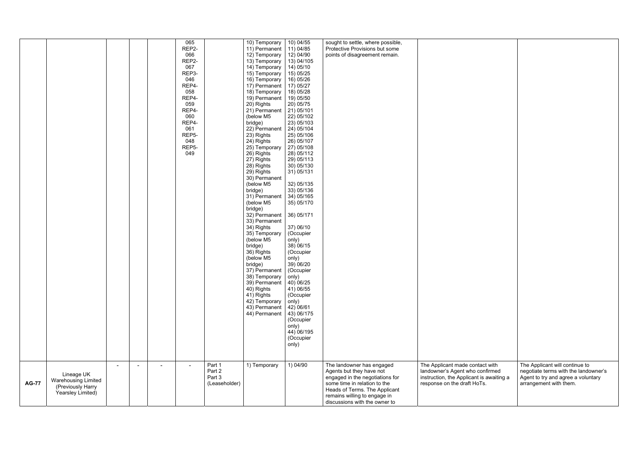|              |                                                                                    |                |        | 065<br>REP2-<br>066<br>REP2-<br>067<br>REP3-<br>046<br>REP4-<br>058<br>REP4-<br>059<br>REP4-<br>060<br>REP4-<br>061<br>REP <sub>5</sub> -<br>048<br>REP <sub>5</sub> -<br>049 |                                             | 10) Temporary<br>11) Permanent<br>12) Temporary<br>13) Temporary<br>14) Temporary<br>15) Temporary<br>16) Temporary<br>17) Permanent<br>18) Temporary<br>19) Permanent<br>20) Rights<br>21) Permanent<br>(below M5<br>bridge)<br>22) Permanent<br>23) Rights<br>24) Rights<br>25) Temporary<br>26) Rights<br>27) Rights<br>28) Rights<br>29) Rights<br>30) Permanent<br>(below M5<br>bridge)<br>31) Permanent<br>(below M5<br>bridge)<br>32) Permanent<br>33) Permanent<br>34) Rights | 10) 04/55<br>11) 04/85<br>12) 04/90<br>13) 04/105<br>14) 05/10<br>15) 05/25<br>16) 05/26<br>17) 05/27<br>18) 05/28<br>19) 05/50<br>20) 05/75<br>21) 05/101<br>22) 05/102<br>23) 05/103<br>24) 05/104<br>25) 05/106<br>26) 05/107<br>27) 05/108<br>28) 05/112<br>29) 05/113<br>30) 05/130<br>31) 05/131<br>32) 05/135<br>33) 05/136<br>34) 05/165<br>35) 05/170<br>36) 05/171<br>37) 06/10 | sought to settle, where possible,<br>Protective Provisions but some<br>points of disagreement remain.                                                                                                                      |                                                                                                                                               |
|--------------|------------------------------------------------------------------------------------|----------------|--------|-------------------------------------------------------------------------------------------------------------------------------------------------------------------------------|---------------------------------------------|---------------------------------------------------------------------------------------------------------------------------------------------------------------------------------------------------------------------------------------------------------------------------------------------------------------------------------------------------------------------------------------------------------------------------------------------------------------------------------------|-------------------------------------------------------------------------------------------------------------------------------------------------------------------------------------------------------------------------------------------------------------------------------------------------------------------------------------------------------------------------------------------|----------------------------------------------------------------------------------------------------------------------------------------------------------------------------------------------------------------------------|-----------------------------------------------------------------------------------------------------------------------------------------------|
|              |                                                                                    |                |        |                                                                                                                                                                               |                                             | (below M5<br>bridge)<br>36) Rights<br>(below M5<br>bridge)<br>37) Permanent<br>38) Temporary<br>39) Permanent<br>40) Rights<br>41) Rights<br>42) Temporary<br>43) Permanent<br>44) Permanent                                                                                                                                                                                                                                                                                          | only)<br>38) 06/15<br>(Occupier<br>only)<br>39) 06/20<br>(Occupier<br>only)<br>40) 06/25<br>41) 06/55<br>(Occupier<br>only)<br>42) 06/61<br>43) 06/175<br>(Occupier<br>only)<br>44) 06/195<br>(Occupier<br>only)                                                                                                                                                                          |                                                                                                                                                                                                                            |                                                                                                                                               |
| <b>AG-77</b> | Lineage UK<br><b>Warehousing Limited</b><br>(Previously Harry<br>Yearsley Limited) | $\blacksquare$ | $\sim$ |                                                                                                                                                                               | Part 1<br>Part 2<br>Part 3<br>(Leaseholder) | 1) Temporary                                                                                                                                                                                                                                                                                                                                                                                                                                                                          | 1) 04/90                                                                                                                                                                                                                                                                                                                                                                                  | The landowner has engaged<br>Agents but they have not<br>engaged in the negotiations for<br>some time in relation to the<br>Heads of Terms. The Applicant<br>remains willing to engage in<br>discussions with the owner to | The Applicant made contact with<br>landowner's Agent who confirmed<br>instruction, the Applicant is awaiting a<br>response on the draft HoTs. |

| act with<br>onfirmed<br>s awaiting a<br>s. | The Applicant will continue to<br>negotiate terms with the landowner's<br>Agent to try and agree a voluntary<br>arrangement with them. |
|--------------------------------------------|----------------------------------------------------------------------------------------------------------------------------------------|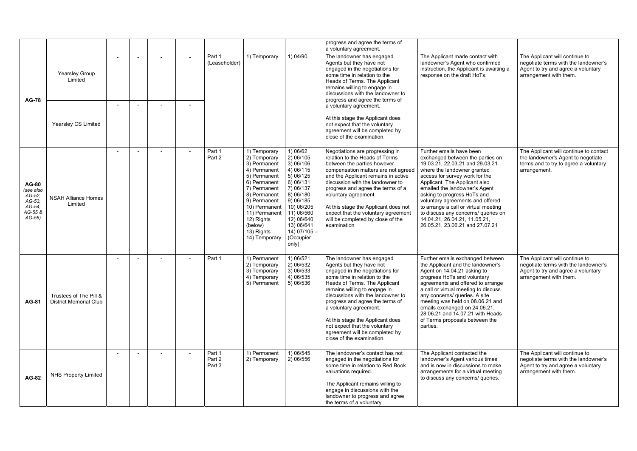|                                                                                 |                                                         |                          |                            |                                                                                                                                                                                                                                        |                                                                                                                                                                                                                  | progress and agree the terms of<br>a voluntary agreement.                                                                                                                                                                                                                                                                                                                                                                       |                                                                                                                                                                                                                                                                                                                                                                                                                                                          |                                                                                                                                        |
|---------------------------------------------------------------------------------|---------------------------------------------------------|--------------------------|----------------------------|----------------------------------------------------------------------------------------------------------------------------------------------------------------------------------------------------------------------------------------|------------------------------------------------------------------------------------------------------------------------------------------------------------------------------------------------------------------|---------------------------------------------------------------------------------------------------------------------------------------------------------------------------------------------------------------------------------------------------------------------------------------------------------------------------------------------------------------------------------------------------------------------------------|----------------------------------------------------------------------------------------------------------------------------------------------------------------------------------------------------------------------------------------------------------------------------------------------------------------------------------------------------------------------------------------------------------------------------------------------------------|----------------------------------------------------------------------------------------------------------------------------------------|
| <b>AG-78</b>                                                                    | Yearsley Group<br>Limited                               |                          | Part 1<br>(Leaseholder)    | 1) Temporary                                                                                                                                                                                                                           | 1) 04/90                                                                                                                                                                                                         | The landowner has engaged<br>Agents but they have not<br>engaged in the negotiations for<br>some time in relation to the<br>Heads of Terms. The Applicant<br>remains willing to engage in<br>discussions with the landowner to<br>progress and agree the terms of                                                                                                                                                               | The Applicant made contact with<br>landowner's Agent who confirmed<br>instruction, the Applicant is awaiting a<br>response on the draft HoTs.                                                                                                                                                                                                                                                                                                            | The Applicant will continue to<br>negotiate terms with the landowner's<br>Agent to try and agree a voluntary<br>arrangement with them. |
|                                                                                 | Yearsley CS Limited                                     |                          |                            |                                                                                                                                                                                                                                        |                                                                                                                                                                                                                  | a voluntary agreement.<br>At this stage the Applicant does<br>not expect that the voluntary<br>agreement will be completed by<br>close of the examination.                                                                                                                                                                                                                                                                      |                                                                                                                                                                                                                                                                                                                                                                                                                                                          |                                                                                                                                        |
| <b>AG-80</b><br>(see also<br>AG-52,<br>AG-53,<br>AG-54,<br>AG-55 &<br>$AG-56$ ) | <b>NSAH Alliance Homes</b><br>Limited                   | $\overline{\phantom{a}}$ | Part 1<br>Part 2           | 1) Temporary<br>2) Temporary<br>3) Permanent<br>4) Permanent<br>5) Permanent<br>6) Permanent<br>7) Permanent<br>8) Permanent<br>9) Permanent<br>10) Permanent<br>11) Permanent<br>12) Rights<br>(below)<br>13) Rights<br>14) Temporary | 1) 06/62<br>2) 06/105<br>3) 06/106<br>4) 06/115<br>5) 06/125<br>6) 06/131<br>7) 06/137<br>8) 06/180<br>9) 06/185<br>10) 06/205<br>11) 06/560<br>12) 06/640<br>13) 06/641<br>$14) 07/105 -$<br>(Occupier<br>only) | Negotiations are progressing in<br>relation to the Heads of Terms<br>between the parties however<br>compensation matters are not agreed<br>and the Applicant remains in active<br>discussion with the landowner to<br>progress and agree the terms of a<br>voluntary agreement.<br>At this stage the Applicant does not<br>expect that the voluntary agreement<br>will be completed by close of the<br>examination              | Further emails have been<br>exchanged between the parties on<br>19.03.21, 22.03.21 and 29.03.21<br>where the landowner granted<br>access for survey work for the<br>Applicant. The Applicant also<br>emailed the landowner's Agent<br>asking to progress HoTs and<br>voluntary agreements and offered<br>to arrange a call or virtual meeting<br>to discuss any concerns/ queries on<br>14.04.21, 26.04.21, 11.05.21,<br>26.05.21, 23.06.21 and 27.07.21 | The Applicant will continue to contact<br>the landowner's Agent to negotiate<br>terms and to try to agree a voluntary<br>arrangement.  |
| <b>AG-81</b>                                                                    | Trustees of The Pill &<br><b>District Memorial Club</b> |                          | Part 1                     | 1) Permanent<br>2) Temporary<br>3) Temporary<br>4) Temporary<br>5) Permanent                                                                                                                                                           | 1) 06/521<br>2) 06/532<br>3) 06/533<br>4) 06/535<br>5) 06/536                                                                                                                                                    | The landowner has engaged<br>Agents but they have not<br>engaged in the negotiations for<br>some time in relation to the<br>Heads of Terms. The Applicant<br>remains willing to engage in<br>discussions with the landowner to<br>progress and agree the terms of<br>a voluntary agreement.<br>At this stage the Applicant does<br>not expect that the voluntary<br>agreement will be completed by<br>close of the examination. | Further emails exchanged between<br>the Applicant and the landowner's<br>Agent on 14.04.21 asking to<br>progress HoTs and voluntary<br>agreements and offered to arrange<br>a call or virtual meeting to discuss<br>any concerns/ queries. A site<br>meeting was held on 08.06.21 and<br>emails exchanged on 24.06.21<br>28.06.21 and 14.07.21 with Heads<br>of Terms proposals between the<br>parties.                                                  | The Applicant will continue to<br>negotiate terms with the landowner's<br>Agent to try and agree a voluntary<br>arrangement with them. |
| <b>AG-82</b>                                                                    | <b>NHS Property Limited</b>                             |                          | Part 1<br>Part 2<br>Part 3 | 1) Permanent<br>2) Temporary                                                                                                                                                                                                           | 1) 06/545<br>2) 06/556                                                                                                                                                                                           | The landowner's contact has not<br>engaged in the negotiations for<br>some time in relation to Red Book<br>valuations required.<br>The Applicant remains willing to<br>engage in discussions with the<br>landowner to progress and agree<br>the terms of a voluntary                                                                                                                                                            | The Applicant contacted the<br>landowner's Agent various times<br>and is now in discussions to make<br>arrangements for a virtual meeting<br>to discuss any concerns/ queries.                                                                                                                                                                                                                                                                           | The Applicant will continue to<br>negotiate terms with the landowner's<br>Agent to try and agree a voluntary<br>arrangement with them. |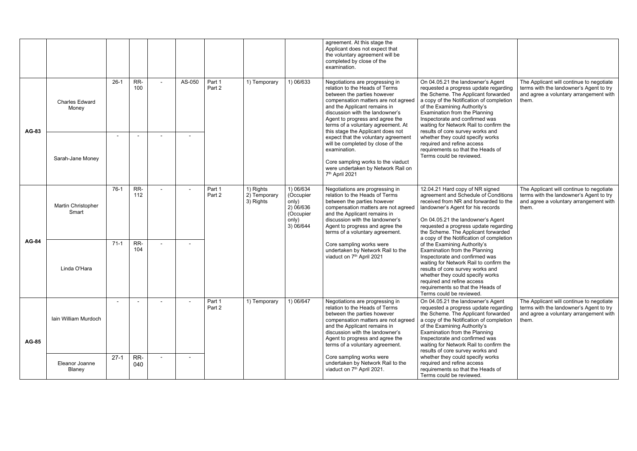|              |                                |                          |            |                |                  |                                        |                                                                                 | agreement. At this stage the<br>Applicant does not expect that<br>the voluntary agreement will be<br>completed by close of the<br>examination.                                                                                                                                                                           |                                                                                                                                                                                                                                                                                                                                                 |                                                                                                                                        |
|--------------|--------------------------------|--------------------------|------------|----------------|------------------|----------------------------------------|---------------------------------------------------------------------------------|--------------------------------------------------------------------------------------------------------------------------------------------------------------------------------------------------------------------------------------------------------------------------------------------------------------------------|-------------------------------------------------------------------------------------------------------------------------------------------------------------------------------------------------------------------------------------------------------------------------------------------------------------------------------------------------|----------------------------------------------------------------------------------------------------------------------------------------|
| <b>AG-83</b> | <b>Charles Edward</b><br>Money | $26-1$                   | RR-<br>100 | AS-050         | Part 1<br>Part 2 | 1) Temporary                           | 1) 06/633                                                                       | Negotiations are progressing in<br>relation to the Heads of Terms<br>between the parties however<br>compensation matters are not agreed<br>and the Applicant remains in<br>discussion with the landowner's<br>Agent to progress and agree the<br>terms of a voluntary agreement. At<br>this stage the Applicant does not | On 04.05.21 the landowner's Agent<br>requested a progress update regarding<br>the Scheme. The Applicant forwarded<br>a copy of the Notification of completion<br>of the Examining Authority's<br>Examination from the Planning<br>Inspectorate and confirmed was<br>waiting for Network Rail to confirm the<br>results of core survey works and | The Applicant will continue to negotiate<br>terms with the landowner's Agent to try<br>and agree a voluntary arrangement with<br>them. |
|              | Sarah-Jane Money               | $\overline{\phantom{a}}$ |            | $\blacksquare$ |                  |                                        |                                                                                 | expect that the voluntary agreement<br>will be completed by close of the<br>examination.<br>Core sampling works to the viaduct<br>were undertaken by Network Rail on<br>7th April 2021                                                                                                                                   | whether they could specify works<br>required and refine access<br>requirements so that the Heads of<br>Terms could be reviewed.                                                                                                                                                                                                                 |                                                                                                                                        |
|              | Martin Christopher<br>Smart    | $76-1$                   | RR-<br>112 | $\blacksquare$ | Part 1<br>Part 2 | 1) Rights<br>2) Temporary<br>3) Rights | 1) 06/634<br>(Occupier<br>only)<br>2) 06/636<br>(Occupier<br>only)<br>3) 06/644 | Negotiations are progressing in<br>relation to the Heads of Terms<br>between the parties however<br>compensation matters are not agreed<br>and the Applicant remains in<br>discussion with the landowner's<br>Agent to progress and agree the<br>terms of a voluntary agreement.                                         | 12.04.21 Hard copy of NR signed<br>agreement and Schedule of Conditions<br>received from NR and forwarded to the<br>landowner's Agent for his records<br>On 04.05.21 the landowner's Agent<br>requested a progress update regarding<br>the Scheme. The Applicant forwarded<br>a copy of the Notification of completion                          | The Applicant will continue to negotiate<br>terms with the landowner's Agent to try<br>and agree a voluntary arrangement with<br>them. |
| <b>AG-84</b> | Linda O'Hara                   | $71-1$                   | RR-<br>104 |                |                  |                                        |                                                                                 | Core sampling works were<br>undertaken by Network Rail to the<br>viaduct on 7 <sup>th</sup> April 2021                                                                                                                                                                                                                   | of the Examining Authority's<br>Examination from the Planning<br>Inspectorate and confirmed was<br>waiting for Network Rail to confirm the<br>results of core survey works and<br>whether they could specify works<br>required and refine access<br>requirements so that the Heads of<br>Terms could be reviewed.                               |                                                                                                                                        |
| <b>AG-85</b> | Iain William Murdoch           | $\sim$                   |            | $\blacksquare$ | Part 1<br>Part 2 | 1) Temporary                           | 1) 06/647                                                                       | Negotiations are progressing in<br>relation to the Heads of Terms<br>between the parties however<br>compensation matters are not agreed<br>and the Applicant remains in<br>discussion with the landowner's<br>Agent to progress and agree the<br>terms of a voluntary agreement.                                         | On 04.05.21 the landowner's Agent<br>requested a progress update regarding<br>the Scheme. The Applicant forwarded<br>a copy of the Notification of completion<br>of the Examining Authority's<br>Examination from the Planning<br>Inspectorate and confirmed was<br>waiting for Network Rail to confirm the<br>results of core survey works and | The Applicant will continue to negotiate<br>terms with the landowner's Agent to try<br>and agree a voluntary arrangement with<br>them. |
|              | Eleanor Joanne<br>Blaney       | $27-1$                   | RR-<br>040 | $\blacksquare$ |                  |                                        |                                                                                 | Core sampling works were<br>undertaken by Network Rail to the<br>viaduct on 7 <sup>th</sup> April 2021.                                                                                                                                                                                                                  | whether they could specify works<br>required and refine access<br>requirements so that the Heads of<br>Terms could be reviewed.                                                                                                                                                                                                                 |                                                                                                                                        |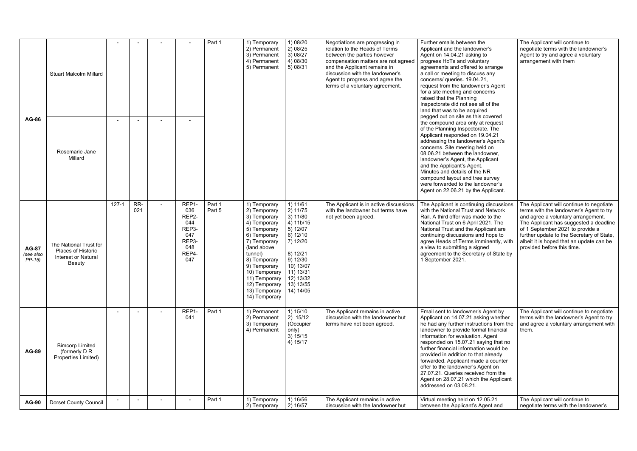| <b>AG-86</b>                         | <b>Stuart Malcolm Millard</b><br>Rosemarie Jane<br>Millard                                  | $\overline{\phantom{a}}$ |            |                                                                             | Part 1           | 1) Temporary<br>2) Permanent<br>3) Permanent<br>4) Permanent<br>5) Permanent                                                                                                                                                                                            | 1) 08/20<br>2) 08/25<br>3)08/27<br>4) 08/30<br>5) 08/31                                                                                                         | Negotiations are progressing in<br>relation to the Heads of Terms<br>between the parties however<br>compensation matters are not agreed<br>and the Applicant remains in<br>discussion with the landowner's<br>Agent to progress and agree the<br>terms of a voluntary agreement. | Further emails between the<br>Applicant and the landowner's<br>Agent on 14.04.21 asking to<br>progress HoTs and voluntary<br>agreements and offered to arrange<br>a call or meeting to discuss any<br>concerns/ queries. 19.04.21,<br>request from the landowner's Agent<br>for a site meeting and concerns<br>raised that the Planning<br>Inspectorate did not see all of the<br>land that was to be acquired<br>pegged out on site as this covered<br>the compound area only at request<br>of the Planning Inspectorate. The<br>Applicant responded on 19.04.21<br>addressing the landowner's Agent's<br>concerns. Site meeting held on<br>08.06.21 between the landowner,<br>landowner's Agent, the Applicant<br>and the Applicant's Agent.<br>Minutes and details of the NR<br>compound layout and tree survey<br>were forwarded to the landowner's<br>Agent on 22.06.21 by the Applicant. | The Applicant will continue to<br>negotiate terms with the landowner's<br>Agent to try and agree a voluntary<br>arrangement with them                                                                                                                                                                                          |
|--------------------------------------|---------------------------------------------------------------------------------------------|--------------------------|------------|-----------------------------------------------------------------------------|------------------|-------------------------------------------------------------------------------------------------------------------------------------------------------------------------------------------------------------------------------------------------------------------------|-----------------------------------------------------------------------------------------------------------------------------------------------------------------|----------------------------------------------------------------------------------------------------------------------------------------------------------------------------------------------------------------------------------------------------------------------------------|------------------------------------------------------------------------------------------------------------------------------------------------------------------------------------------------------------------------------------------------------------------------------------------------------------------------------------------------------------------------------------------------------------------------------------------------------------------------------------------------------------------------------------------------------------------------------------------------------------------------------------------------------------------------------------------------------------------------------------------------------------------------------------------------------------------------------------------------------------------------------------------------|--------------------------------------------------------------------------------------------------------------------------------------------------------------------------------------------------------------------------------------------------------------------------------------------------------------------------------|
| <b>AG-87</b><br>(see also<br>$PP-15$ | The National Trust for<br>Places of Historic<br><b>Interest or Natural</b><br><b>Beauty</b> | $127 - 1$                | RR-<br>021 | REP1<br>036<br>REP2-<br>044<br>REP3-<br>047<br>REP3-<br>048<br>REP4-<br>047 | Part 1<br>Part 5 | 1) Temporary<br>2) Temporary<br>3) Temporary<br>4) Temporary<br>5) Temporary<br>6) Temporary<br>7) Temporary<br>(land above<br>tunnel)<br>8) Temporary<br>9) Temporary<br>10) Temporary<br>11) Temporary   12) 13/32<br>12) Temporary<br>13) Temporary<br>14) Temporary | 1) 11/61<br>2) 11/75<br>3) 11/80<br>4) 11b/15<br>5) 12/07<br>$6)$ 12/10<br>7) 12/20<br>8) 12/21<br>9) 12/30<br>10) 13/07<br>11) 13/31<br>13) 13/55<br>14) 14/05 | The Applicant is in active discussions<br>with the landowner but terms have<br>not yet been agreed.                                                                                                                                                                              | The Applicant is continuing discussions<br>with the National Trust and Network<br>Rail. A third offer was made to the<br>National Trust on 6 April 2021. The<br>National Trust and the Applicant are<br>continuing discussions and hope to<br>agree Heads of Terms imminently, with<br>a view to submitting a signed<br>agreement to the Secretary of State by<br>1 September 2021.                                                                                                                                                                                                                                                                                                                                                                                                                                                                                                            | The Applicant will continue to negotiate<br>terms with the landowner's Agent to try<br>and agree a voluntary arrangement.<br>The Applicant has suggested a deadline<br>of 1 September 2021 to provide a<br>further update to the Secretary of State,<br>albeit it is hoped that an update can be<br>provided before this time. |
| <b>AG-89</b>                         | <b>Bimcorp Limited</b><br>(formerly D R<br>Properties Limited)                              |                          |            | REP1-<br>041                                                                | Part 1           | 1) Permanent<br>2) Permanent<br>3) Temporary<br>4) Permanent                                                                                                                                                                                                            | 1) 15/10<br>2) 15/12<br>(Occupier<br>only)<br>3) 15/15<br>4) 15/17                                                                                              | The Applicant remains in active<br>discussion with the landowner but<br>terms have not been agreed.                                                                                                                                                                              | Email sent to landowner's Agent by<br>Applicant on 14.07.21 asking whether<br>he had any further instructions from the<br>landowner to provide formal financial<br>information for evaluation. Agent<br>responded on 15.07.21 saying that no<br>further financial information would be<br>provided in addition to that already<br>forwarded. Applicant made a counter<br>offer to the landowner's Agent on<br>27.07.21. Queries received from the<br>Agent on 28.07.21 which the Applicant<br>addressed on 03.08.21.                                                                                                                                                                                                                                                                                                                                                                           | The Applicant will continue to negotiate<br>terms with the landowner's Agent to try<br>and agree a voluntary arrangement with<br>them.                                                                                                                                                                                         |
| <b>AG-90</b>                         | <b>Dorset County Council</b>                                                                |                          |            | $\overline{\phantom{a}}$                                                    | Part 1           | 1) Temporary<br>2) Temporary                                                                                                                                                                                                                                            | 1) 16/56<br>2) 16/57                                                                                                                                            | The Applicant remains in active<br>discussion with the landowner but                                                                                                                                                                                                             | Virtual meeting held on 12.05.21<br>between the Applicant's Agent and                                                                                                                                                                                                                                                                                                                                                                                                                                                                                                                                                                                                                                                                                                                                                                                                                          | The Applicant will continue to<br>negotiate terms with the landowner's                                                                                                                                                                                                                                                         |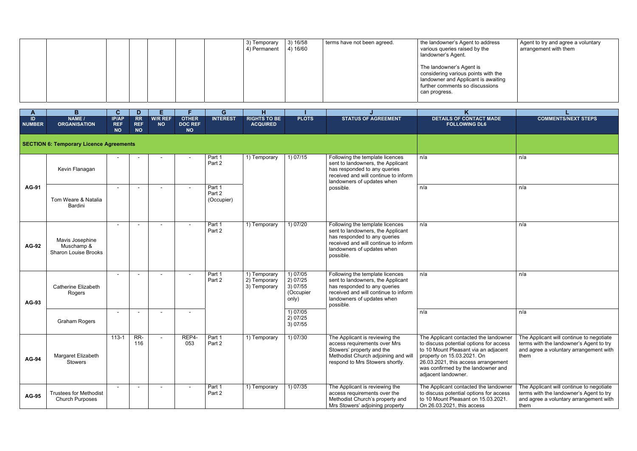|  |  |  | 3) Temporary<br>4) Permanent | 3) 16/58<br>4) 16/60 | terms have not been agreed. | the landowner's Agent to address<br>various queries raised by the<br>landowner's Agent.                                                                    |
|--|--|--|------------------------------|----------------------|-----------------------------|------------------------------------------------------------------------------------------------------------------------------------------------------------|
|  |  |  |                              |                      |                             | The landowner's Agent is<br>considering various points with the<br>landowner and Applicant is awaiting<br>further comments so discussions<br>can progress. |

| address<br>the                       | Agent to try and agree a voluntary<br>arrangement with them |
|--------------------------------------|-------------------------------------------------------------|
| s with the<br>is awaiting<br>ussions |                                                             |

| A            | B                                                            | $\mathbf{C}$                            | D                                    | E.                          | F.                                          | G                              | H                                            |                                                        |                                                                                                                                                                                         |                                                                                                                                                                                                                                                            |                                                                                  |
|--------------|--------------------------------------------------------------|-----------------------------------------|--------------------------------------|-----------------------------|---------------------------------------------|--------------------------------|----------------------------------------------|--------------------------------------------------------|-----------------------------------------------------------------------------------------------------------------------------------------------------------------------------------------|------------------------------------------------------------------------------------------------------------------------------------------------------------------------------------------------------------------------------------------------------------|----------------------------------------------------------------------------------|
| ID<br>NUMBER | NAME /<br><b>ORGANISATION</b>                                | <b>IP/AP</b><br><b>REF</b><br><b>NO</b> | <b>RR</b><br><b>REF</b><br><b>NO</b> | <b>W/R REF</b><br><b>NO</b> | <b>OTHER</b><br><b>DOC REF</b><br><b>NO</b> | <b>INTEREST</b>                | <b>RIGHTS TO BE</b><br><b>ACQUIRED</b>       | <b>PLOTS</b>                                           | <b>STATUS OF AGREEMENT</b>                                                                                                                                                              | <b>DETAILS OF CONTACT MADE</b><br><b>FOLLOWING DL6</b>                                                                                                                                                                                                     | <b>COMMENTS/I</b>                                                                |
|              | <b>SECTION 6: Temporary Licence Agreements</b>               |                                         |                                      |                             |                                             |                                |                                              |                                                        |                                                                                                                                                                                         |                                                                                                                                                                                                                                                            |                                                                                  |
|              | Kevin Flanagan                                               |                                         |                                      |                             |                                             | Part 1<br>Part 2               | 1) Temporary                                 | 1) 07/15                                               | Following the template licences<br>sent to landowners, the Applicant<br>has responded to any queries<br>received and will continue to inform<br>landowners of updates when              | n/a                                                                                                                                                                                                                                                        | n/a                                                                              |
| <b>AG-91</b> | Tom Weare & Natalia<br>Bardini                               |                                         |                                      |                             |                                             | Part 1<br>Part 2<br>(Occupier) |                                              |                                                        | possible.                                                                                                                                                                               | n/a                                                                                                                                                                                                                                                        | n/a                                                                              |
| <b>AG-92</b> | Mavis Josephine<br>Muschamp &<br><b>Sharon Louise Brooks</b> |                                         |                                      |                             |                                             | Part 1<br>Part 2               | 1) Temporary                                 | 1) 07/20                                               | Following the template licences<br>sent to landowners, the Applicant<br>has responded to any queries<br>received and will continue to inform<br>landowners of updates when<br>possible. | n/a                                                                                                                                                                                                                                                        | n/a                                                                              |
| AG-93        | <b>Catherine Elizabeth</b><br>Rogers                         |                                         |                                      |                             |                                             | Part 1<br>Part 2               | 1) Temporary<br>2) Temporary<br>3) Temporary | 1) 07/05<br>2) 07/25<br>3) 07/55<br>(Occupier<br>only) | Following the template licences<br>sent to landowners, the Applicant<br>has responded to any queries<br>received and will continue to inform<br>landowners of updates when<br>possible. | n/a                                                                                                                                                                                                                                                        | n/a                                                                              |
|              | <b>Graham Rogers</b>                                         |                                         |                                      |                             |                                             |                                |                                              | 1) 07/05<br>2) 07/25<br>3) 07/55                       |                                                                                                                                                                                         | n/a                                                                                                                                                                                                                                                        | n/a                                                                              |
| <b>AG-94</b> | Margaret Elizabeth<br>Stowers                                | $113 - 1$                               | RR-<br>116                           | $\blacksquare$              | REP4-<br>053                                | Part 1<br>Part 2               | 1) Temporary                                 | 1) 07/30                                               | The Applicant is reviewing the<br>access requirements over Mrs<br>Stowers' property and the<br>Methodist Church adjoining and will<br>respond to Mrs Stowers shortly.                   | The Applicant contacted the landowner<br>to discuss potential options for access<br>to 10 Mount Pleasant via an adjacent<br>property on 15.03.2021. On<br>26.03.2021, this access arrangement<br>was confirmed by the landowner and<br>adjacent landowner. | The Applicant will cor<br>terms with the landov<br>and agree a voluntary<br>them |
| <b>AG-95</b> | <b>Trustees for Methodist</b><br><b>Church Purposes</b>      |                                         | $\sim$                               | $\blacksquare$              |                                             | Part 1<br>Part 2               | 1) Temporary                                 | 1) 07/35                                               | The Applicant is reviewing the<br>access requirements over the<br>Methodist Church's property and<br>Mrs Stowers' adjoining property                                                    | The Applicant contacted the landowner<br>to discuss potential options for access<br>to 10 Mount Pleasant on 15.03.2021.<br>On 26.03.2021, this access                                                                                                      | The Applicant will cor<br>terms with the landov<br>and agree a voluntar<br>them  |

| <b>NTACT MADE</b><br><b>NG DL6</b>                                                                          | <b>COMMENTS/NEXT STEPS</b>                                                                                                            |
|-------------------------------------------------------------------------------------------------------------|---------------------------------------------------------------------------------------------------------------------------------------|
|                                                                                                             |                                                                                                                                       |
|                                                                                                             | n/a                                                                                                                                   |
|                                                                                                             | n/a                                                                                                                                   |
|                                                                                                             | n/a                                                                                                                                   |
|                                                                                                             | n/a                                                                                                                                   |
|                                                                                                             | n/a                                                                                                                                   |
| ted the landowner<br>ptions for access<br>t via an adjacent<br>21. On<br>ess arrangement<br>e landowner and | The Applicant will continue to negotiate<br>terms with the landowner's Agent to try<br>and agree a voluntary arrangement with<br>them |
| ted the landowner<br>ptions for access<br>t on 15.03.2021.<br>access                                        | The Applicant will continue to negotiate<br>terms with the landowner's Agent to try<br>and agree a voluntary arrangement with<br>them |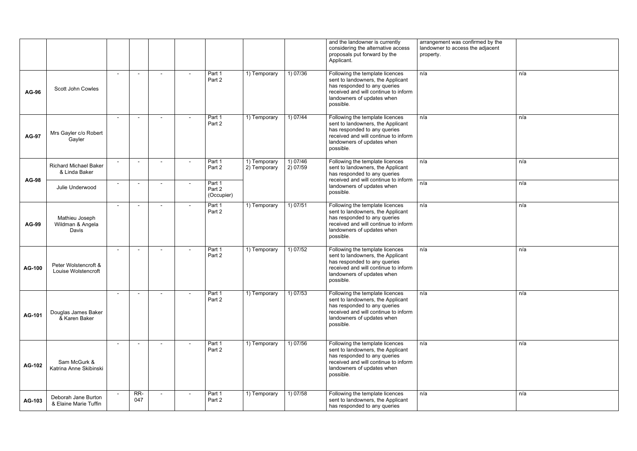|               |                                               |                |                          |                          |                                |                              |                      | and the landowner is currently<br>considering the alternative access<br>proposals put forward by the<br>Applicant.                                                                      | arrangement was confirmed by the<br>landowner to access the adjacent<br>property. |     |
|---------------|-----------------------------------------------|----------------|--------------------------|--------------------------|--------------------------------|------------------------------|----------------------|-----------------------------------------------------------------------------------------------------------------------------------------------------------------------------------------|-----------------------------------------------------------------------------------|-----|
| <b>AG-96</b>  | <b>Scott John Cowles</b>                      | $\sim$         | $\sim$                   | $\blacksquare$           | Part 1<br>Part 2               | 1) Temporary                 | 1) 07/36             | Following the template licences<br>sent to landowners, the Applicant<br>has responded to any queries<br>received and will continue to inform<br>landowners of updates when<br>possible. | n/a                                                                               | n/a |
| <b>AG-97</b>  | Mrs Gayler c/o Robert<br>Gayler               | $\sim$         | $\sim$                   | $\sim$                   | Part 1<br>Part 2               | 1) Temporary                 | 1) 07/44             | Following the template licences<br>sent to landowners, the Applicant<br>has responded to any queries<br>received and will continue to inform<br>landowners of updates when<br>possible. | n/a                                                                               | n/a |
|               | <b>Richard Michael Baker</b><br>& Linda Baker |                | $\overline{\phantom{a}}$ | $\overline{\phantom{a}}$ | Part 1<br>Part 2               | 1) Temporary<br>2) Temporary | 1) 07/46<br>2) 07/59 | Following the template licences<br>sent to landowners, the Applicant<br>has responded to any queries                                                                                    | n/a                                                                               | n/a |
| <b>AG-98</b>  | Julie Underwood                               | $\sim$         | $\sim$                   | $\sim$                   | Part 1<br>Part 2<br>(Occupier) |                              |                      | received and will continue to inform<br>landowners of updates when<br>possible.                                                                                                         | n/a                                                                               | n/a |
| <b>AG-99</b>  | Mathieu Joseph<br>Wildman & Angela<br>Davis   | $\sim$         | $\overline{\phantom{a}}$ | $\sim$                   | Part 1<br>Part 2               | 1) Temporary                 | 1) 07/51             | Following the template licences<br>sent to landowners, the Applicant<br>has responded to any queries<br>received and will continue to inform<br>landowners of updates when<br>possible. | n/a                                                                               | n/a |
| AG-100        | Peter Wolstencroft &<br>Louise Wolstencroft   | $\sim$         | $\overline{\phantom{a}}$ | $\blacksquare$           | Part 1<br>Part 2               | 1) Temporary                 | 1) 07/52             | Following the template licences<br>sent to landowners, the Applicant<br>has responded to any queries<br>received and will continue to inform<br>landowners of updates when<br>possible. | n/a                                                                               | n/a |
| AG-101        | Douglas James Baker<br>& Karen Baker          | $\overline{a}$ | $\sim$                   | $\sim$                   | Part 1<br>Part 2               | 1) Temporary                 | 1) 07/53             | Following the template licences<br>sent to landowners, the Applicant<br>has responded to any queries<br>received and will continue to inform<br>landowners of updates when<br>possible. | n/a                                                                               | n/a |
| <b>AG-102</b> | Sam McGurk &<br>Katrina Anne Skibinski        | $\sim$         | $\overline{\phantom{a}}$ | $\overline{\phantom{a}}$ | Part 1<br>Part 2               | 1) Temporary                 | 1) 07/56             | Following the template licences<br>sent to landowners, the Applicant<br>has responded to any queries<br>received and will continue to inform<br>landowners of updates when<br>possible. | n/a                                                                               | n/a |
| AG-103        | Deborah Jane Burton<br>& Elaine Marie Tuffin  | $\sim$         | $RR-$<br>047             | $\overline{\phantom{a}}$ | Part 1<br>Part 2               | 1) Temporary                 | 1) 07/58             | Following the template licences<br>sent to landowners, the Applicant<br>has responded to any queries                                                                                    | n/a                                                                               | n/a |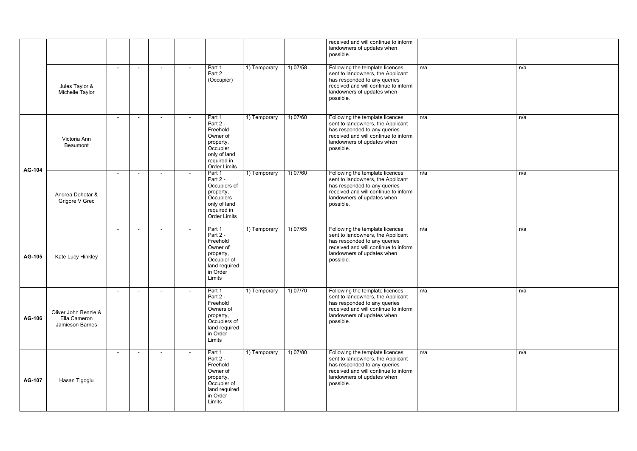|               |                                                         |        |                |                |                                                                                                                           |              |          | received and will continue to inform<br>landowners of updates when<br>possible.                                                                                                         |     |     |
|---------------|---------------------------------------------------------|--------|----------------|----------------|---------------------------------------------------------------------------------------------------------------------------|--------------|----------|-----------------------------------------------------------------------------------------------------------------------------------------------------------------------------------------|-----|-----|
|               | Jules Taylor &<br>Michelle Taylor                       | $\sim$ |                | $\blacksquare$ | Part 1<br>Part 2<br>(Occupier)                                                                                            | 1) Temporary | 1) 07/58 | Following the template licences<br>sent to landowners, the Applicant<br>has responded to any queries<br>received and will continue to inform<br>landowners of updates when<br>possible. | n/a | n/a |
|               | Victoria Ann<br>Beaumont                                |        |                | $\blacksquare$ | Part 1<br>Part 2 -<br>Freehold<br>Owner of<br>property,<br>Occupier<br>only of land<br>required in<br><b>Order Limits</b> | 1) Temporary | 1) 07/60 | Following the template licences<br>sent to landowners, the Applicant<br>has responded to any queries<br>received and will continue to inform<br>landowners of updates when<br>possible. | n/a | n/a |
| <b>AG-104</b> | Andrea Dohotar &<br>Grigore V Grec                      |        |                | $\blacksquare$ | Part 1<br>Part 2 -<br>Occupiers of<br>property,<br>Occupiers<br>only of land<br>required in<br><b>Order Limits</b>        | 1) Temporary | 1) 07/60 | Following the template licences<br>sent to landowners, the Applicant<br>has responded to any queries<br>received and will continue to inform<br>landowners of updates when<br>possible. | n/a | n/a |
| <b>AG-105</b> | Kate Lucy Hinkley                                       |        | $\blacksquare$ | $\sim$         | Part 1<br>Part 2 -<br>Freehold<br>Owner of<br>property,<br>Occupier of<br>land required<br>in Order<br>Limits             | 1) Temporary | 1) 07/65 | Following the template licences<br>sent to landowners, the Applicant<br>has responded to any queries<br>received and will continue to inform<br>landowners of updates when<br>possible. | n/a | n/a |
| <b>AG-106</b> | Oliver John Benzie &<br>Ella Cameron<br>Jamieson Barnes |        | $\blacksquare$ | $\blacksquare$ | Part 1<br>Part 2 -<br>Freehold<br>Owners of<br>property,<br>Occupiers of<br>land required<br>in Order<br>Limits           | 1) Temporary | 1) 07/70 | Following the template licences<br>sent to landowners, the Applicant<br>has responded to any queries<br>received and will continue to inform<br>landowners of updates when<br>possible. | n/a | n/a |
| AG-107        | Hasan Tigoglu                                           |        |                | $\blacksquare$ | Part 1<br>Part 2 -<br>Freehold<br>Owner of<br>property,<br>Occupier of<br>land required<br>in Order<br>Limits             | 1) Temporary | 1) 07/80 | Following the template licences<br>sent to landowners, the Applicant<br>has responded to any queries<br>received and will continue to inform<br>landowners of updates when<br>possible. | n/a | n/a |

| n/a |
|-----|
|     |
|     |
|     |
|     |
|     |
|     |
| n/a |
|     |
|     |
|     |
|     |
|     |
|     |
| n/a |
|     |
|     |
|     |
|     |
|     |
|     |
|     |
| n/a |
|     |
|     |
|     |
|     |
|     |
|     |
|     |
| n/a |
|     |
|     |
|     |
|     |
|     |
|     |
|     |
| n/a |
|     |
|     |
|     |
|     |
|     |
|     |
|     |
|     |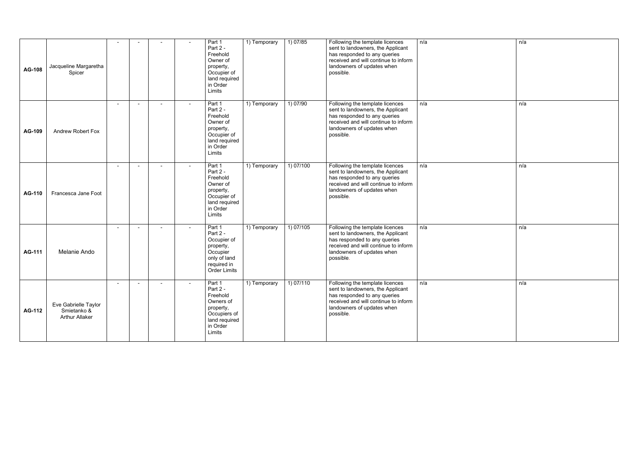| <b>AG-108</b> | Jacqueline Margaretha<br>Spicer                              |                |                |        | Part 1<br>Part 2 -<br>Freehold<br>Owner of<br>property,<br>Occupier of<br>land required<br>in Order<br>Limits    | 1) Temporary | 1) 07/85  | Following the template licences<br>sent to landowners, the Applicant<br>has responded to any queries<br>received and will continue to inform<br>landowners of updates when<br>possible. | n/a |
|---------------|--------------------------------------------------------------|----------------|----------------|--------|------------------------------------------------------------------------------------------------------------------|--------------|-----------|-----------------------------------------------------------------------------------------------------------------------------------------------------------------------------------------|-----|
| <b>AG-109</b> | <b>Andrew Robert Fox</b>                                     | $\blacksquare$ | $\blacksquare$ | $\sim$ | Part 1<br>Part 2 -<br>Freehold<br>Owner of<br>property,<br>Occupier of<br>land required<br>in Order<br>Limits    | 1) Temporary | 1) 07/90  | Following the template licences<br>sent to landowners, the Applicant<br>has responded to any queries<br>received and will continue to inform<br>landowners of updates when<br>possible. | n/a |
| <b>AG-110</b> | Francesca Jane Foot                                          | $\blacksquare$ |                |        | Part 1<br>Part 2 -<br>Freehold<br>Owner of<br>property,<br>Occupier of<br>land required<br>in Order<br>Limits    | 1) Temporary | 1) 07/100 | Following the template licences<br>sent to landowners, the Applicant<br>has responded to any queries<br>received and will continue to inform<br>landowners of updates when<br>possible. | n/a |
| <b>AG-111</b> | Melanie Ando                                                 | $\blacksquare$ |                |        | Part 1<br>Part 2 -<br>Occupier of<br>property,<br>Occupier<br>only of land<br>required in<br><b>Order Limits</b> | 1) Temporary | 1) 07/105 | Following the template licences<br>sent to landowners, the Applicant<br>has responded to any queries<br>received and will continue to inform<br>landowners of updates when<br>possible. | n/a |
| <b>AG-112</b> | Eve Gabrielle Taylor<br>Smietanko &<br><b>Arthur Allaker</b> |                |                |        | Part 1<br>Part 2 -<br>Freehold<br>Owners of<br>property,<br>Occupiers of<br>land required<br>in Order<br>Limits  | 1) Temporary | 1) 07/110 | Following the template licences<br>sent to landowners, the Applicant<br>has responded to any queries<br>received and will continue to inform<br>landowners of updates when<br>possible. | n/a |

| n/a |
|-----|
|     |
|     |
|     |
|     |
| n/a |
|     |
|     |
|     |
|     |
| n/a |
|     |
|     |
|     |
|     |
| n/a |
|     |
|     |
|     |
| n/a |
|     |
|     |
|     |
|     |
|     |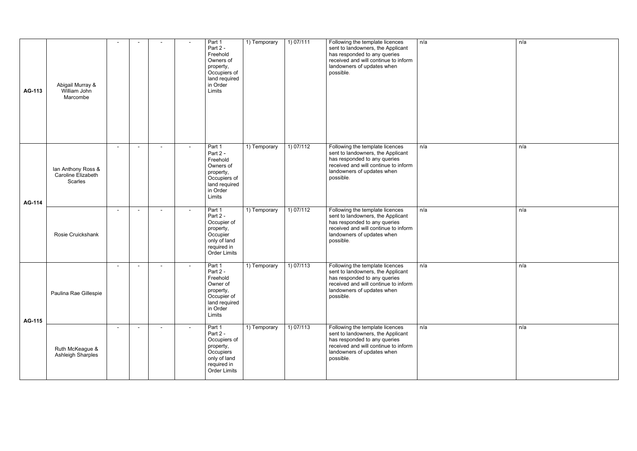| <b>AG-113</b> | Abigail Murray &<br>William John<br>Marcombe          |  |        | Part 1<br>Part 2 -<br>Freehold<br>Owners of<br>property,<br>Occupiers of<br>land required<br>in Order<br>Limits    | 1) Temporary | 1) 07/111 | Following the template licences<br>sent to landowners, the Applicant<br>has responded to any queries<br>received and will continue to inform<br>landowners of updates when<br>possible. | n/a | n/a |
|---------------|-------------------------------------------------------|--|--------|--------------------------------------------------------------------------------------------------------------------|--------------|-----------|-----------------------------------------------------------------------------------------------------------------------------------------------------------------------------------------|-----|-----|
| <b>AG-114</b> | Ian Anthony Ross &<br>Caroline Elizabeth<br>Scarles   |  |        | Part 1<br>Part 2 -<br>Freehold<br>Owners of<br>property,<br>Occupiers of<br>land required<br>in Order<br>Limits    | 1) Temporary | 1) 07/112 | Following the template licences<br>sent to landowners, the Applicant<br>has responded to any queries<br>received and will continue to inform<br>landowners of updates when<br>possible. | n/a | n/a |
|               | Rosie Cruickshank                                     |  | $\sim$ | Part 1<br>Part 2 -<br>Occupier of<br>property,<br>Occupier<br>only of land<br>required in<br><b>Order Limits</b>   | 1) Temporary | 1) 07/112 | Following the template licences<br>sent to landowners, the Applicant<br>has responded to any queries<br>received and will continue to inform<br>landowners of updates when<br>possible. | n/a | n/a |
| <b>AG-115</b> | Paulina Rae Gillespie                                 |  |        | Part 1<br>Part 2 -<br>Freehold<br>Owner of<br>property,<br>Occupier of<br>land required<br>in Order<br>Limits      | 1) Temporary | 1) 07/113 | Following the template licences<br>sent to landowners, the Applicant<br>has responded to any queries<br>received and will continue to inform<br>landowners of updates when<br>possible. | n/a | n/a |
|               | $\sim$<br>Ruth McKeague &<br><b>Ashleigh Sharples</b> |  | ٠      | Part 1<br>Part 2 -<br>Occupiers of<br>property,<br>Occupiers<br>only of land<br>required in<br><b>Order Limits</b> | 1) Temporary | 1) 07/113 | Following the template licences<br>sent to landowners, the Applicant<br>has responded to any queries<br>received and will continue to inform<br>landowners of updates when<br>possible. | n/a | n/a |

| n/a |
|-----|
|     |
|     |
|     |
|     |
|     |
|     |
|     |
|     |
|     |
|     |
|     |
|     |
| n/a |
|     |
|     |
|     |
|     |
|     |
|     |
|     |
| n/a |
|     |
|     |
|     |
|     |
|     |
|     |
| n/a |
|     |
|     |
|     |
|     |
|     |
|     |
|     |
| n/a |
|     |
|     |
|     |
|     |
|     |
|     |
|     |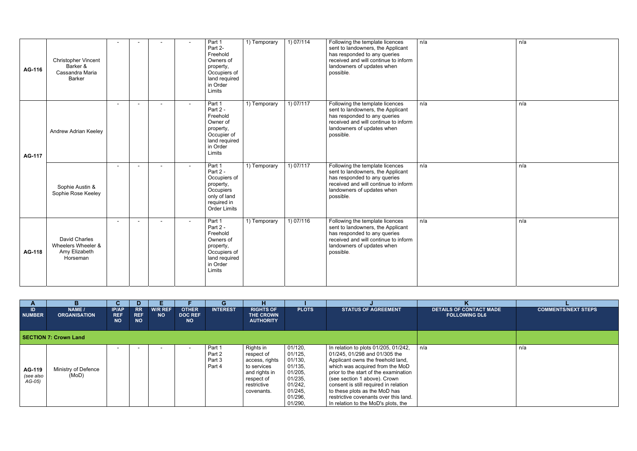| AG-116        | <b>Christopher Vincent</b><br>Barker &<br>Cassandra Maria<br><b>Barker</b> |                | $\blacksquare$ | Part 1<br>Part 2-<br>Freehold<br>Owners of<br>property,<br>Occupiers of<br>land required<br>in Order<br>Limits     | 1) Temporary               | 1) 07/114 | Following the template licences<br>sent to landowners, the Applicant<br>has responded to any queries<br>received and will continue to inform<br>landowners of updates when<br>possible. | n/a | n/a |
|---------------|----------------------------------------------------------------------------|----------------|----------------|--------------------------------------------------------------------------------------------------------------------|----------------------------|-----------|-----------------------------------------------------------------------------------------------------------------------------------------------------------------------------------------|-----|-----|
| <b>AG-117</b> | Andrew Adrian Keeley                                                       |                |                | Part 1<br>Part 2 -<br>Freehold<br>Owner of<br>property,<br>Occupier of<br>land required<br>in Order<br>Limits      | 1) Temporary               | 1) 07/117 | Following the template licences<br>sent to landowners, the Applicant<br>has responded to any queries<br>received and will continue to inform<br>landowners of updates when<br>possible. | n/a | n/a |
|               | $\sim$<br>Sophie Austin &<br>Sophie Rose Keeley                            | $\blacksquare$ | $\sim$         | Part 1<br>Part 2 -<br>Occupiers of<br>property,<br>Occupiers<br>only of land<br>required in<br><b>Order Limits</b> | 1) Temporary               | 1) 07/117 | Following the template licences<br>sent to landowners, the Applicant<br>has responded to any queries<br>received and will continue to inform<br>landowners of updates when<br>possible. | n/a | n/a |
| AG-118        | <b>David Charles</b><br>Wheelers Wheeler &<br>Amy Elizabeth<br>Horseman    |                | $\blacksquare$ | Part 1<br>Part 2 -<br>Freehold<br>Owners of<br>property,<br>Occupiers of<br>land required<br>in Order<br>Limits    | $\overline{1}$ ) Temporary | 1) 07/116 | Following the template licences<br>sent to landowners, the Applicant<br>has responded to any queries<br>received and will continue to inform<br>landowners of updates when<br>possible. | n/a | n/a |

| $\mathbf{A}$                           | B.                            | u                                       | D.                                   |                             |                                             | G                                    | н                                                                                                                    |                                                                                                            |                                                                                                                                                                                                                                                                                                                                                                                  |                                                        |                            |
|----------------------------------------|-------------------------------|-----------------------------------------|--------------------------------------|-----------------------------|---------------------------------------------|--------------------------------------|----------------------------------------------------------------------------------------------------------------------|------------------------------------------------------------------------------------------------------------|----------------------------------------------------------------------------------------------------------------------------------------------------------------------------------------------------------------------------------------------------------------------------------------------------------------------------------------------------------------------------------|--------------------------------------------------------|----------------------------|
| ID<br><b>NUMBER</b>                    | NAME /<br><b>ORGANISATION</b> | <b>IP/AP</b><br><b>REF</b><br><b>NO</b> | <b>RR</b><br><b>REF</b><br><b>NO</b> | <b>W/R REF</b><br><b>NO</b> | <b>OTHER</b><br><b>DOC REF</b><br><b>NO</b> | <b>INTEREST</b>                      | <b>RIGHTS OF</b><br>THE CROWN<br><b>AUTHORITY</b>                                                                    | <b>PLOTS</b>                                                                                               | <b>STATUS OF AGREEMENT</b>                                                                                                                                                                                                                                                                                                                                                       | <b>DETAILS OF CONTACT MADE</b><br><b>FOLLOWING DL6</b> | <b>COMMENTS/NEXT STEPS</b> |
|                                        | <b>SECTION 7: Crown Land</b>  |                                         |                                      |                             |                                             |                                      |                                                                                                                      |                                                                                                            |                                                                                                                                                                                                                                                                                                                                                                                  |                                                        |                            |
| <b>AG-119</b><br>(see also<br>$AG-05)$ | Ministry of Defence<br>(MoD)  | $\overline{\phantom{a}}$                |                                      |                             |                                             | Part 1<br>Part 2<br>Part 3<br>Part 4 | Rights in<br>respect of<br>access, rights<br>to services<br>and rights in<br>respect of<br>restrictive<br>covenants. | 01/120,<br>01/125,<br>01/130,<br>01/135,<br>01/205,<br>01/235,<br>01/242,<br>01/245,<br>01/296,<br>01/290, | In relation to plots 01/205, 01/242,<br>01/245, 01/298 and 01/305 the<br>Applicant owns the freehold land,<br>which was acquired from the MoD<br>prior to the start of the examination<br>(see section 1 above). Crown<br>consent is still required in relation<br>to these plots as the MoD has<br>restrictive covenants over this land.<br>In relation to the MoD's plots, the | n/a                                                    | n/a                        |

| n/a |
|-----|
|     |
|     |
|     |
|     |
|     |
|     |
|     |
|     |
|     |
|     |
|     |
|     |
| n/a |
|     |
|     |
|     |
|     |
|     |
|     |
|     |
|     |
|     |
|     |
|     |
|     |
| n/a |
|     |
|     |
|     |
|     |
|     |
|     |
|     |
|     |
|     |
|     |
|     |
|     |
|     |
| n/a |
|     |
|     |
|     |
|     |
|     |
|     |
|     |
|     |
|     |
|     |
|     |
|     |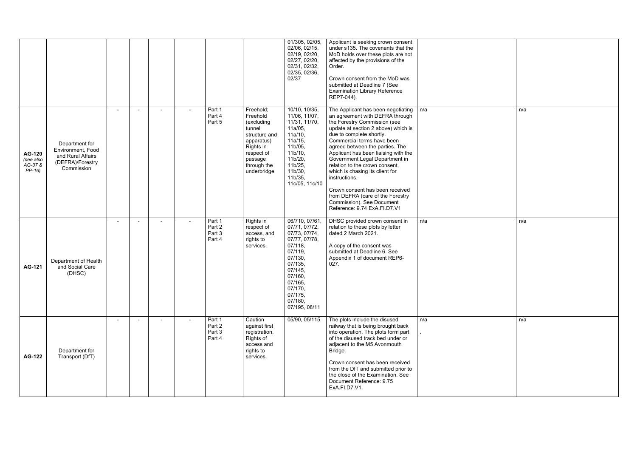|                                                  |                                                                                            |        |  |                                      |                                                                                                                                                  | 01/305, 02/05,<br>02/06, 02/15,<br>02/19, 02/20,<br>02/27, 02/20,<br>02/31, 02/32,<br>02/35, 02/36,<br>02/37                                                                                        | Applicant is seeking crown consent<br>under s135. The covenants that the<br>MoD holds over these plots are not<br>affected by the provisions of the<br>Order.<br>Crown consent from the MoD was<br>submitted at Deadline 7 (See<br><b>Examination Library Reference</b><br>REP7-044).                                                                                                                                                                                                                                                         |     |     |
|--------------------------------------------------|--------------------------------------------------------------------------------------------|--------|--|--------------------------------------|--------------------------------------------------------------------------------------------------------------------------------------------------|-----------------------------------------------------------------------------------------------------------------------------------------------------------------------------------------------------|-----------------------------------------------------------------------------------------------------------------------------------------------------------------------------------------------------------------------------------------------------------------------------------------------------------------------------------------------------------------------------------------------------------------------------------------------------------------------------------------------------------------------------------------------|-----|-----|
| <b>AG-120</b><br>(see also<br>AG-37 &<br>$PP-16$ | Department for<br>Environment, Food<br>and Rural Affairs<br>(DEFRA)/Forestry<br>Commission | $\sim$ |  | Part 1<br>Part 4<br>Part 5           | Freehold;<br>Freehold<br>(excluding<br>tunnel<br>structure and<br>apparatus)<br>Rights in<br>respect of<br>passage<br>through the<br>underbridge | 10/10, 10/35,<br>11/06, 11/07,<br>11/31, 11/70,<br>11a/05,<br>11a/10,<br>11a/15,<br>11b/05,<br>11b/10,<br>11b/20,<br>11b/25,<br>11b/30,<br>11b/35,<br>11c/05, 11c/10                                | The Applicant has been negotiating<br>an agreement with DEFRA through<br>the Forestry Commission (see<br>update at section 2 above) which is<br>due to complete shortly.<br>Commercial terms have been<br>agreed between the parties. The<br>Applicant has been liaising with the<br>Government Legal Department in<br>relation to the crown consent,<br>which is chasing its client for<br>instructions.<br>Crown consent has been received<br>from DEFRA (care of the Forestry<br>Commission). See Document<br>Reference: 9.74 ExA.FI.D7.V1 | n/a | n/a |
| AG-121                                           | Department of Health<br>and Social Care<br>(DHSC)                                          |        |  | Part 1<br>Part 2<br>Part 3<br>Part 4 | Rights in<br>respect of<br>access, and<br>rights to<br>services.                                                                                 | 06/710, 07/61,<br>07/71, 07/72,<br>07/73, 07/74,<br>07/77, 07/78,<br>07/118,<br>$07/119$ ,<br>07/130,<br>07/135,<br>07/145,<br>07/160,<br>07/165,<br>07/170,<br>07/175,<br>07/180,<br>07/195, 08/11 | DHSC provided crown consent in<br>relation to these plots by letter<br>dated 2 March 2021.<br>A copy of the consent was<br>submitted at Deadline 6. See<br>Appendix 1 of document REP6-<br>027.                                                                                                                                                                                                                                                                                                                                               | n/a | n/a |
| <b>AG-122</b>                                    | Department for<br>Transport (DfT)                                                          |        |  | Part 1<br>Part 2<br>Part 3<br>Part 4 | Caution<br>against first<br>registration.<br>Rights of<br>access and<br>rights to<br>services.                                                   | 05/90, 05/115                                                                                                                                                                                       | The plots include the disused<br>railway that is being brought back<br>into operation. The plots form part<br>of the disused track bed under or<br>adjacent to the M5 Avonmouth<br>Bridge.<br>Crown consent has been received<br>from the DfT and submitted prior to<br>the close of the Examination. See<br>Document Reference: 9.75<br>ExA.FI.D7.V1.                                                                                                                                                                                        | n/a | n/a |

| n/a |
|-----|
|     |
|     |
|     |
|     |
|     |
|     |
|     |
|     |
|     |
|     |
|     |
|     |
|     |
|     |
|     |
|     |
|     |
|     |
|     |
|     |
|     |
|     |
| n/a |
|     |
|     |
|     |
|     |
|     |
|     |
|     |
|     |
|     |
|     |
|     |
|     |
|     |
|     |
|     |
|     |
|     |
| n/a |
|     |
|     |
|     |
|     |
|     |
|     |
|     |
|     |
|     |
|     |
|     |
|     |
|     |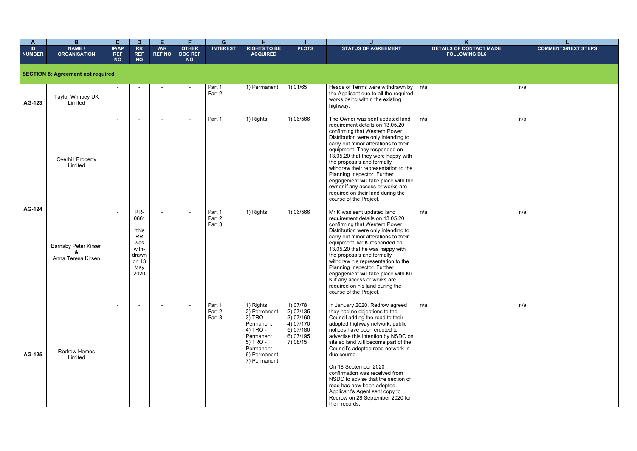|                                               | $\overline{L}$             |
|-----------------------------------------------|----------------------------|
| K<br>DETAILS OF CONTACT MADE<br>FOLLOWING DL6 | <b>COMMENTS/NEXT STEPS</b> |
|                                               |                            |
| n/a                                           | n/a                        |
| n/a                                           | n/a                        |
| n/a                                           | n/a                        |
| n/a                                           | n/a                        |

| $\mathbf{A}$        | B                                                 | $\mathbf{C}$                            | D                                                                                  | E                    | F.                                          | G                          | н                                                                                                                                    |                                                                                         |                                                                                                                                                                                                                                                                                                                                                                                                                                                                                                                                | K                                                      |                   |
|---------------------|---------------------------------------------------|-----------------------------------------|------------------------------------------------------------------------------------|----------------------|---------------------------------------------|----------------------------|--------------------------------------------------------------------------------------------------------------------------------------|-----------------------------------------------------------------------------------------|--------------------------------------------------------------------------------------------------------------------------------------------------------------------------------------------------------------------------------------------------------------------------------------------------------------------------------------------------------------------------------------------------------------------------------------------------------------------------------------------------------------------------------|--------------------------------------------------------|-------------------|
| ID<br><b>NUMBER</b> | NAME /<br><b>ORGANISATION</b>                     | <b>IP/AP</b><br><b>REF</b><br><b>NO</b> | RR<br><b>REF</b><br><b>NO</b>                                                      | W/R<br><b>REF NO</b> | <b>OTHER</b><br><b>DOC REF</b><br><b>NO</b> | <b>INTEREST</b>            | <b>RIGHTS TO BE</b><br><b>ACQUIRED</b>                                                                                               | <b>PLOTS</b>                                                                            | <b>STATUS OF AGREEMENT</b>                                                                                                                                                                                                                                                                                                                                                                                                                                                                                                     | <b>DETAILS OF CONTACT MADE</b><br><b>FOLLOWING DL6</b> | <b>COMMENTS/I</b> |
|                     | <b>SECTION 8: Agreement not required</b>          |                                         |                                                                                    |                      |                                             |                            |                                                                                                                                      |                                                                                         |                                                                                                                                                                                                                                                                                                                                                                                                                                                                                                                                |                                                        |                   |
| <b>AG-123</b>       | Taylor Wimpey UK<br>Limited                       |                                         |                                                                                    |                      |                                             | Part 1<br>Part 2           | 1) Permanent                                                                                                                         | 1)01/65                                                                                 | Heads of Terms were withdrawn by<br>the Applicant due to all the required<br>works being within the existing<br>highway.                                                                                                                                                                                                                                                                                                                                                                                                       | n/a                                                    | n/a               |
|                     | <b>Overhill Property</b><br>Limited               | $\blacksquare$                          |                                                                                    |                      | $\blacksquare$                              | Part 1                     | 1) Rights                                                                                                                            | 1) 06/566                                                                               | The Owner was sent updated land<br>requirement details on 13.05.20<br>confirming that Western Power<br>Distribution were only intending to<br>carry out minor alterations to their<br>equipment. They responded on<br>13.05.20 that they were happy with<br>the proposals and formally<br>withdrew their representation to the<br>Planning Inspector. Further<br>engagement will take place with the<br>owner if any access or works are<br>required on their land during the<br>course of the Project.                        | n/a                                                    | n/a               |
| AG-124              | <b>Barnaby Peter Kirsen</b><br>Anna Teresa Kirsen | $\sim$                                  | RR-<br>086*<br>*this<br><b>RR</b><br>was<br>with-<br>drawn<br>on 13<br>May<br>2020 | $\blacksquare$       | $\blacksquare$                              | Part 1<br>Part 2<br>Part 3 | 1) Rights                                                                                                                            | 1) 06/566                                                                               | Mr K was sent updated land<br>requirement details on 13.05.20<br>confirming that Western Power<br>Distribution were only intending to<br>carry out minor alterations to their<br>equipment. Mr K responded on<br>13.05.20 that he was happy with<br>the proposals and formally<br>withdrew his representation to the<br>Planning Inspector. Further<br>engagement will take place with Mr<br>K if any access or works are<br>required on his land during the<br>course of the Project.                                         | n/a                                                    | n/a               |
| AG-125              | <b>Redrow Homes</b><br>Limited                    | $\blacksquare$                          |                                                                                    |                      | $\blacksquare$                              | Part 1<br>Part 2<br>Part 3 | 1) Rights<br>2) Permanent<br>3) TRO -<br>Permanent<br>4) TRO -<br>Permanent<br>5) TRO -<br>Permanent<br>6) Permanent<br>7) Permanent | 1) 07/78<br>2) 07/135<br>3) 07/160<br>4) 07/170<br>5) 07/180<br>$6)$ 07/195<br>7) 08/15 | In January 2020, Redrow agreed<br>they had no objections to the<br>Council adding the road to their<br>adopted highway network, public<br>notices have been erected to<br>advertise this intention by NSDC on<br>site so land will become part of the<br>Council's adopted road network in<br>due course.<br>On 18 September 2020<br>confirmation was received from<br>NSDC to advise that the section of<br>road has now been adopted.<br>Applicant's Agent sent copy to<br>Redrow on 28 September 2020 for<br>their records. | n/a                                                    | n/a               |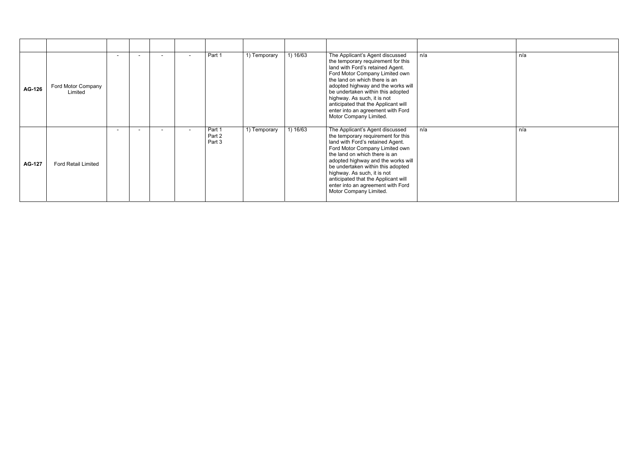| <b>AG-126</b> | Ford Motor Company<br>Limited |  | Part 1                     | 1) Temporary | 1) 16/63 | The Applicant's Agent discussed<br>the temporary requirement for this<br>land with Ford's retained Agent.<br>Ford Motor Company Limited own<br>the land on which there is an<br>adopted highway and the works will<br>be undertaken within this adopted<br>highway. As such, it is not<br>anticipated that the Applicant will<br>enter into an agreement with Ford<br>Motor Company Limited. | n/a | n/a |
|---------------|-------------------------------|--|----------------------------|--------------|----------|----------------------------------------------------------------------------------------------------------------------------------------------------------------------------------------------------------------------------------------------------------------------------------------------------------------------------------------------------------------------------------------------|-----|-----|
| <b>AG-127</b> | <b>Ford Retail Limited</b>    |  | Part 1<br>Part 2<br>Part 3 | 1) Temporary | 1) 16/63 | The Applicant's Agent discussed<br>the temporary requirement for this<br>land with Ford's retained Agent.<br>Ford Motor Company Limited own<br>the land on which there is an<br>adopted highway and the works will<br>be undertaken within this adopted<br>highway. As such, it is not<br>anticipated that the Applicant will<br>enter into an agreement with Ford<br>Motor Company Limited. | n/a | n/a |

| n/a |
|-----|
|     |
|     |
|     |
|     |
|     |
|     |
| n/a |
|     |
|     |
|     |
|     |
|     |
|     |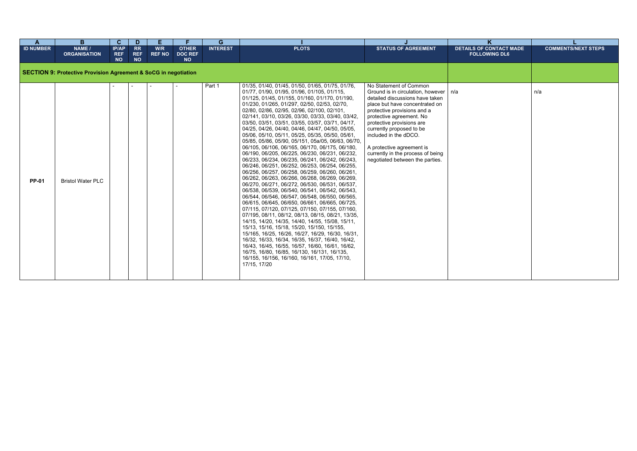| $\mathbf{A}$     | B.                                                              | $\mathbf{C}$                     | D                                    | E                    | F                                           | G.              |                                                                                                                                                                                                                                                                                                                                                                                                                                                                                                                                                                                                                                                                                                                                                                                                                                                                                                                                                                                                                                                                                                                                                                                                                                                                                                                                                                                                                                                                                                                                                |                                                                                                                                                                                                                                                                                                                                                                                          |                                                        |                            |
|------------------|-----------------------------------------------------------------|----------------------------------|--------------------------------------|----------------------|---------------------------------------------|-----------------|------------------------------------------------------------------------------------------------------------------------------------------------------------------------------------------------------------------------------------------------------------------------------------------------------------------------------------------------------------------------------------------------------------------------------------------------------------------------------------------------------------------------------------------------------------------------------------------------------------------------------------------------------------------------------------------------------------------------------------------------------------------------------------------------------------------------------------------------------------------------------------------------------------------------------------------------------------------------------------------------------------------------------------------------------------------------------------------------------------------------------------------------------------------------------------------------------------------------------------------------------------------------------------------------------------------------------------------------------------------------------------------------------------------------------------------------------------------------------------------------------------------------------------------------|------------------------------------------------------------------------------------------------------------------------------------------------------------------------------------------------------------------------------------------------------------------------------------------------------------------------------------------------------------------------------------------|--------------------------------------------------------|----------------------------|
| <b>ID NUMBER</b> | NAME /<br><b>ORGANISATION</b>                                   | IP/AP<br><b>REF</b><br><b>NO</b> | <b>RR</b><br><b>REF</b><br><b>NO</b> | W/R<br><b>REF NO</b> | <b>OTHER</b><br><b>DOC REF</b><br><b>NO</b> | <b>INTEREST</b> | <b>PLOTS</b>                                                                                                                                                                                                                                                                                                                                                                                                                                                                                                                                                                                                                                                                                                                                                                                                                                                                                                                                                                                                                                                                                                                                                                                                                                                                                                                                                                                                                                                                                                                                   | <b>STATUS OF AGREEMENT</b>                                                                                                                                                                                                                                                                                                                                                               | <b>DETAILS OF CONTACT MADE</b><br><b>FOLLOWING DL6</b> | <b>COMMENTS/NEXT STEPS</b> |
|                  | SECTION 9: Protective Provision Agreement & SoCG in negotiation |                                  |                                      |                      |                                             |                 |                                                                                                                                                                                                                                                                                                                                                                                                                                                                                                                                                                                                                                                                                                                                                                                                                                                                                                                                                                                                                                                                                                                                                                                                                                                                                                                                                                                                                                                                                                                                                |                                                                                                                                                                                                                                                                                                                                                                                          |                                                        |                            |
| <b>PP-01</b>     | <b>Bristol Water PLC</b>                                        |                                  |                                      |                      |                                             | Part 1          | 01/35, 01/40, 01/45, 01/50, 01/65, 01/75, 01/76,<br>01/77, 01/90, 01/95, 01/96, 01/105, 01/115,<br>01/125, 01/45, 01/155, 01/160, 01/170, 01/190,<br>01/230, 01/265, 01/297, 02/50, 02/53, 02/70,<br>02/80, 02/86, 02/95, 02/96, 02/100, 02/101,<br>02/141, 03/10, 03/26, 03/30, 03/33, 03/40, 03/42,<br>03/50, 03/51, 03/51, 03/55, 03/57, 03/71, 04/17,<br>04/25, 04/26, 04/40, 04/46, 04/47, 04/50, 05/05,<br>05/06, 05/10, 05/11, 05/25, 05/35, 05/50, 05/61,<br>05/85, 05/86, 05/90, 05/151, 05a/05, 06/63, 06/70,<br>06/105, 06/106, 06/165, 06/170, 06/175, 06/180,<br>06/190, 06/205, 06/225, 06/230, 06/231, 06/232,<br>06/233, 06/234, 06/235, 06/241, 06/242, 06/243,<br>06/246, 06/251, 06/252, 06/253, 06/254, 06/255,<br>06/256, 06/257, 06/258, 06/259, 06/260, 06/261,<br>06/262, 06/263, 06/266, 06/268, 06/269, 06/269,<br>06/270, 06/271, 06/272, 06/530, 06/531, 06/537,<br>06/538, 06/539, 06/540, 06/541, 06/542, 06/543,<br>06/544, 06/546, 06/547, 06/548, 06/550, 06/565,<br>06/615, 06/645, 06/650, 06/661, 06/665, 06/725,<br>07/115, 07/120, 07/125, 07/150, 07/155, 07/160,<br>07/195, 08/11, 08/12, 08/13, 08/15, 08/21, 13/35,<br>14/15, 14/20, 14/35, 14/40, 14/55, 15/08, 15/11,<br>15/13, 15/16, 15/18, 15/20, 15/150, 15/155,<br>15/165, 16/25, 16/26, 16/27, 16/29, 16/30, 16/31,<br>16/32, 16/33, 16/34, 16/35, 16/37, 16/40, 16/42,<br>16/43, 16/45, 16/55, 16/57, 16/60, 16/61, 16/62,<br>16/75, 16/80, 16/85, 16/130, 16/131, 16/135,<br>16/155, 16/156, 16/160, 16/161, 17/05, 17/10,<br>17/15, 17/20 | No Statement of Common<br>Ground is in circulation, however   n/a<br>detailed discussions have taken<br>place but have concentrated on<br>protective provisions and a<br>protective agreement. No<br>protective provisions are<br>currently proposed to be<br>included in the dDCO.<br>A protective agreement is<br>currently in the process of being<br>negotiated between the parties. |                                                        | n/a                        |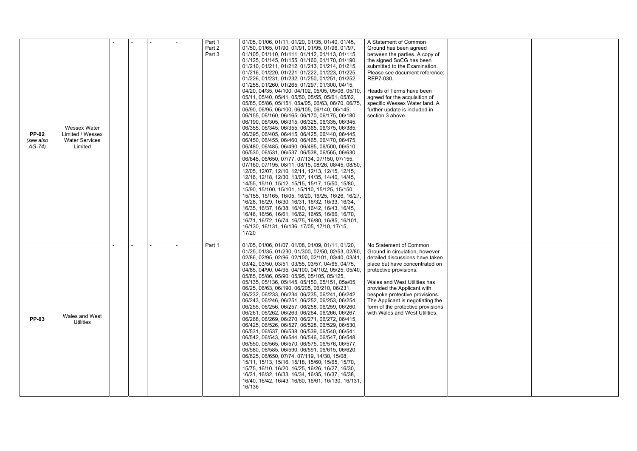| <b>PP-02</b><br>(see also<br>$AG-74)$ | <b>Wessex Water</b><br>Limited / Wessex<br><b>Water Services</b><br>Limited |  |  | Part 1<br>Part 2<br>Part 3 | 01/05, 01/06, 01/11, 01/20, 01/35, 01/40, 01/45,<br>01/50, 01/65, 01/90, 01/91, 01/95, 01/96, 01/97,<br>01/105, 01/110, 01/111, 01/112, 01/113, 01/115,<br>01/125, 01/145, 01/155, 01/160, 01/170, 01/190,<br>01/210, 01/211, 01/212, 01/213, 01/214, 01/215,<br>01/216, 01/220, 01/221, 01/222, 01/223, 01/225,<br>01/226, 01/231, 01/232, 01/250, 01/251, 01/252,<br>01/255, 01/260, 01/265, 01/297, 01/300, 04/15,<br>04/20, 04/35, 04/100, 04/102, 05/05, 05/06, 05/10,<br>05/11, 05/40, 05/41, 05/50, 05/55, 05/61, 05/62,<br>05/85, 05/86, 05/151, 05a/05, 06/63, 06/70, 06/75,<br>06/90, 06/95, 06/100, 06/105, 06/140, 06/145,<br>06/155, 06/160, 06/165, 06/170, 06/175, 06/180,<br>06/190, 06/305, 06/315, 06/325, 06/335, 06/345,<br>06/355, 06/345, 06/355, 06/365, 06/375, 06/385,<br>06/395, 06/405, 06/415, 06/425, 06/440, 06/445,<br>06/450, 06/455, 06/460, 06/465, 06/470, 06/475,<br>06/480, 06/485, 06/490, 06/495, 06/500, 06/510,<br>06/530, 06/531, 06/537, 06/538, 06/565, 06/630,<br>06/645, 06/650, 07/77, 07/134, 07/150, 07/155,<br>07/160, 07/195, 08/11, 08/15, 08/26, 08/45, 08/50,<br>12/05, 12/07, 12/10, 12/11, 12/13, 12/15, 12/15,<br>12/16, 12/18, 12/30, 13/07, 14/35, 14/40, 14/45,<br>14/55, 15/10, 15/12, 15/15, 15/17, 15/50, 15/80,<br>15/90, 15/100, 15/101, 15/110, 15/125, 15/150,<br>15/155, 15/165, 16/05, 16/20, 16/25, 16/26, 16/27,<br>16/28, 16/29, 16/30, 16/31, 16/32, 16/33, 16/34,<br>16/35, 16/37, 16/38, 16/40, 16/42, 16/43, 16/45,<br>16/46, 16/56, 16/61, 16/62, 16/65, 16/66, 16/70,<br>16/71, 16/72, 16/74, 16/75, 16/80, 16/85, 16/101,<br>16/130, 16/131, 16/136, 17/05, 17/10, 17/15,<br>17/20 | A Statement of Common<br>Ground has been agreed<br>between the parties. A copy of<br>the signed SoCG has been<br>submitted to the Examination.<br>Please see document reference:<br>REP7-030.<br>Heads of Terms have been<br>agreed for the acquisition of<br>specific Wessex Water land. A<br>further update is included in<br>section 3 above.                    |  |
|---------------------------------------|-----------------------------------------------------------------------------|--|--|----------------------------|-------------------------------------------------------------------------------------------------------------------------------------------------------------------------------------------------------------------------------------------------------------------------------------------------------------------------------------------------------------------------------------------------------------------------------------------------------------------------------------------------------------------------------------------------------------------------------------------------------------------------------------------------------------------------------------------------------------------------------------------------------------------------------------------------------------------------------------------------------------------------------------------------------------------------------------------------------------------------------------------------------------------------------------------------------------------------------------------------------------------------------------------------------------------------------------------------------------------------------------------------------------------------------------------------------------------------------------------------------------------------------------------------------------------------------------------------------------------------------------------------------------------------------------------------------------------------------------------------------------------------------------------------------------------|---------------------------------------------------------------------------------------------------------------------------------------------------------------------------------------------------------------------------------------------------------------------------------------------------------------------------------------------------------------------|--|
| <b>PP-03</b>                          | Wales and West<br><b>Utilities</b>                                          |  |  | Part 1                     | 01/05, 01/06, 01/07, 01/08, 01/09, 01/11, 01/20,<br>01/25, 01/35, 01/230, 01/300, 02/50, 02/53, 02/80,<br>02/86, 02/95, 02/96, 02/100, 02/101, 03/40, 03/41,<br>03/42, 03/50, 03/51, 03/55, 03/57, 04/65, 04/75,<br>04/85, 04/90, 04/95, 04/100, 04/102, 05/25, 05/40,<br>05/85, 05/86, 05/90, 05/95, 05/105, 05/125,<br>05/135, 05/136, 05/145, 05/150, 05/151, 05a/05,<br>06/25, 06/63, 06/190, 06/205, 06/210, 06/231,<br>06/232, 06/233, 06/234, 06/235, 06/241, 06/242,<br>06/243, 06/246, 06/251, 06/252, 06/253, 06/254,<br>06/255, 06/256, 06/257, 06/258, 06/259, 06/260,<br>06/261, 06/262, 06/263, 06/264, 06/266, 06/267,<br>06/268, 06/269, 06/270, 06/271, 06/272, 06/415,<br>06/425, 06/526, 06/527, 06/528, 06/529, 06/530,<br>06/531, 06/537, 06/538, 06/539, 06/540, 06/541,<br>06/542, 06/543, 06/544, 06/546, 06/547, 06/548,<br>06/550, 06/565, 06/570, 06/575, 06/576, 06/577,<br>06/580, 06/585, 06/590, 06/591, 06/615, 06/620,<br>06/625, 06/650, 07/74, 07/119, 14/30, 15/08,<br>15/11, 15/13, 15/16, 15/18, 15/60, 15/65, 15/70,<br>15/75, 16/10, 16/20, 16/25, 16/26, 16/27, 16/30,<br>16/31, 16/32, 16/33, 16/34, 16/35, 16/37, 16/38,<br>16/40, 16/42, 16/43, 16/60, 16/61, 16/130, 16/131,<br>16/136                                                                                                                                                                                                                                                                                                                                                                                                                               | No Statement of Common<br>Ground in circulation, however<br>detailed discussions have taken<br>place but have concentrated on<br>protective provisions.<br>Wales and West Utilities has<br>provided the Applicant with<br>bespoke protective provisions.<br>The Applicant is negotiating the<br>form of the protective provisions<br>with Wales and West Utilities. |  |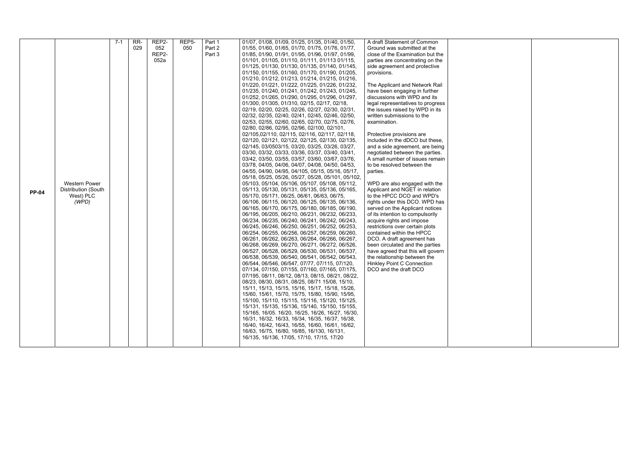|              |                      | $7 - 1$ | RR- | REP <sub>2</sub> - | REP5- | Part 1 | 01/07, 01/08, 01/09, 01/25, 01/35, 01/40, 01/50,                                                     | A draft Statement of Common                                |
|--------------|----------------------|---------|-----|--------------------|-------|--------|------------------------------------------------------------------------------------------------------|------------------------------------------------------------|
|              |                      |         | 029 | 052                | 050   | Part 2 | 01/55, 01/60, 01/65, 01/70, 01/75, 01/76, 01/77,                                                     | Ground was submitted at the                                |
|              |                      |         |     | REP <sub>2</sub> - |       | Part 3 | 01/85, 01/90, 01/91, 01/95, 01/96, 01/97, 01/99,                                                     | close of the Examination but the                           |
|              |                      |         |     | 052a               |       |        | 01/101, 01/105, 01/110, 01/111, 01/113 01/115,                                                       | parties are concentrating on the                           |
|              |                      |         |     |                    |       |        | 01/125, 01/130, 01/130, 01/135, 01/140, 01/145,                                                      | side agreement and protective                              |
|              |                      |         |     |                    |       |        | 01/150, 01/155, 01/160, 01/170, 01/190, 01/205,                                                      | provisions.                                                |
|              |                      |         |     |                    |       |        | 01/210, 01/212, 01/213, 01/214, 01/215, 01/216,                                                      |                                                            |
|              |                      |         |     |                    |       |        | 01/220, 01/221, 01/222, 01/225, 01/226, 01/232,                                                      | The Applicant and Network Rail                             |
|              |                      |         |     |                    |       |        | 01/235, 01/240, 01/241, 01/242, 01/243, 01/245,                                                      | have been engaging in further                              |
|              |                      |         |     |                    |       |        | 01/252, 01/265, 01/290, 01/295, 01/296, 01/297,                                                      | discussions with WPD and its                               |
|              |                      |         |     |                    |       |        | 01/300, 01/305, 01/310, 02/15, 02/17, 02/18,                                                         | legal representatives to progress                          |
|              |                      |         |     |                    |       |        | 02/19, 02/20, 02/25, 02/26, 02/27, 02/30, 02/31,                                                     | the issues raised by WPD in its                            |
|              |                      |         |     |                    |       |        | 02/32, 02/35, 02/40, 02/41, 02/45, 02/46, 02/50,                                                     | written submissions to the                                 |
|              |                      |         |     |                    |       |        | 02/53, 02/55, 02/60, 02/65, 02/70, 02/75, 02/76,                                                     | examination.                                               |
|              |                      |         |     |                    |       |        | 02/80, 02/86, 02/95, 02/96, 02/100, 02/101,                                                          |                                                            |
|              |                      |         |     |                    |       |        | 02/105,02/110, 02/115, 02/116, 02/117, 02/118,                                                       | Protective provisions are                                  |
|              |                      |         |     |                    |       |        | 02/120, 02/121, 02/122, 02/125, 02/130, 02/135,                                                      | included in the dDCO but these,                            |
|              |                      |         |     |                    |       |        | 02/145, 03/0503/15, 03/20, 03/25, 03/26, 03/27,                                                      | and a side agreement, are being                            |
|              |                      |         |     |                    |       |        | 03/30, 03/32, 03/33, 03/36, 03/37, 03/40, 03/41,                                                     | negotiated between the parties.                            |
|              |                      |         |     |                    |       |        | 03/42, 03/50, 03/55, 03/57, 03/60, 03/67, 03/76,                                                     | A small number of issues remain                            |
|              |                      |         |     |                    |       |        | 03/78, 04/05, 04/06, 04/07, 04/08, 04/50, 04/53,                                                     | to be resolved between the                                 |
|              |                      |         |     |                    |       |        | 04/55, 04/90, 04/95, 04/105, 05/15, 05/16, 05/17,                                                    | parties.                                                   |
|              |                      |         |     |                    |       |        | 05/18, 05/25, 05/26, 05/27, 05/28, 05/101, 05/102,                                                   |                                                            |
|              | <b>Western Power</b> |         |     |                    |       |        | 05/103, 05/104, 05/106, 05/107, 05/108, 05/112,                                                      | WPD are also engaged with the                              |
| <b>PP-04</b> | Distribution (South  |         |     |                    |       |        | 05/113, 05/130, 05/131, 05/135, 05/136, 05/165,                                                      | Applicant and NGET in relation                             |
|              | West) PLC            |         |     |                    |       |        | 05/170, 05/171, 06/25, 06/61, 06/63, 06/75,                                                          | to the HPCC DCO and WPD's                                  |
|              | (WPD)                |         |     |                    |       |        | 06/106, 06/115, 06/120, 06/125, 06/135, 06/136,                                                      | rights under this DCO. WPD has                             |
|              |                      |         |     |                    |       |        | 06/165, 06/170, 06/175, 06/180, 06/185, 06/190,                                                      | served on the Applicant notices                            |
|              |                      |         |     |                    |       |        | 06/195, 06/205, 06/210, 06/231, 06/232, 06/233,                                                      | of its intention to compulsorily                           |
|              |                      |         |     |                    |       |        | 06/234, 06/235, 06/240, 06/241, 06/242, 06/243,                                                      | acquire rights and impose                                  |
|              |                      |         |     |                    |       |        | 06/245, 06/246, 06/250, 06/251, 06/252, 06/253,                                                      | restrictions over certain plots                            |
|              |                      |         |     |                    |       |        | 06/254, 06/255, 06/256, 06/257, 06/259, 06/260,                                                      | contained within the HPCC                                  |
|              |                      |         |     |                    |       |        | 06/261, 06/262, 06/263, 06/264, 06/266, 06/267,                                                      | DCO. A draft agreement has                                 |
|              |                      |         |     |                    |       |        | 06/268, 06/269, 06/270, 06/271, 06/272, 06/526,                                                      | been circulated and the parties                            |
|              |                      |         |     |                    |       |        | 06/527, 06/528, 06/529, 06/530, 06/531, 06/537,                                                      | have agreed that this will govern                          |
|              |                      |         |     |                    |       |        | 06/538, 06/539, 06/540, 06/541, 06/542, 06/543,                                                      | the relationship between the                               |
|              |                      |         |     |                    |       |        | 06/544, 06/546, 06/547, 07/77, 07/115, 07/120,                                                       | <b>Hinkley Point C Connection</b><br>DCO and the draft DCO |
|              |                      |         |     |                    |       |        | 07/134, 07/150, 07/155, 07/160, 07/165, 07/175,<br>07/195, 08/11, 08/12, 08/13, 08/15, 08/21, 08/22, |                                                            |
|              |                      |         |     |                    |       |        | 08/23, 08/30, 08/31, 08/25, 08/71 15/08, 15/10,                                                      |                                                            |
|              |                      |         |     |                    |       |        | 15/11, 15/13, 15/15, 15/16, 15/17, 15/18, 15/26,                                                     |                                                            |
|              |                      |         |     |                    |       |        | 15/60, 15/61, 15/70, 15/75, 15/80, 15/90, 15/95,                                                     |                                                            |
|              |                      |         |     |                    |       |        | 15/100, 15/110, 15/115, 15/116, 15/120, 15/125,                                                      |                                                            |
|              |                      |         |     |                    |       |        | 15/131, 15/135, 15/136, 15/140, 15/150, 15/155,                                                      |                                                            |
|              |                      |         |     |                    |       |        | 15/165, 16/05. 16/20, 16/25, 16/26, 16/27, 16/30,                                                    |                                                            |
|              |                      |         |     |                    |       |        | 16/31, 16/32, 16/33, 16/34, 16/35, 16/37, 16/38,                                                     |                                                            |
|              |                      |         |     |                    |       |        | 16/40, 16/42, 16/43, 16/55, 16/60, 16/61, 16/62,                                                     |                                                            |
|              |                      |         |     |                    |       |        | 16/63, 16/75, 16/80, 16/85, 16/130, 16/131,                                                          |                                                            |
|              |                      |         |     |                    |       |        | 16/135, 16/136, 17/05, 17/10, 17/15, 17/20                                                           |                                                            |
|              |                      |         |     |                    |       |        |                                                                                                      |                                                            |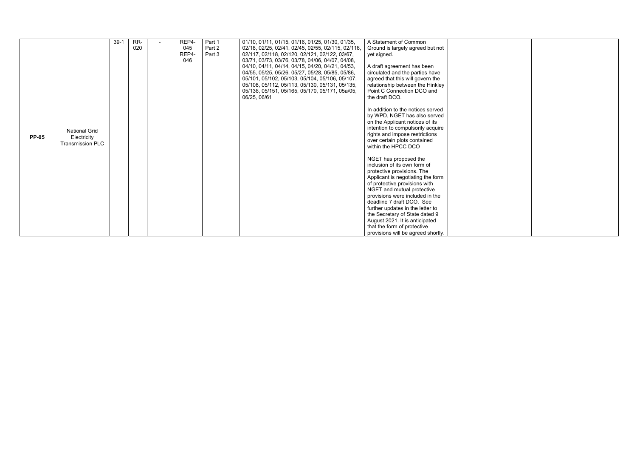|              |                         | $39-1$ | RR- | REP4- | Part 1 | 01/10, 01/11, 01/15, 01/16, 01/25, 01/30, 01/35,   | A Statement of Common                                         |
|--------------|-------------------------|--------|-----|-------|--------|----------------------------------------------------|---------------------------------------------------------------|
|              |                         |        | 020 | 045   | Part 2 | 02/18, 02/25, 02/41, 02/45, 02/55, 02/115, 02/116, | Ground is largely agreed but not                              |
|              |                         |        |     | REP4- | Part 3 | 02/117, 02/118, 02/120, 02/121, 02/122, 03/67,     | yet signed.                                                   |
|              |                         |        |     | 046   |        | 03/71, 03/73, 03/76, 03/78, 04/06, 04/07, 04/08,   |                                                               |
|              |                         |        |     |       |        | 04/10, 04/11, 04/14, 04/15, 04/20, 04/21, 04/53,   | A draft agreement has been                                    |
|              |                         |        |     |       |        | 04/55, 05/25, 05/26, 05/27, 05/28, 05/85, 05/86,   | circulated and the parties have                               |
|              |                         |        |     |       |        | 05/101, 05/102, 05/103, 05/104, 05/106, 05/107,    | agreed that this will govern the                              |
|              |                         |        |     |       |        | 05/108, 05/112, 05/113, 05/130, 05/131, 05/135,    | relationship between the Hinkley                              |
|              |                         |        |     |       |        | 05/136, 05/151, 05/165, 05/170, 05/171, 05a/05,    | Point C Connection DCO and                                    |
|              |                         |        |     |       |        | 06/25, 06/61                                       | the draft DCO.                                                |
|              |                         |        |     |       |        |                                                    |                                                               |
|              |                         |        |     |       |        |                                                    | In addition to the notices served                             |
|              |                         |        |     |       |        |                                                    | by WPD, NGET has also served                                  |
|              |                         |        |     |       |        |                                                    | on the Applicant notices of its                               |
|              | <b>National Grid</b>    |        |     |       |        |                                                    | intention to compulsorily acquire                             |
| <b>PP-05</b> | Electricity             |        |     |       |        |                                                    | rights and impose restrictions                                |
|              | <b>Transmission PLC</b> |        |     |       |        |                                                    | over certain plots contained                                  |
|              |                         |        |     |       |        |                                                    | within the HPCC DCO                                           |
|              |                         |        |     |       |        |                                                    |                                                               |
|              |                         |        |     |       |        |                                                    | NGET has proposed the                                         |
|              |                         |        |     |       |        |                                                    | inclusion of its own form of                                  |
|              |                         |        |     |       |        |                                                    | protective provisions. The                                    |
|              |                         |        |     |       |        |                                                    | Applicant is negotiating the form                             |
|              |                         |        |     |       |        |                                                    | of protective provisions with                                 |
|              |                         |        |     |       |        |                                                    | NGET and mutual protective<br>provisions were included in the |
|              |                         |        |     |       |        |                                                    | deadline 7 draft DCO. See                                     |
|              |                         |        |     |       |        |                                                    | further updates in the letter to                              |
|              |                         |        |     |       |        |                                                    | the Secretary of State dated 9                                |
|              |                         |        |     |       |        |                                                    | August 2021. It is anticipated                                |
|              |                         |        |     |       |        |                                                    | that the form of protective                                   |
|              |                         |        |     |       |        |                                                    | provisions will be agreed shortly.                            |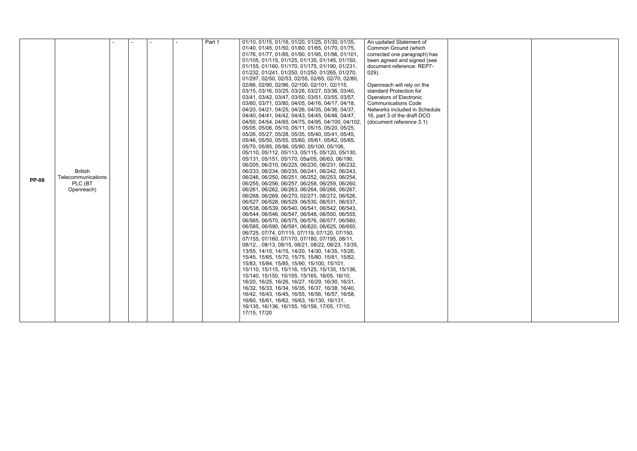|              |                    |  |  | Part 1 | 01/10, 01/15, 01/16, 01/20, 01/25, 01/30, 01/35,   | An updated Statement of       |  |
|--------------|--------------------|--|--|--------|----------------------------------------------------|-------------------------------|--|
|              |                    |  |  |        |                                                    |                               |  |
|              |                    |  |  |        | 01/40, 01/45, 01/50, 01/60, 01/65, 01/70, 01/75,   | Common Ground (which          |  |
|              |                    |  |  |        | 01/76, 01/77, 01/85, 01/90, 01/95, 01/96, 01/101,  | corrected one paragraph) has  |  |
|              |                    |  |  |        | 01/105, 01/115, 01/125, 01/135, 01/145, 01/150,    | been agreed and signed (see   |  |
|              |                    |  |  |        | 01/155, 01/160, 01/170, 01/175, 01/190, 01/231,    | document reference: REP7-     |  |
|              |                    |  |  |        | 01/232, 01/241, 01/250, 01/250, 01/265, 01/270,    | $029$ ).                      |  |
|              |                    |  |  |        | 01/297, 02/50, 02/53, 02/55, 02/65, 02/70, 02/80,  |                               |  |
|              |                    |  |  |        | 02/86, 02/90, 02/96, 02/100, 02/101, 02/115,       | Openreach will rely on the    |  |
|              |                    |  |  |        | 03/15, 03/16, 03/25, 03/26, 03/27, 03/36, 03/40,   | standard Protection for       |  |
|              |                    |  |  |        | 03/41, 03/42, 03/47, 03/50, 03/51, 03/55, 03/57,   | Operators of Electronic       |  |
|              |                    |  |  |        | 03/60, 03/71, 03/80, 04/05, 04/16, 04/17, 04/18,   | <b>Communications Code</b>    |  |
|              |                    |  |  |        | 04/20, 04/21, 04/25, 04/26, 04/35, 04/36, 04/37,   | Networks included in Schedule |  |
|              |                    |  |  |        | 04/40, 04/41, 04/42, 04/43, 04/45, 04/46, 04/47,   | 16, part 3 of the draft DCO   |  |
|              |                    |  |  |        | 04/50, 04/54, 04/65, 04/75, 04/95, 04/100, 04/102, | (document reference 3.1)      |  |
|              |                    |  |  |        | 05/05, 05/06, 05/10, 05/11, 05/15, 05/20, 05/25,   |                               |  |
|              |                    |  |  |        | 05/26, 05/27, 05/28, 05/35, 05/40, 05/41, 05/45,   |                               |  |
|              |                    |  |  |        | 05/46, 05/50, 05/55, 05/60, 05/61, 05/62, 05/65,   |                               |  |
|              |                    |  |  |        | 05/70, 05/85, 05/86, 05/90, 05/100, 05/106,        |                               |  |
|              |                    |  |  |        | 05/110, 05/112, 05/113, 05/115, 05/120, 05/130,    |                               |  |
|              |                    |  |  |        |                                                    |                               |  |
|              |                    |  |  |        | 05/131, 05/151, 05/170, 05a/05, 06/63, 06/190,     |                               |  |
|              |                    |  |  |        | 06/205, 06/210, 06/225, 06/230, 06/231, 06/232,    |                               |  |
|              | <b>British</b>     |  |  |        | 06/233, 06/234, 06/235, 06/241, 06/242, 06/243,    |                               |  |
| <b>PP-06</b> | Telecommunications |  |  |        | 06/246, 06/250, 06/251, 06/252, 06/253, 06/254,    |                               |  |
|              | PLC (BT            |  |  |        | 06/255, 06/256, 06/257, 06/258, 06/259, 06/260,    |                               |  |
|              | Openreach)         |  |  |        | 06/261, 06/262, 06/263, 06/264, 06/266, 06/267,    |                               |  |
|              |                    |  |  |        | 06/268, 06/269, 06/270, 02/271, 06/272, 06/526,    |                               |  |
|              |                    |  |  |        | 06/527, 06/528, 06/529, 06/530, 06/531, 06/537,    |                               |  |
|              |                    |  |  |        | 06/538, 06/539, 06/540, 06/541, 06/542, 06/543,    |                               |  |
|              |                    |  |  |        | 06/544, 06/546, 06/547, 06/548, 06/550, 06/555,    |                               |  |
|              |                    |  |  |        | 06/565, 06/570, 06/575, 06/576, 06/577, 06/580,    |                               |  |
|              |                    |  |  |        | 06/585, 06/590, 06/591, 06/620, 06/625, 06/650,    |                               |  |
|              |                    |  |  |        | 06/725, 07/74, 07/115, 07/119, 07/120, 07/150,     |                               |  |
|              |                    |  |  |        | 07/155, 07/160, 07/170, 07/180, 07/195, 08/11,     |                               |  |
|              |                    |  |  |        | 08/12, , 08/13, 08/15, 08/21, 08/22, 08/23, 13/35, |                               |  |
|              |                    |  |  |        | 13/55, 14/10, 14/15, 14/20, 14/30, 14/35, 15/26,   |                               |  |
|              |                    |  |  |        | 15/45, 15/65, 15/70, 15/75, 15/80, 15/81, 15/82,   |                               |  |
|              |                    |  |  |        | 15/83, 15/84, 15/85, 15/90, 15/100, 15/101,        |                               |  |
|              |                    |  |  |        | 15/110, 15/115, 15/116, 15/125, 15/135, 15/136,    |                               |  |
|              |                    |  |  |        | 15/140, 15/150, 15/155, 15/165, 16/05, 16/10,      |                               |  |
|              |                    |  |  |        |                                                    |                               |  |
|              |                    |  |  |        | 16/20, 16/25, 16/26, 16/27, 16/29, 16/30, 16/31,   |                               |  |
|              |                    |  |  |        | 16/32, 16/33, 16/34, 16/35, 16/37, 16/38, 16/40,   |                               |  |
|              |                    |  |  |        | 16/42, 16/43, 16/45, 16/55, 16/56, 16/57, 16/58,   |                               |  |
|              |                    |  |  |        | 16/60, 16/61, 16/62, 16/63, 16/130, 16/131,        |                               |  |
|              |                    |  |  |        | 16/135, 16/136, 16/155, 16/156, 17/05, 17/10,      |                               |  |
|              |                    |  |  |        | 17/15, 17/20                                       |                               |  |
|              |                    |  |  |        |                                                    |                               |  |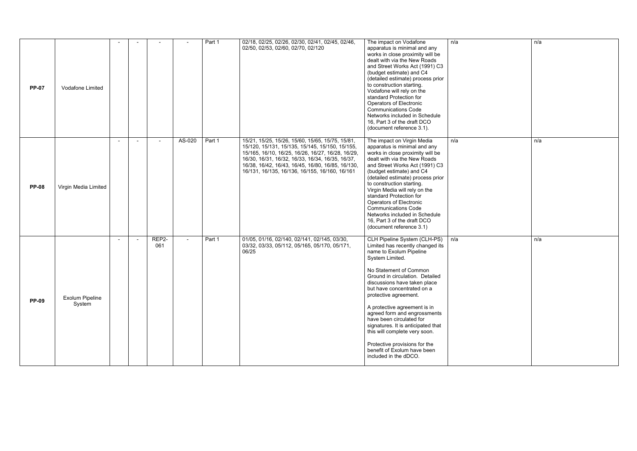| <b>PP-07</b> | Vodafone Limited                 |  |              |        | Part 1 | 02/18, 02/25, 02/26, 02/30, 02/41, 02/45, 02/46,<br>02/50, 02/53, 02/60, 02/70, 02/120                                                                                                                                                                                                                              | The impact on Vodafone<br>apparatus is minimal and any<br>works in close proximity will be<br>dealt with via the New Roads<br>and Street Works Act (1991) C3<br>(budget estimate) and C4<br>(detailed estimate) process prior<br>to construction starting.<br>Vodafone will rely on the<br>standard Protection for<br>Operators of Electronic<br><b>Communications Code</b><br>Networks included in Schedule<br>16, Part 3 of the draft DCO<br>(document reference 3.1).                                                       | n/a |
|--------------|----------------------------------|--|--------------|--------|--------|---------------------------------------------------------------------------------------------------------------------------------------------------------------------------------------------------------------------------------------------------------------------------------------------------------------------|--------------------------------------------------------------------------------------------------------------------------------------------------------------------------------------------------------------------------------------------------------------------------------------------------------------------------------------------------------------------------------------------------------------------------------------------------------------------------------------------------------------------------------|-----|
| <b>PP-08</b> | Virgin Media Limited             |  |              | AS-020 | Part 1 | 15/21, 15/25, 15/26, 15/60, 15/65, 15/75, 15/81,<br>15/120, 15/131, 15/135, 15/145, 15/150, 15/155,<br>15/165, 16/10, 16/25, 16/26, 16/27, 16/28, 16/29,<br>16/30, 16/31, 16/32, 16/33, 16/34, 16/35, 16/37,<br>16/38, 16/42, 16/43, 16/45, 16/80, 16/85, 16/130,<br>16/131, 16/135, 16/136, 16/155, 16/160, 16/161 | The impact on Virgin Media<br>apparatus is minimal and any<br>works in close proximity will be<br>dealt with via the New Roads<br>and Street Works Act (1991) C3<br>(budget estimate) and C4<br>(detailed estimate) process prior<br>to construction starting.<br>Virgin Media will rely on the<br>standard Protection for<br>Operators of Electronic<br><b>Communications Code</b><br>Networks included in Schedule<br>16, Part 3 of the draft DCO<br>(document reference 3.1)                                                | n/a |
| <b>PP-09</b> | <b>Exolum Pipeline</b><br>System |  | REP2-<br>061 |        | Part 1 | 01/05, 01/16, 02/140, 02/141, 02/145, 03/30,<br>03/32, 03/33, 05/112, 05/165, 05/170, 05/171,<br>06/25                                                                                                                                                                                                              | CLH Pipeline System (CLH-PS)<br>Limited has recently changed its<br>name to Exolum Pipeline<br>System Limited.<br>No Statement of Common<br>Ground in circulation. Detailed<br>discussions have taken place<br>but have concentrated on a<br>protective agreement.<br>A protective agreement is in<br>agreed form and engrossments<br>have been circulated for<br>signatures. It is anticipated that<br>this will complete very soon.<br>Protective provisions for the<br>benefit of Exolum have been<br>included in the dDCO. | n/a |

| n/a | n/a |
|-----|-----|
|     |     |
|     |     |
|     |     |
|     |     |
|     |     |
|     |     |
|     |     |
|     |     |
|     |     |
|     |     |
|     |     |
|     |     |
|     |     |
|     |     |
|     |     |
|     |     |
|     |     |
|     |     |
|     |     |
|     |     |
|     |     |
|     |     |
|     |     |
|     |     |
| n/a | n/a |
|     |     |
|     |     |
|     |     |
|     |     |
|     |     |
|     |     |
|     |     |
|     |     |
|     |     |
|     |     |
|     |     |
|     |     |
|     |     |
|     |     |
|     |     |
|     |     |
|     |     |
|     |     |
|     |     |
|     |     |
|     |     |
|     |     |
|     |     |
|     |     |
|     |     |
|     |     |
|     | n/a |
|     |     |
|     |     |
|     |     |
|     |     |
| n/a |     |
|     |     |
|     |     |
|     |     |
|     |     |
|     |     |
|     |     |
|     |     |
|     |     |
|     |     |
|     |     |
|     |     |
|     |     |
|     |     |
|     |     |
|     |     |
|     |     |
|     |     |
|     |     |
|     |     |
|     |     |
|     |     |
|     |     |
|     |     |
|     |     |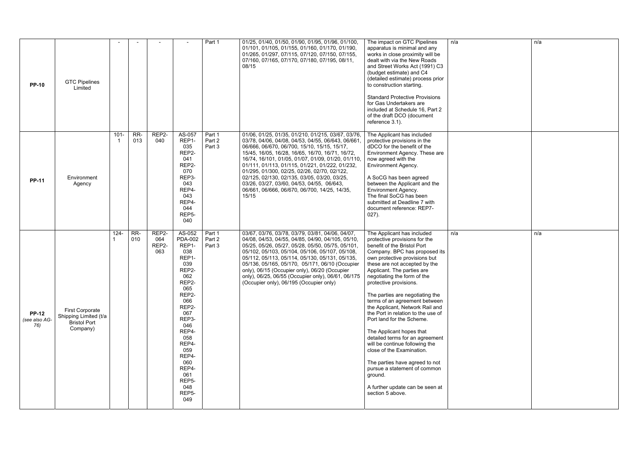| <b>PP-10</b>                         | <b>GTC Pipelines</b><br>Limited                                                    |               |            |                              |                                                                                                                                                                                                                                                       | Part 1                     | 01/25, 01/40, 01/50, 01/90, 01/95, 01/96, 01/100,<br>01/101, 01/105, 01/155, 01/160, 01/170, 01/190,<br>01/265, 01/297, 07/115, 07/120, 07/150, 07/155,<br>07/160, 07/165, 07/170, 07/180, 07/195, 08/11,<br>08/15                                                                                                                                                                                                                                                                                                            | The impact on GTC Pipelines<br>apparatus is minimal and any<br>works in close proximity will be<br>dealt with via the New Roads<br>and Street Works Act (1991) C3<br>(budget estimate) and C4<br>(detailed estimate) process prior<br>to construction starting.<br><b>Standard Protective Provisions</b><br>for Gas Undertakers are<br>included at Schedule 16, Part 2<br>of the draft DCO (document<br>reference 3.1).                                                                                                                                                                                                                                                                                                          | n/a |
|--------------------------------------|------------------------------------------------------------------------------------|---------------|------------|------------------------------|-------------------------------------------------------------------------------------------------------------------------------------------------------------------------------------------------------------------------------------------------------|----------------------------|-------------------------------------------------------------------------------------------------------------------------------------------------------------------------------------------------------------------------------------------------------------------------------------------------------------------------------------------------------------------------------------------------------------------------------------------------------------------------------------------------------------------------------|----------------------------------------------------------------------------------------------------------------------------------------------------------------------------------------------------------------------------------------------------------------------------------------------------------------------------------------------------------------------------------------------------------------------------------------------------------------------------------------------------------------------------------------------------------------------------------------------------------------------------------------------------------------------------------------------------------------------------------|-----|
| <b>PP-11</b>                         | Environment<br>Agency                                                              | $101 -$<br>-1 | RR-<br>013 | REP2-<br>040                 | AS-057<br>REP1-<br>035<br>REP2-<br>041<br>REP2-<br>070<br>REP3-<br>043<br>REP4-<br>043<br>REP4-<br>044<br>REP <sub>5</sub> -<br>040                                                                                                                   | Part 1<br>Part 2<br>Part 3 | 01/06, 01/25, 01/35, 01/210, 01/215, 03/67, 03/76,<br>03/78, 04/06, 04/08, 04/53, 04/55, 06/643, 06/661,<br>06/666, 06/670, 06/700, 15/10, 15/15, 15/17,<br>15/45, 16/05, 16/28, 16/65, 16/70, 16/71, 16/72,<br>16/74, 16/101, 01/05, 01/07, 01/09, 01/20, 01/110,<br>01/111, 01/113, 01/115, 01/221, 01/222, 01/232,<br>01/295, 01/300, 02/25, 02/26, 02/70, 02/122,<br>02/125, 02/130, 02/135, 03/05, 03/20, 03/25,<br>03/26, 03/27, 03/60, 04/53, 04/55, 06/643,<br>06/661, 06/666, 06/670, 06/700, 14/25, 14/35,<br>15/15 | The Applicant has included<br>protective provisions in the<br>dDCO for the benefit of the<br>Environment Agency. These are<br>now agreed with the<br>Environment Agency.<br>A SoCG has been agreed<br>between the Applicant and the<br>Environment Agency.<br>The final SoCG has been<br>submitted at Deadline 7 with<br>document reference: REP7-<br>$027$ ).                                                                                                                                                                                                                                                                                                                                                                   |     |
| <b>PP-12</b><br>(see also AG-<br>76) | <b>First Corporate</b><br>Shipping Limited (t/a<br><b>Bristol Port</b><br>Company) | $124 -$       | RR-<br>010 | REP2-<br>064<br>REP2-<br>063 | AS-052<br><b>PDA-002</b><br>REP1-<br>038<br>REP1-<br>039<br>REP2-<br>062<br>REP2-<br>065<br>REP2-<br>066<br>REP2-<br>067<br>REP3-<br>046<br>REP4-<br>058<br>REP4-<br>059<br>REP4-<br>060<br>REP4-<br>061<br>REP5-<br>048<br>REP <sub>5</sub> -<br>049 | Part 1<br>Part 2<br>Part 3 | 03/67, 03/76, 03/78, 03/79, 03/81, 04/06, 04/07,<br>04/08, 04/53, 04/55, 04/85, 04/90, 04/105, 05/10,<br>05/25, 05/26, 05/27, 05/28, 05/50, 05/75, 05/101,<br>05/102, 05/103, 05/104, 05/106, 05/107, 05/108,<br>05/112, 05/113, 05/114, 05/130, 05/131, 05/135,<br>05/136, 05/165, 05/170, 05/171, 06/10 (Occupier<br>only), 06/15 (Occupier only), 06/20 (Occupier<br>only), 06/25, 06/55 (Occupier only), 06/61, 06/175<br>(Occupier only), 06/195 (Occupier only)                                                         | The Applicant has included<br>protective provisions for the<br>benefit of the Bristol Port<br>Company. BPC has proposed its<br>own protective provisions but<br>these are not accepted by the<br>Applicant. The parties are<br>negotiating the form of the<br>protective provisions.<br>The parties are negotiating the<br>terms of an agreement between<br>the Applicant, Network Rail and<br>the Port in relation to the use of<br>Port land for the Scheme.<br>The Applicant hopes that<br>detailed terms for an agreement<br>will be continue following the<br>close of the Examination.<br>The parties have agreed to not<br>pursue a statement of common<br>ground.<br>A further update can be seen at<br>section 5 above. | n/a |

| n/a | n/a |
|-----|-----|
|     |     |
|     |     |
|     |     |
|     |     |
|     |     |
|     |     |
|     |     |
|     |     |
|     |     |
|     |     |
|     |     |
|     |     |
|     |     |
|     |     |
|     |     |
|     |     |
|     |     |
|     |     |
|     |     |
|     |     |
|     |     |
|     |     |
|     |     |
|     |     |
|     |     |
|     |     |
|     |     |
|     |     |
|     |     |
|     |     |
|     |     |
|     |     |
|     |     |
|     |     |
|     |     |
|     |     |
|     |     |
|     |     |
|     |     |
|     |     |
|     |     |
|     |     |
|     |     |
|     |     |
|     |     |
|     |     |
|     |     |
|     |     |
|     |     |
|     | n/a |
| n/a |     |
|     |     |
|     |     |
|     |     |
|     |     |
|     |     |
|     |     |
|     |     |
|     |     |
|     |     |
|     |     |
|     |     |
|     |     |
|     |     |
|     |     |
|     |     |
|     |     |
|     |     |
|     |     |
|     |     |
|     |     |
|     |     |
|     |     |
|     |     |
|     |     |
|     |     |
|     |     |
|     |     |
|     |     |
|     |     |
|     |     |
|     |     |
|     |     |
|     |     |
|     |     |
|     |     |
|     |     |
|     |     |
|     |     |
|     |     |
|     |     |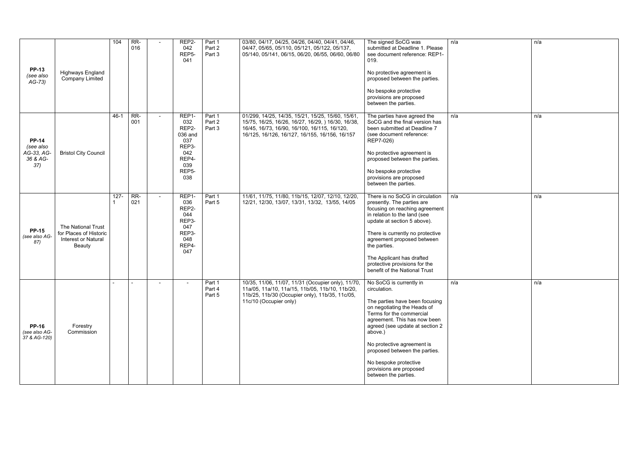| <b>PP-13</b>                                               |                                                                                      | 104      | RR-<br>016 |                | REP2-<br>042<br>REP5-<br>041                                                                       | Part 1<br>Part 2<br>Part 3 | 03/80, 04/17, 04/25, 04/26, 04/40, 04/41, 04/46,<br>04/47, 05/65, 05/110, 05/121, 05/122, 05/137,<br>05/140, 05/141, 06/15, 06/20, 06/55, 06/60, 06/80                                                    | The signed SoCG was<br>submitted at Deadline 1. Please<br>see document reference: REP1-<br>019.                                                                                                                                                                                                                                                               | n/a |
|------------------------------------------------------------|--------------------------------------------------------------------------------------|----------|------------|----------------|----------------------------------------------------------------------------------------------------|----------------------------|-----------------------------------------------------------------------------------------------------------------------------------------------------------------------------------------------------------|---------------------------------------------------------------------------------------------------------------------------------------------------------------------------------------------------------------------------------------------------------------------------------------------------------------------------------------------------------------|-----|
| (see also<br>$AG-73)$                                      | <b>Highways England</b><br><b>Company Limited</b>                                    |          |            |                |                                                                                                    |                            |                                                                                                                                                                                                           | No protective agreement is<br>proposed between the parties.<br>No bespoke protective<br>provisions are proposed<br>between the parties.                                                                                                                                                                                                                       |     |
| <b>PP-14</b><br>(see also<br>AG-33, AG-<br>36 & AG-<br>37) | <b>Bristol City Council</b>                                                          | $46 - 1$ | RR-<br>001 | $\blacksquare$ | REP1-<br>032<br>REP2-<br>036 and<br>037<br>REP3-<br>042<br>REP4-<br>039<br>REP <sub>5</sub><br>038 | Part 1<br>Part 2<br>Part 3 | 01/299, 14/25, 14/35, 15/21, 15/25, 15/60, 15/61,<br>15/75, 16/25, 16/26, 16/27, 16/29, ) 16/30, 16/38,<br>16/45, 16/73, 16/90, 16/100, 16/115, 16/120,<br>16/125, 16/126, 16/127, 16/155, 16/156, 16/157 | The parties have agreed the<br>SoCG and the final version has<br>been submitted at Deadline 7<br>(see document reference:<br>REP7-026)<br>No protective agreement is<br>proposed between the parties.<br>No bespoke protective<br>provisions are proposed<br>between the parties.                                                                             | n/a |
| <b>PP-15</b><br>(see also AG-<br>87)                       | The National Trust<br>for Places of Historic<br><b>Interest or Natural</b><br>Beauty | $127 -$  | RR-<br>021 | $\blacksquare$ | REP1-<br>036<br>REP2-<br>044<br>REP3-<br>047<br>REP3-<br>048<br>REP4-<br>047                       | Part 1<br>Part 5           | 11/61, 11/75, 11/80, 11b/15, 12/07, 12/10, 12/20,<br>12/21, 12/30, 13/07, 13/31, 13/32, 13/55, 14/05                                                                                                      | There is no SoCG in circulation<br>presently. The parties are<br>focusing on reaching agreement<br>in relation to the land (see<br>update at section 5 above).<br>There is currently no protective<br>agreement proposed between<br>the parties.<br>The Applicant has drafted<br>protective provisions for the<br>benefit of the National Trust               | n/a |
| <b>PP-16</b><br>(see also AG-<br>37 & AG-120)              | Forestry<br>Commission                                                               |          |            |                |                                                                                                    | Part 1<br>Part 4<br>Part 5 | 10/35, 11/06, 11/07, 11/31 (Occupier only), 11/70,<br>11a/05, 11a/10, 11a/15, 11b/05, 11b/10, 11b/20,<br>11b/25, 11b/30 (Occupier only), 11b/35, 11c/05,<br>11c/10 (Occupier only)                        | No SoCG is currently in<br>circulation.<br>The parties have been focusing<br>on negotiating the Heads of<br>Terms for the commercial<br>agreement. This has now been<br>agreed (see update at section 2<br>above.)<br>No protective agreement is<br>proposed between the parties.<br>No bespoke protective<br>provisions are proposed<br>between the parties. | n/a |

| n/a              | n/a |
|------------------|-----|
| $\overline{n/a}$ | n/a |
| n/a              | n/a |
| $\overline{n}/a$ | n/a |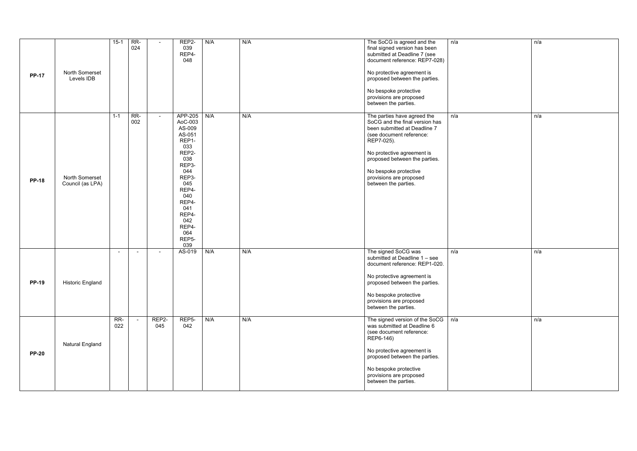| <b>PP-17</b> | North Somerset<br>Levels IDB       | $15-1$         | RR-<br>024     |              | REP2-<br>039<br>REP4-<br>048                                                                                                                                                                      | N/A | N/A | The SoCG is agreed and the<br>final signed version has been<br>submitted at Deadline 7 (see<br>document reference: REP7-028)<br>No protective agreement is<br>proposed between the parties.<br>No bespoke protective<br>provisions are proposed<br>between the parties.            | n/a |
|--------------|------------------------------------|----------------|----------------|--------------|---------------------------------------------------------------------------------------------------------------------------------------------------------------------------------------------------|-----|-----|------------------------------------------------------------------------------------------------------------------------------------------------------------------------------------------------------------------------------------------------------------------------------------|-----|
| <b>PP-18</b> | North Somerset<br>Council (as LPA) | $1 - 1$        | RR-<br>002     |              | APP-205<br>AoC-003<br>AS-009<br>AS-051<br>REP1-<br>033<br>REP2-<br>038<br>REP3-<br>044<br>REP3-<br>045<br>REP4-<br>040<br>REP4-<br>041<br>REP4-<br>042<br>REP4-<br>064<br>REP <sub>5</sub><br>039 | N/A | N/A | The parties have agreed the<br>SoCG and the final version has<br>been submitted at Deadline 7<br>(see document reference:<br>REP7-025).<br>No protective agreement is<br>proposed between the parties.<br>No bespoke protective<br>provisions are proposed<br>between the parties. | n/a |
| <b>PP-19</b> | <b>Historic England</b>            | $\blacksquare$ | $\blacksquare$ | $\sim$       | AS-019                                                                                                                                                                                            | N/A | N/A | The signed SoCG was<br>submitted at Deadline 1 - see<br>document reference: REP1-020.<br>No protective agreement is<br>proposed between the parties.<br>No bespoke protective<br>provisions are proposed<br>between the parties.                                                   | n/a |
| <b>PP-20</b> | <b>Natural England</b>             | RR-<br>022     |                | REP2-<br>045 | REP5-<br>042                                                                                                                                                                                      | N/A | N/A | The signed version of the SoCG<br>was submitted at Deadline 6<br>(see document reference:<br>REP6-146)<br>No protective agreement is<br>proposed between the parties.<br>No bespoke protective<br>provisions are proposed<br>between the parties.                                  | n/a |

| n/a | n/a |
|-----|-----|
| n/a | n/a |
| n/a | n/a |
| n/a | n/a |